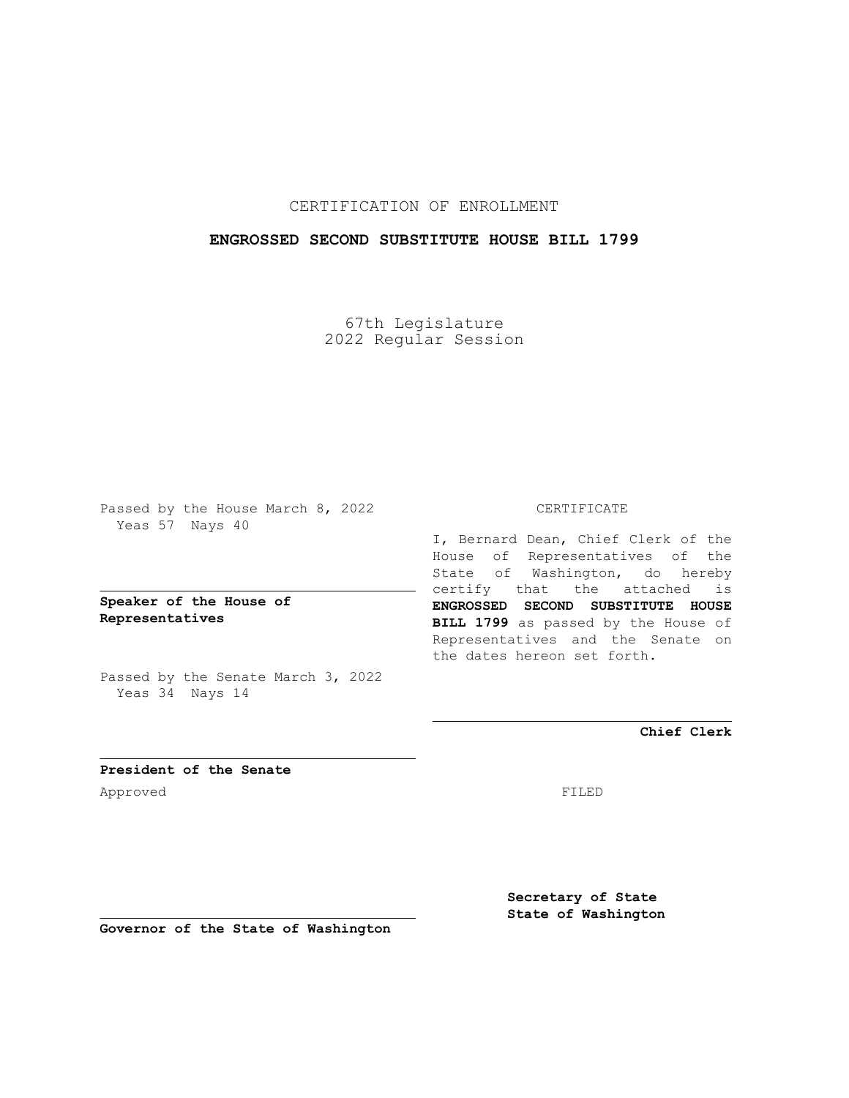#### CERTIFICATION OF ENROLLMENT

#### **ENGROSSED SECOND SUBSTITUTE HOUSE BILL 1799**

67th Legislature 2022 Regular Session

Passed by the House March 8, 2022 Yeas 57 Nays 40

**Speaker of the House of Representatives**

Passed by the Senate March 3, 2022 Yeas 34 Nays 14

#### CERTIFICATE

I, Bernard Dean, Chief Clerk of the House of Representatives of the State of Washington, do hereby certify that the attached is **ENGROSSED SECOND SUBSTITUTE HOUSE BILL 1799** as passed by the House of Representatives and the Senate on the dates hereon set forth.

**Chief Clerk**

**President of the Senate** Approved FILED

**Secretary of State State of Washington**

**Governor of the State of Washington**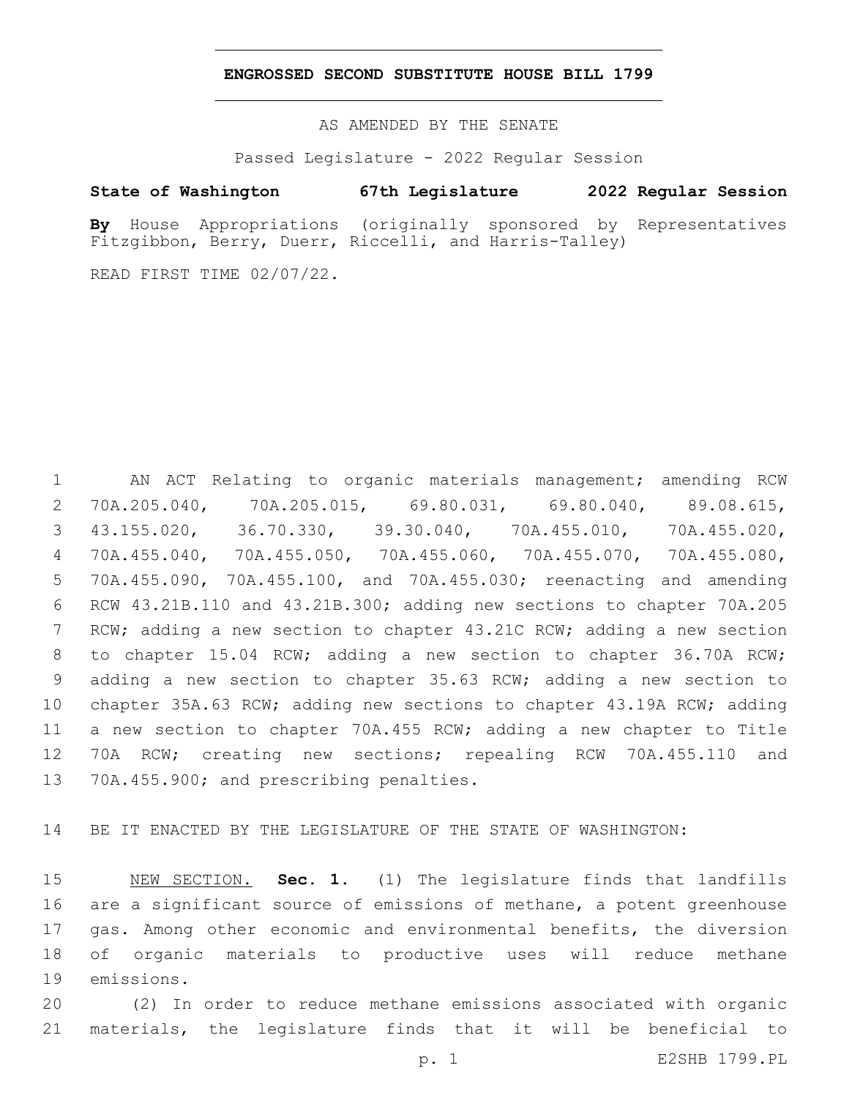#### **ENGROSSED SECOND SUBSTITUTE HOUSE BILL 1799**

AS AMENDED BY THE SENATE

Passed Legislature - 2022 Regular Session

#### **State of Washington 67th Legislature 2022 Regular Session**

**By** House Appropriations (originally sponsored by Representatives Fitzgibbon, Berry, Duerr, Riccelli, and Harris-Talley)

READ FIRST TIME 02/07/22.

 AN ACT Relating to organic materials management; amending RCW 70A.205.040, 70A.205.015, 69.80.031, 69.80.040, 89.08.615, 43.155.020, 36.70.330, 39.30.040, 70A.455.010, 70A.455.020, 70A.455.040, 70A.455.050, 70A.455.060, 70A.455.070, 70A.455.080, 70A.455.090, 70A.455.100, and 70A.455.030; reenacting and amending RCW 43.21B.110 and 43.21B.300; adding new sections to chapter 70A.205 RCW; adding a new section to chapter 43.21C RCW; adding a new section to chapter 15.04 RCW; adding a new section to chapter 36.70A RCW; adding a new section to chapter 35.63 RCW; adding a new section to chapter 35A.63 RCW; adding new sections to chapter 43.19A RCW; adding a new section to chapter 70A.455 RCW; adding a new chapter to Title 70A RCW; creating new sections; repealing RCW 70A.455.110 and 13 70A.455.900; and prescribing penalties.

BE IT ENACTED BY THE LEGISLATURE OF THE STATE OF WASHINGTON:

 NEW SECTION. **Sec. 1.** (1) The legislature finds that landfills are a significant source of emissions of methane, a potent greenhouse gas. Among other economic and environmental benefits, the diversion of organic materials to productive uses will reduce methane emissions.

 (2) In order to reduce methane emissions associated with organic materials, the legislature finds that it will be beneficial to

p. 1 E2SHB 1799.PL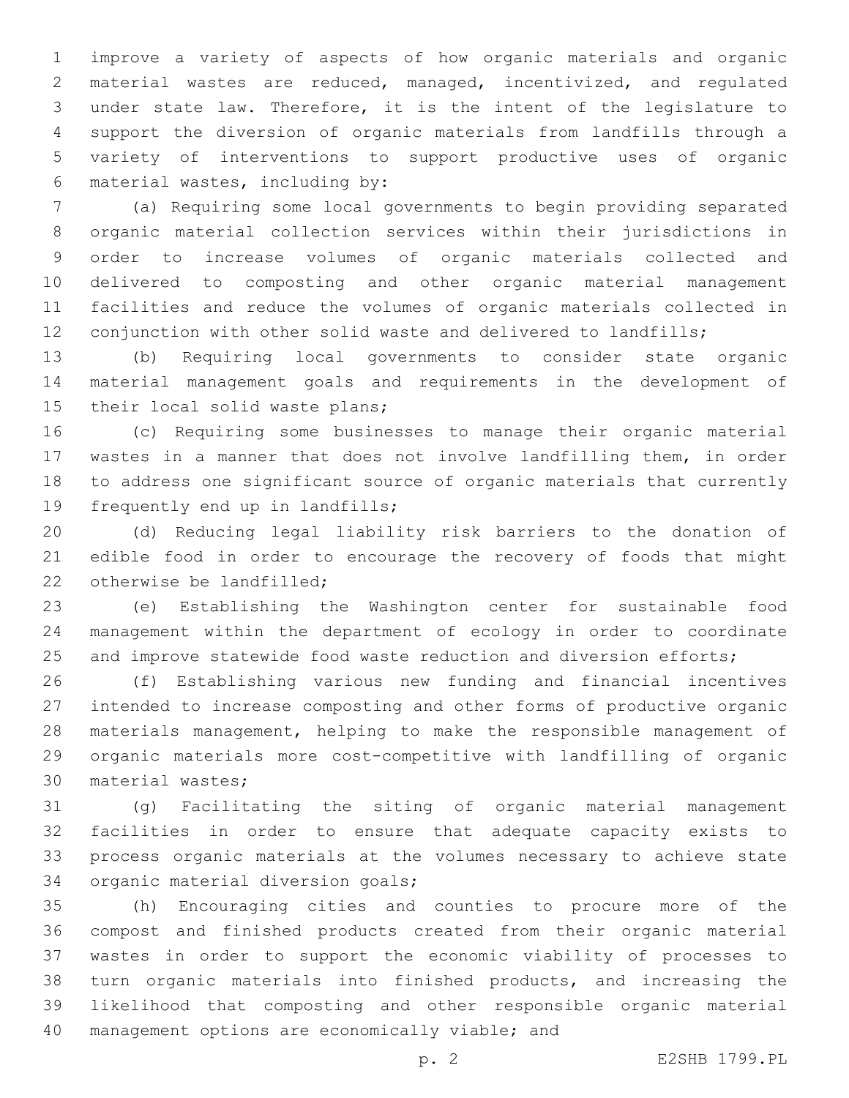improve a variety of aspects of how organic materials and organic material wastes are reduced, managed, incentivized, and regulated under state law. Therefore, it is the intent of the legislature to support the diversion of organic materials from landfills through a variety of interventions to support productive uses of organic material wastes, including by:6

 (a) Requiring some local governments to begin providing separated organic material collection services within their jurisdictions in order to increase volumes of organic materials collected and delivered to composting and other organic material management facilities and reduce the volumes of organic materials collected in conjunction with other solid waste and delivered to landfills;

 (b) Requiring local governments to consider state organic material management goals and requirements in the development of 15 their local solid waste plans;

 (c) Requiring some businesses to manage their organic material wastes in a manner that does not involve landfilling them, in order to address one significant source of organic materials that currently 19 frequently end up in landfills;

 (d) Reducing legal liability risk barriers to the donation of edible food in order to encourage the recovery of foods that might 22 otherwise be landfilled:

 (e) Establishing the Washington center for sustainable food management within the department of ecology in order to coordinate 25 and improve statewide food waste reduction and diversion efforts;

 (f) Establishing various new funding and financial incentives intended to increase composting and other forms of productive organic materials management, helping to make the responsible management of organic materials more cost-competitive with landfilling of organic 30 material wastes;

 (g) Facilitating the siting of organic material management facilities in order to ensure that adequate capacity exists to process organic materials at the volumes necessary to achieve state 34 organic material diversion goals;

 (h) Encouraging cities and counties to procure more of the compost and finished products created from their organic material wastes in order to support the economic viability of processes to turn organic materials into finished products, and increasing the likelihood that composting and other responsible organic material 40 management options are economically viable; and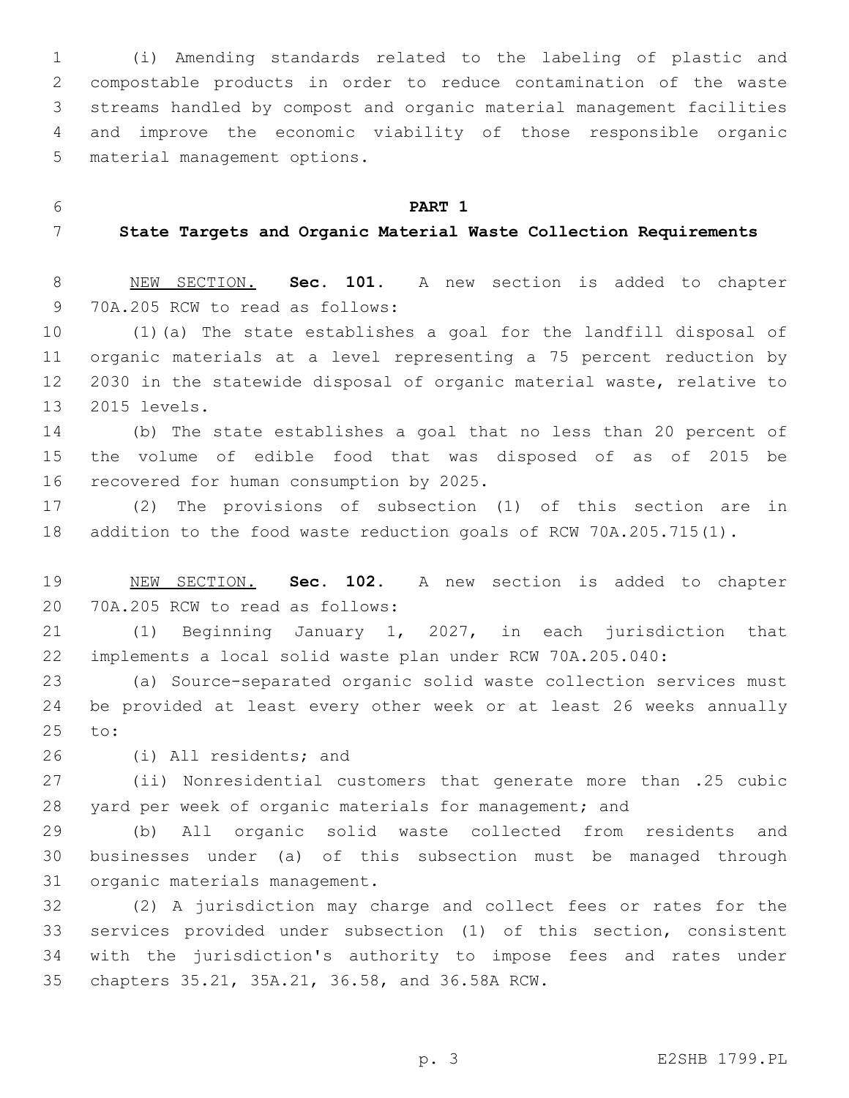(i) Amending standards related to the labeling of plastic and compostable products in order to reduce contamination of the waste streams handled by compost and organic material management facilities and improve the economic viability of those responsible organic 5 material management options.

**PART 1**

#### **State Targets and Organic Material Waste Collection Requirements**

 NEW SECTION. **Sec. 101.** A new section is added to chapter 9 70A.205 RCW to read as follows:

 (1)(a) The state establishes a goal for the landfill disposal of organic materials at a level representing a 75 percent reduction by 2030 in the statewide disposal of organic material waste, relative to 2015 levels.13

 (b) The state establishes a goal that no less than 20 percent of the volume of edible food that was disposed of as of 2015 be 16 recovered for human consumption by 2025.

 (2) The provisions of subsection (1) of this section are in addition to the food waste reduction goals of RCW 70A.205.715(1).

 NEW SECTION. **Sec. 102.** A new section is added to chapter 20 70A.205 RCW to read as follows:

 (1) Beginning January 1, 2027, in each jurisdiction that implements a local solid waste plan under RCW 70A.205.040:

 (a) Source-separated organic solid waste collection services must be provided at least every other week or at least 26 weeks annually 25 to:

26 (i) All residents; and

 (ii) Nonresidential customers that generate more than .25 cubic yard per week of organic materials for management; and

 (b) All organic solid waste collected from residents and businesses under (a) of this subsection must be managed through 31 organic materials management.

 (2) A jurisdiction may charge and collect fees or rates for the services provided under subsection (1) of this section, consistent with the jurisdiction's authority to impose fees and rates under 35 chapters 35.21, 35A.21, 36.58, and 36.58A RCW.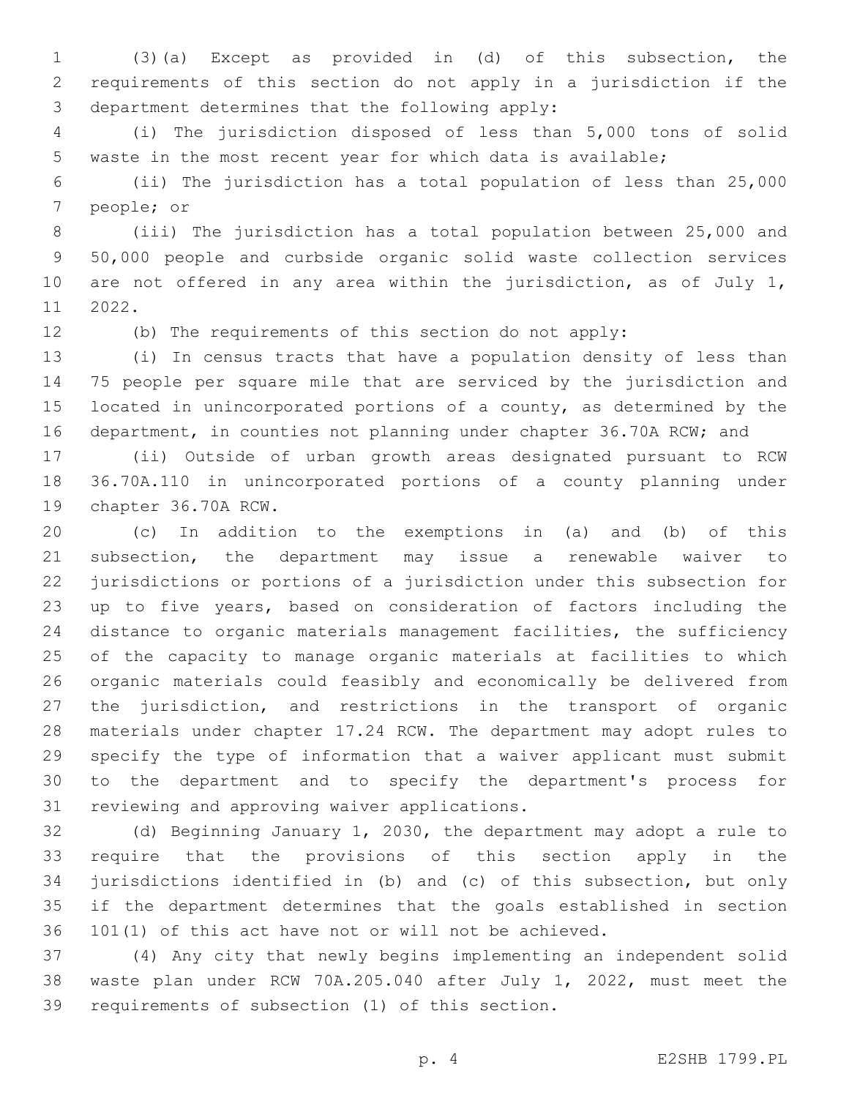(3)(a) Except as provided in (d) of this subsection, the requirements of this section do not apply in a jurisdiction if the 3 department determines that the following apply:

 (i) The jurisdiction disposed of less than 5,000 tons of solid waste in the most recent year for which data is available;

 (ii) The jurisdiction has a total population of less than 25,000 7 people; or

 (iii) The jurisdiction has a total population between 25,000 and 50,000 people and curbside organic solid waste collection services 10 are not offered in any area within the jurisdiction, as of July 1, 11 2022.

(b) The requirements of this section do not apply:

 (i) In census tracts that have a population density of less than 75 people per square mile that are serviced by the jurisdiction and located in unincorporated portions of a county, as determined by the 16 department, in counties not planning under chapter 36.70A RCW; and

 (ii) Outside of urban growth areas designated pursuant to RCW 36.70A.110 in unincorporated portions of a county planning under 19 chapter 36.70A RCW.

 (c) In addition to the exemptions in (a) and (b) of this subsection, the department may issue a renewable waiver to jurisdictions or portions of a jurisdiction under this subsection for up to five years, based on consideration of factors including the distance to organic materials management facilities, the sufficiency of the capacity to manage organic materials at facilities to which organic materials could feasibly and economically be delivered from the jurisdiction, and restrictions in the transport of organic materials under chapter 17.24 RCW. The department may adopt rules to specify the type of information that a waiver applicant must submit to the department and to specify the department's process for 31 reviewing and approving waiver applications.

 (d) Beginning January 1, 2030, the department may adopt a rule to require that the provisions of this section apply in the jurisdictions identified in (b) and (c) of this subsection, but only if the department determines that the goals established in section 101(1) of this act have not or will not be achieved.

 (4) Any city that newly begins implementing an independent solid waste plan under RCW 70A.205.040 after July 1, 2022, must meet the 39 requirements of subsection (1) of this section.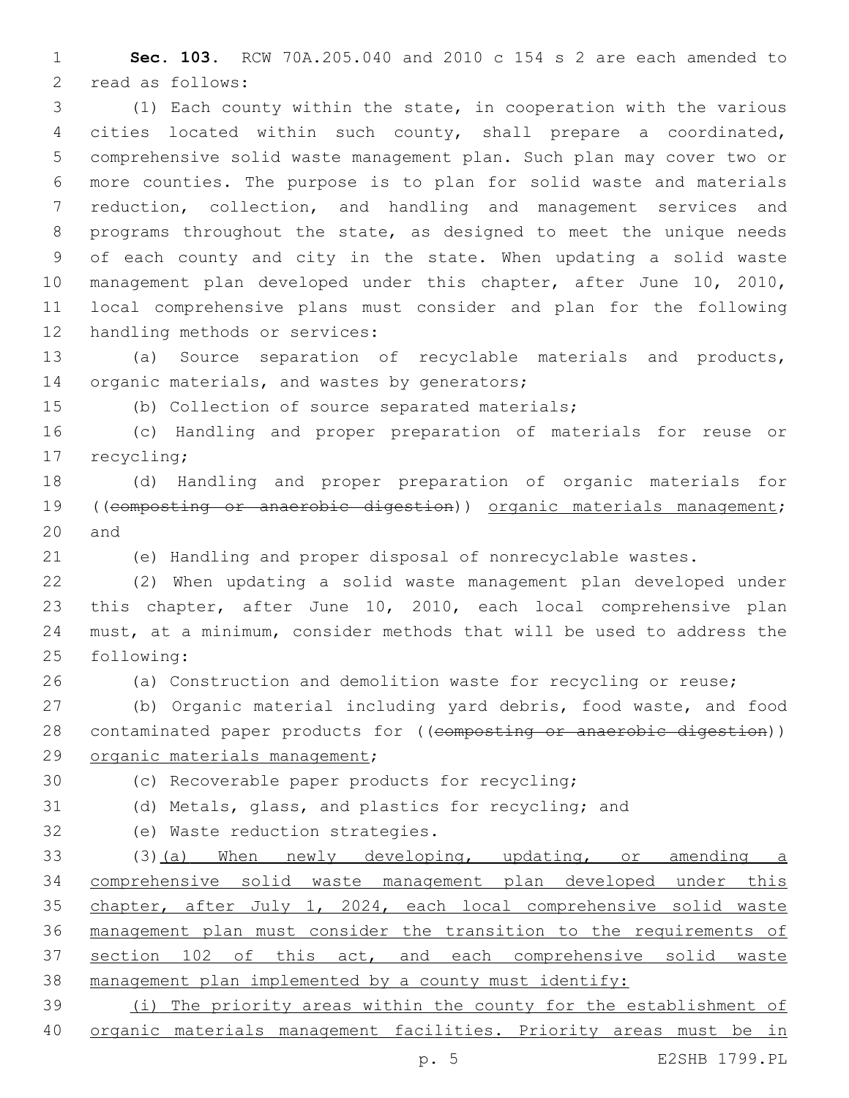**Sec. 103.** RCW 70A.205.040 and 2010 c 154 s 2 are each amended to 2 read as follows:

 (1) Each county within the state, in cooperation with the various cities located within such county, shall prepare a coordinated, comprehensive solid waste management plan. Such plan may cover two or more counties. The purpose is to plan for solid waste and materials reduction, collection, and handling and management services and programs throughout the state, as designed to meet the unique needs of each county and city in the state. When updating a solid waste management plan developed under this chapter, after June 10, 2010, local comprehensive plans must consider and plan for the following 12 handling methods or services:

 (a) Source separation of recyclable materials and products, 14 organic materials, and wastes by generators;

(b) Collection of source separated materials;

 (c) Handling and proper preparation of materials for reuse or 17 recycling;

 (d) Handling and proper preparation of organic materials for ((composting or anaerobic digestion)) organic materials management; 20 and

(e) Handling and proper disposal of nonrecyclable wastes.

 (2) When updating a solid waste management plan developed under this chapter, after June 10, 2010, each local comprehensive plan must, at a minimum, consider methods that will be used to address the 25 following:

(a) Construction and demolition waste for recycling or reuse;

 (b) Organic material including yard debris, food waste, and food 28 contaminated paper products for ((composting or anaerobic digestion)) 29 organic materials management;

30 (c) Recoverable paper products for recycling;

(d) Metals, glass, and plastics for recycling; and

32 (e) Waste reduction strategies.

33 (3)(a) When newly developing, updating, or amending a comprehensive solid waste management plan developed under this chapter, after July 1, 2024, each local comprehensive solid waste management plan must consider the transition to the requirements of 37 section 102 of this act, and each comprehensive solid waste management plan implemented by a county must identify:

 (i) The priority areas within the county for the establishment of organic materials management facilities. Priority areas must be in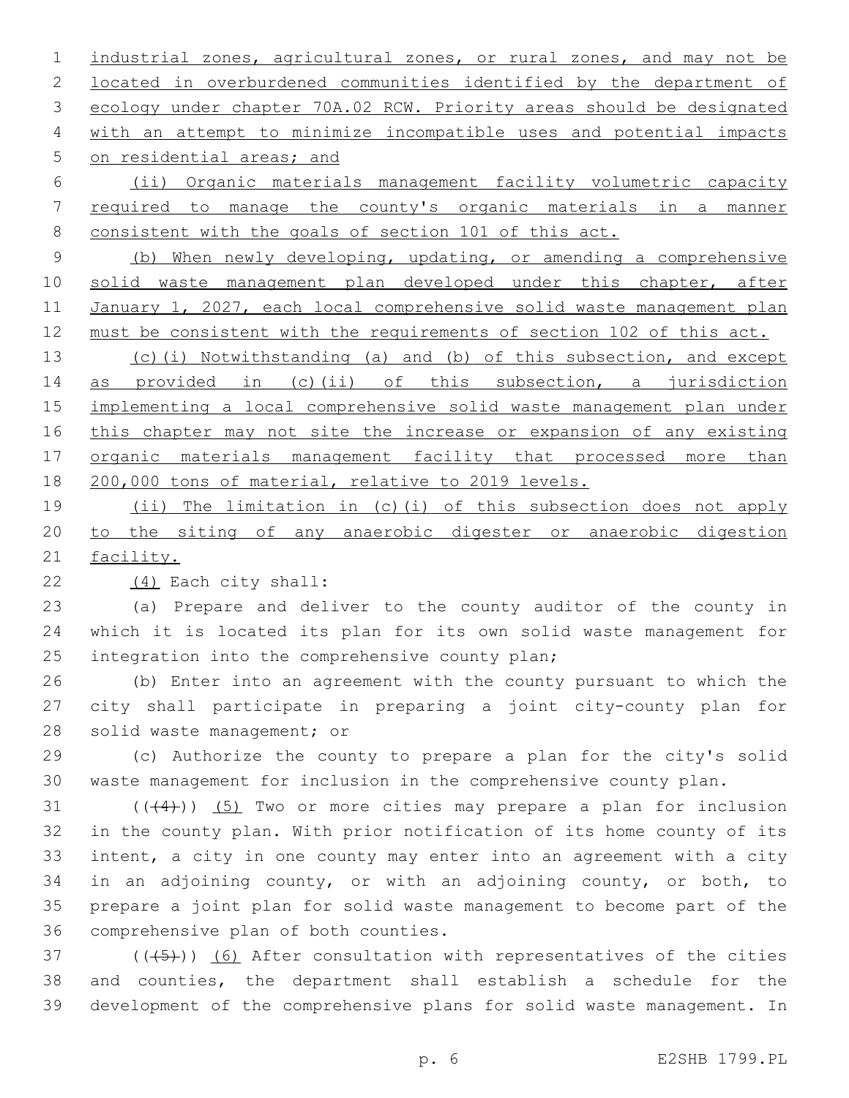industrial zones, agricultural zones, or rural zones, and may not be located in overburdened communities identified by the department of ecology under chapter 70A.02 RCW. Priority areas should be designated with an attempt to minimize incompatible uses and potential impacts 5 on residential areas; and

 (ii) Organic materials management facility volumetric capacity required to manage the county's organic materials in a manner consistent with the goals of section 101 of this act.

 (b) When newly developing, updating, or amending a comprehensive solid waste management plan developed under this chapter, after 11 January 1, 2027, each local comprehensive solid waste management plan 12 must be consistent with the requirements of section 102 of this act.

13 (c)(i) Notwithstanding (a) and (b) of this subsection, and except as provided in (c)(ii) of this subsection, a jurisdiction implementing a local comprehensive solid waste management plan under 16 this chapter may not site the increase or expansion of any existing organic materials management facility that processed more than 200,000 tons of material, relative to 2019 levels.

 (ii) The limitation in (c)(i) of this subsection does not apply to the siting of any anaerobic digester or anaerobic digestion facility.

(4) Each city shall:22

 (a) Prepare and deliver to the county auditor of the county in which it is located its plan for its own solid waste management for 25 integration into the comprehensive county plan;

 (b) Enter into an agreement with the county pursuant to which the city shall participate in preparing a joint city-county plan for 28 solid waste management; or

 (c) Authorize the county to prepare a plan for the city's solid waste management for inclusion in the comprehensive county plan.

 ( $(44)$ )) (5) Two or more cities may prepare a plan for inclusion in the county plan. With prior notification of its home county of its intent, a city in one county may enter into an agreement with a city in an adjoining county, or with an adjoining county, or both, to prepare a joint plan for solid waste management to become part of the 36 comprehensive plan of both counties.

 $(1)(\overline{5})$  (( $(\overline{5})$ ) (6) After consultation with representatives of the cities and counties, the department shall establish a schedule for the development of the comprehensive plans for solid waste management. In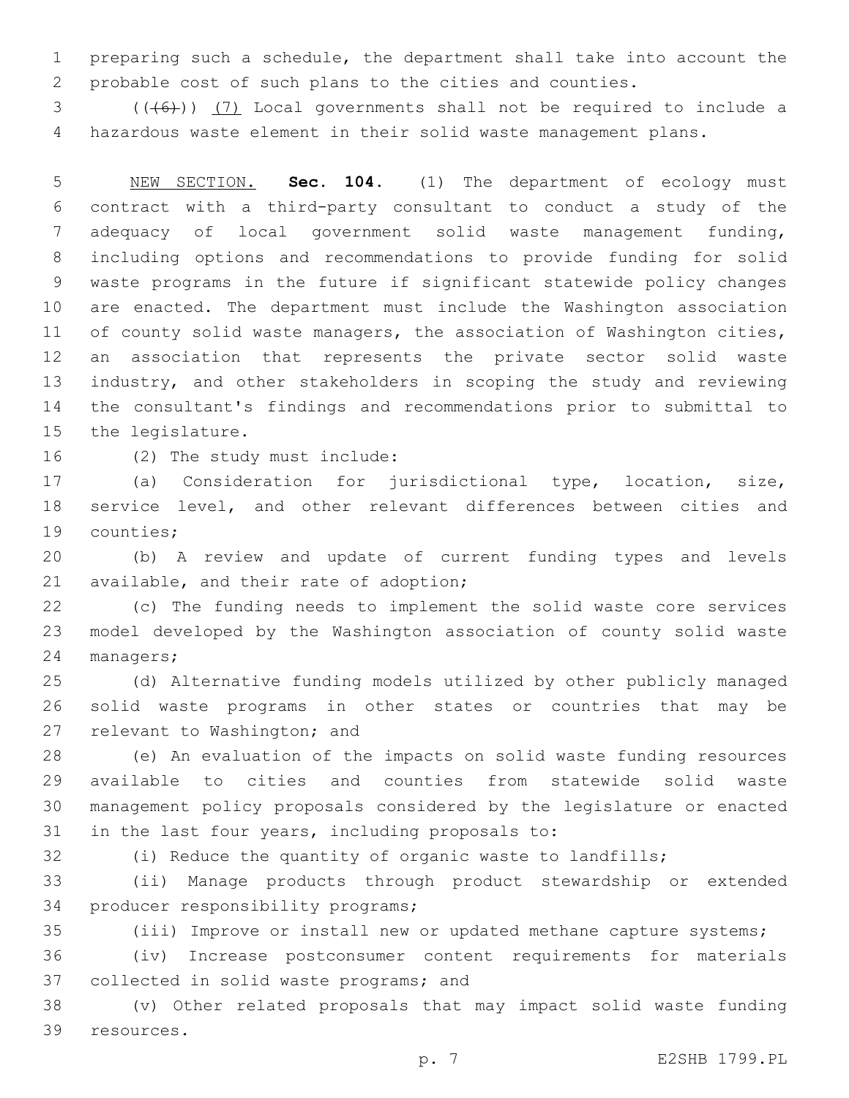preparing such a schedule, the department shall take into account the probable cost of such plans to the cities and counties.

3 (((6)) (7) Local governments shall not be required to include a hazardous waste element in their solid waste management plans.

 NEW SECTION. **Sec. 104.** (1) The department of ecology must contract with a third-party consultant to conduct a study of the adequacy of local government solid waste management funding, including options and recommendations to provide funding for solid waste programs in the future if significant statewide policy changes are enacted. The department must include the Washington association of county solid waste managers, the association of Washington cities, an association that represents the private sector solid waste industry, and other stakeholders in scoping the study and reviewing the consultant's findings and recommendations prior to submittal to the legislature.

16 (2) The study must include:

 (a) Consideration for jurisdictional type, location, size, service level, and other relevant differences between cities and 19 counties;

 (b) A review and update of current funding types and levels 21 available, and their rate of adoption;

 (c) The funding needs to implement the solid waste core services model developed by the Washington association of county solid waste 24 managers;

 (d) Alternative funding models utilized by other publicly managed solid waste programs in other states or countries that may be 27 relevant to Washington; and

 (e) An evaluation of the impacts on solid waste funding resources available to cities and counties from statewide solid waste management policy proposals considered by the legislature or enacted 31 in the last four years, including proposals to:

(i) Reduce the quantity of organic waste to landfills;

 (ii) Manage products through product stewardship or extended 34 producer responsibility programs;

(iii) Improve or install new or updated methane capture systems;

 (iv) Increase postconsumer content requirements for materials 37 collected in solid waste programs; and

 (v) Other related proposals that may impact solid waste funding 39 resources.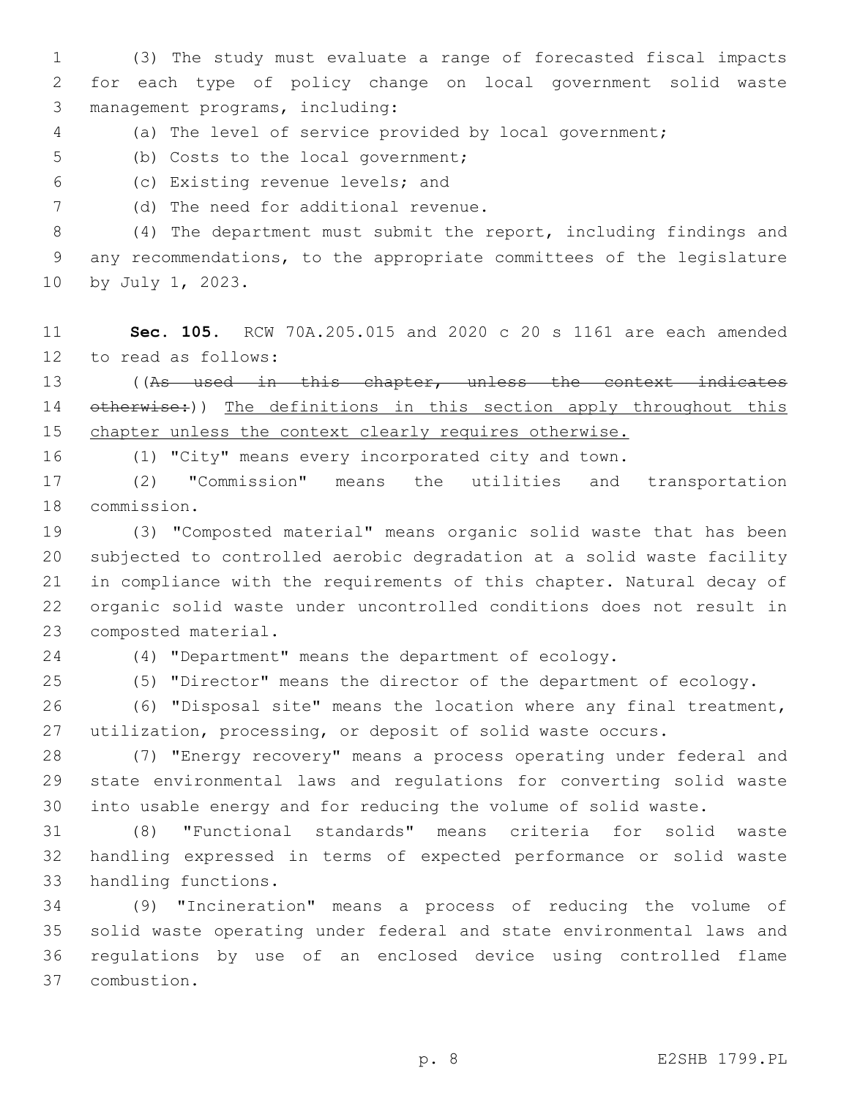(3) The study must evaluate a range of forecasted fiscal impacts for each type of policy change on local government solid waste management programs, including:3

(a) The level of service provided by local government;

5 (b) Costs to the local government;

- (c) Existing revenue levels; and6
- 7 (d) The need for additional revenue.

 (4) The department must submit the report, including findings and any recommendations, to the appropriate committees of the legislature 10 by July 1, 2023.

 **Sec. 105.** RCW 70A.205.015 and 2020 c 20 s 1161 are each amended 12 to read as follows:

 ((As used in this chapter, unless the context indicates 14 otherwise:)) The definitions in this section apply throughout this 15 chapter unless the context clearly requires otherwise.

(1) "City" means every incorporated city and town.

 (2) "Commission" means the utilities and transportation 18 commission.

 (3) "Composted material" means organic solid waste that has been subjected to controlled aerobic degradation at a solid waste facility in compliance with the requirements of this chapter. Natural decay of organic solid waste under uncontrolled conditions does not result in 23 composted material.

(4) "Department" means the department of ecology.

(5) "Director" means the director of the department of ecology.

 (6) "Disposal site" means the location where any final treatment, utilization, processing, or deposit of solid waste occurs.

 (7) "Energy recovery" means a process operating under federal and state environmental laws and regulations for converting solid waste into usable energy and for reducing the volume of solid waste.

 (8) "Functional standards" means criteria for solid waste handling expressed in terms of expected performance or solid waste 33 handling functions.

 (9) "Incineration" means a process of reducing the volume of solid waste operating under federal and state environmental laws and regulations by use of an enclosed device using controlled flame combustion.37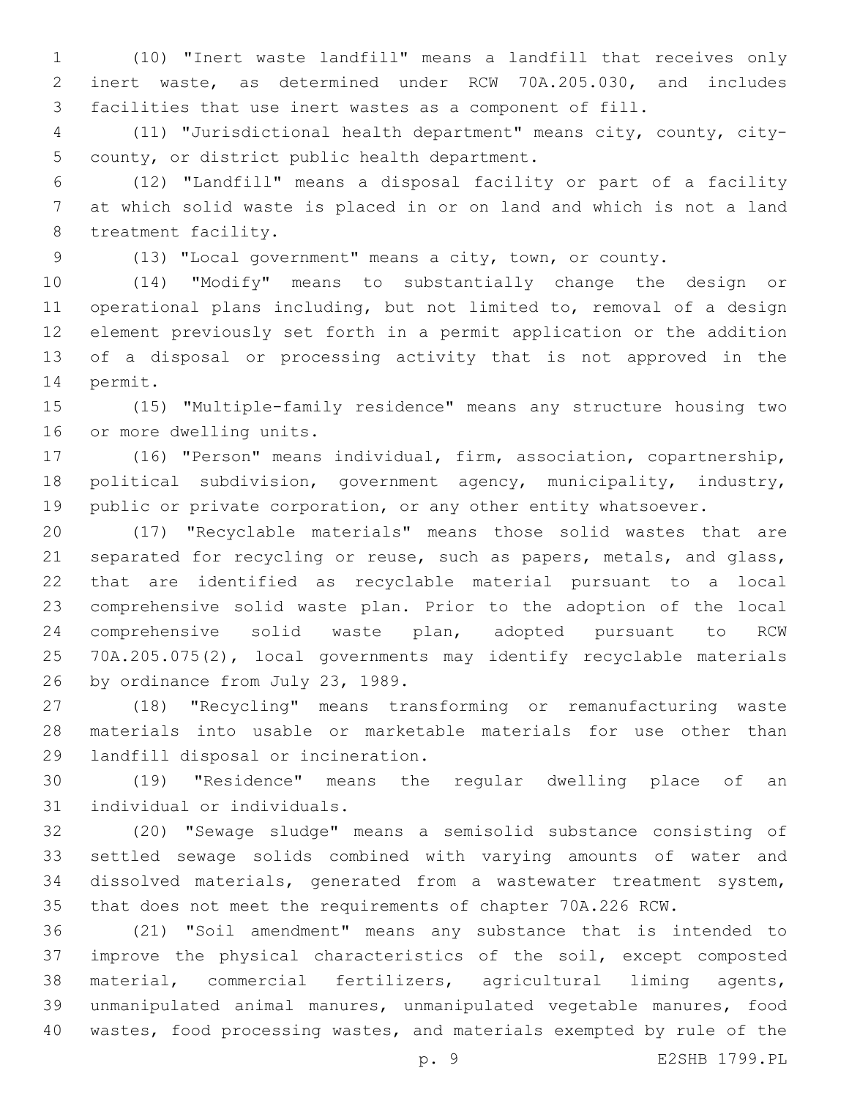(10) "Inert waste landfill" means a landfill that receives only inert waste, as determined under RCW 70A.205.030, and includes facilities that use inert wastes as a component of fill.

 (11) "Jurisdictional health department" means city, county, city-5 county, or district public health department.

 (12) "Landfill" means a disposal facility or part of a facility at which solid waste is placed in or on land and which is not a land 8 treatment facility.

(13) "Local government" means a city, town, or county.

 (14) "Modify" means to substantially change the design or operational plans including, but not limited to, removal of a design element previously set forth in a permit application or the addition of a disposal or processing activity that is not approved in the 14 permit.

 (15) "Multiple-family residence" means any structure housing two 16 or more dwelling units.

 (16) "Person" means individual, firm, association, copartnership, political subdivision, government agency, municipality, industry, public or private corporation, or any other entity whatsoever.

 (17) "Recyclable materials" means those solid wastes that are separated for recycling or reuse, such as papers, metals, and glass, that are identified as recyclable material pursuant to a local comprehensive solid waste plan. Prior to the adoption of the local comprehensive solid waste plan, adopted pursuant to RCW 70A.205.075(2), local governments may identify recyclable materials 26 by ordinance from July 23, 1989.

 (18) "Recycling" means transforming or remanufacturing waste materials into usable or marketable materials for use other than 29 landfill disposal or incineration.

 (19) "Residence" means the regular dwelling place of an 31 individual or individuals.

 (20) "Sewage sludge" means a semisolid substance consisting of settled sewage solids combined with varying amounts of water and dissolved materials, generated from a wastewater treatment system, that does not meet the requirements of chapter 70A.226 RCW.

 (21) "Soil amendment" means any substance that is intended to improve the physical characteristics of the soil, except composted material, commercial fertilizers, agricultural liming agents, unmanipulated animal manures, unmanipulated vegetable manures, food wastes, food processing wastes, and materials exempted by rule of the

p. 9 E2SHB 1799.PL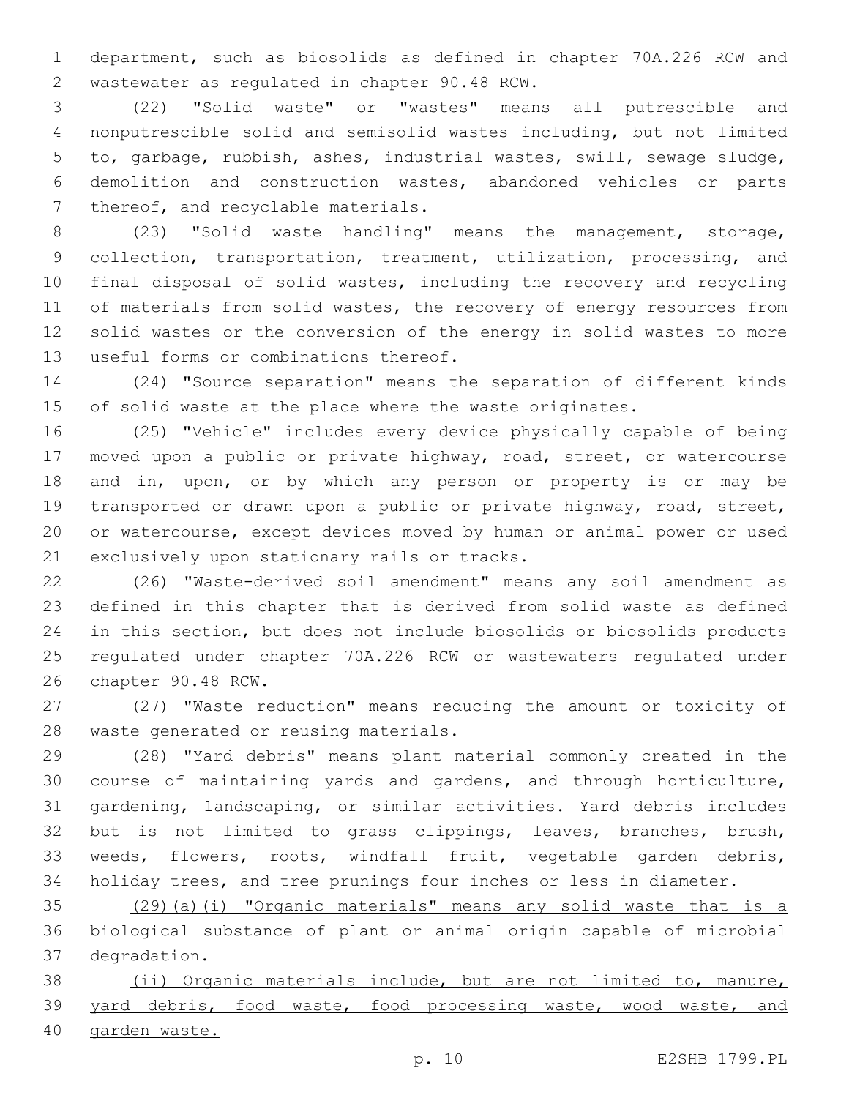department, such as biosolids as defined in chapter 70A.226 RCW and 2 wastewater as regulated in chapter 90.48 RCW.

 (22) "Solid waste" or "wastes" means all putrescible and nonputrescible solid and semisolid wastes including, but not limited to, garbage, rubbish, ashes, industrial wastes, swill, sewage sludge, demolition and construction wastes, abandoned vehicles or parts 7 thereof, and recyclable materials.

 (23) "Solid waste handling" means the management, storage, 9 collection, transportation, treatment, utilization, processing, and final disposal of solid wastes, including the recovery and recycling 11 of materials from solid wastes, the recovery of energy resources from solid wastes or the conversion of the energy in solid wastes to more 13 useful forms or combinations thereof.

 (24) "Source separation" means the separation of different kinds of solid waste at the place where the waste originates.

 (25) "Vehicle" includes every device physically capable of being moved upon a public or private highway, road, street, or watercourse and in, upon, or by which any person or property is or may be transported or drawn upon a public or private highway, road, street, or watercourse, except devices moved by human or animal power or used 21 exclusively upon stationary rails or tracks.

 (26) "Waste-derived soil amendment" means any soil amendment as defined in this chapter that is derived from solid waste as defined in this section, but does not include biosolids or biosolids products regulated under chapter 70A.226 RCW or wastewaters regulated under 26 chapter 90.48 RCW.

 (27) "Waste reduction" means reducing the amount or toxicity of 28 waste generated or reusing materials.

 (28) "Yard debris" means plant material commonly created in the course of maintaining yards and gardens, and through horticulture, gardening, landscaping, or similar activities. Yard debris includes but is not limited to grass clippings, leaves, branches, brush, weeds, flowers, roots, windfall fruit, vegetable garden debris, holiday trees, and tree prunings four inches or less in diameter.

 (29)(a)(i) "Organic materials" means any solid waste that is a biological substance of plant or animal origin capable of microbial degradation.

 (ii) Organic materials include, but are not limited to, manure, yard debris, food waste, food processing waste, wood waste, and garden waste.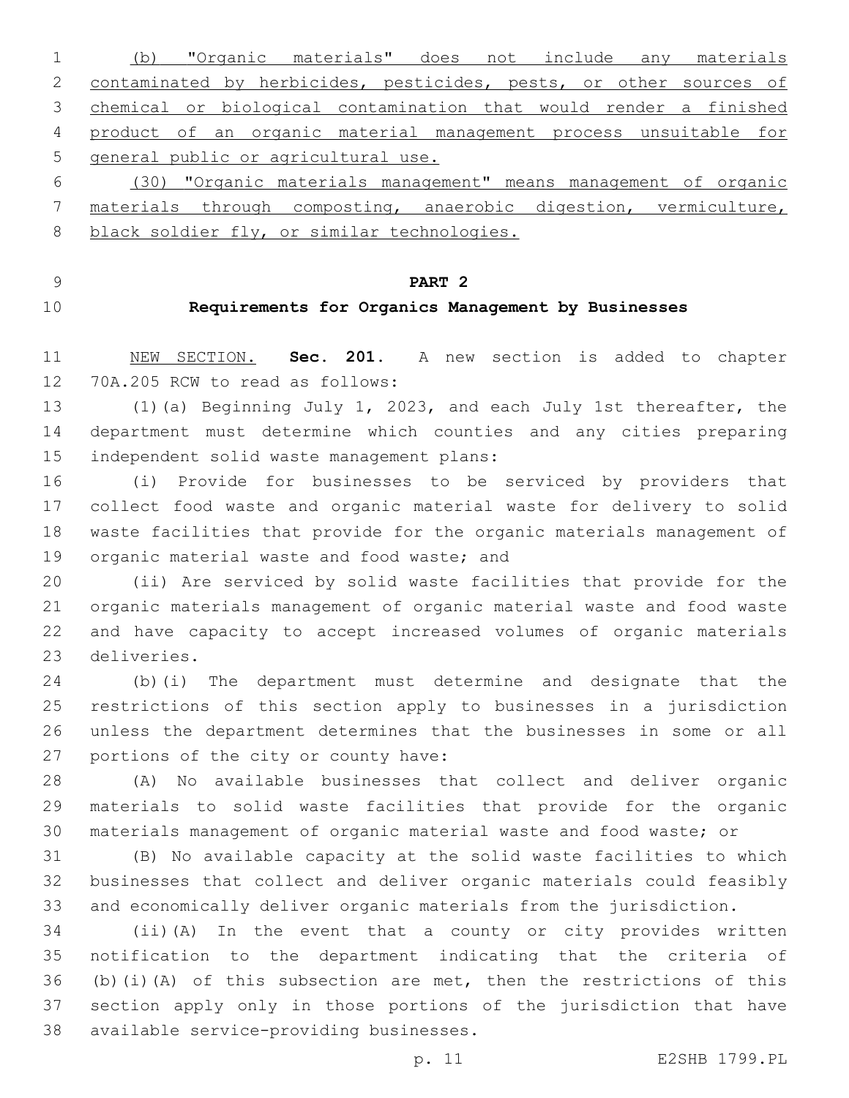(b) "Organic materials" does not include any materials 2 contaminated by herbicides, pesticides, pests, or other sources of chemical or biological contamination that would render a finished product of an organic material management process unsuitable for general public or agricultural use.

 (30) "Organic materials management" means management of organic materials through composting, anaerobic digestion, vermiculture, 8 black soldier fly, or similar technologies.

**PART 2**

### **Requirements for Organics Management by Businesses**

 NEW SECTION. **Sec. 201.** A new section is added to chapter 12 70A.205 RCW to read as follows:

 (1)(a) Beginning July 1, 2023, and each July 1st thereafter, the department must determine which counties and any cities preparing 15 independent solid waste management plans:

 (i) Provide for businesses to be serviced by providers that collect food waste and organic material waste for delivery to solid waste facilities that provide for the organic materials management of 19 organic material waste and food waste; and

 (ii) Are serviced by solid waste facilities that provide for the organic materials management of organic material waste and food waste and have capacity to accept increased volumes of organic materials 23 deliveries.

 (b)(i) The department must determine and designate that the restrictions of this section apply to businesses in a jurisdiction unless the department determines that the businesses in some or all 27 portions of the city or county have:

 (A) No available businesses that collect and deliver organic materials to solid waste facilities that provide for the organic materials management of organic material waste and food waste; or

 (B) No available capacity at the solid waste facilities to which businesses that collect and deliver organic materials could feasibly and economically deliver organic materials from the jurisdiction.

 (ii)(A) In the event that a county or city provides written notification to the department indicating that the criteria of 36 (b)(i)(A) of this subsection are met, then the restrictions of this section apply only in those portions of the jurisdiction that have 38 available service-providing businesses.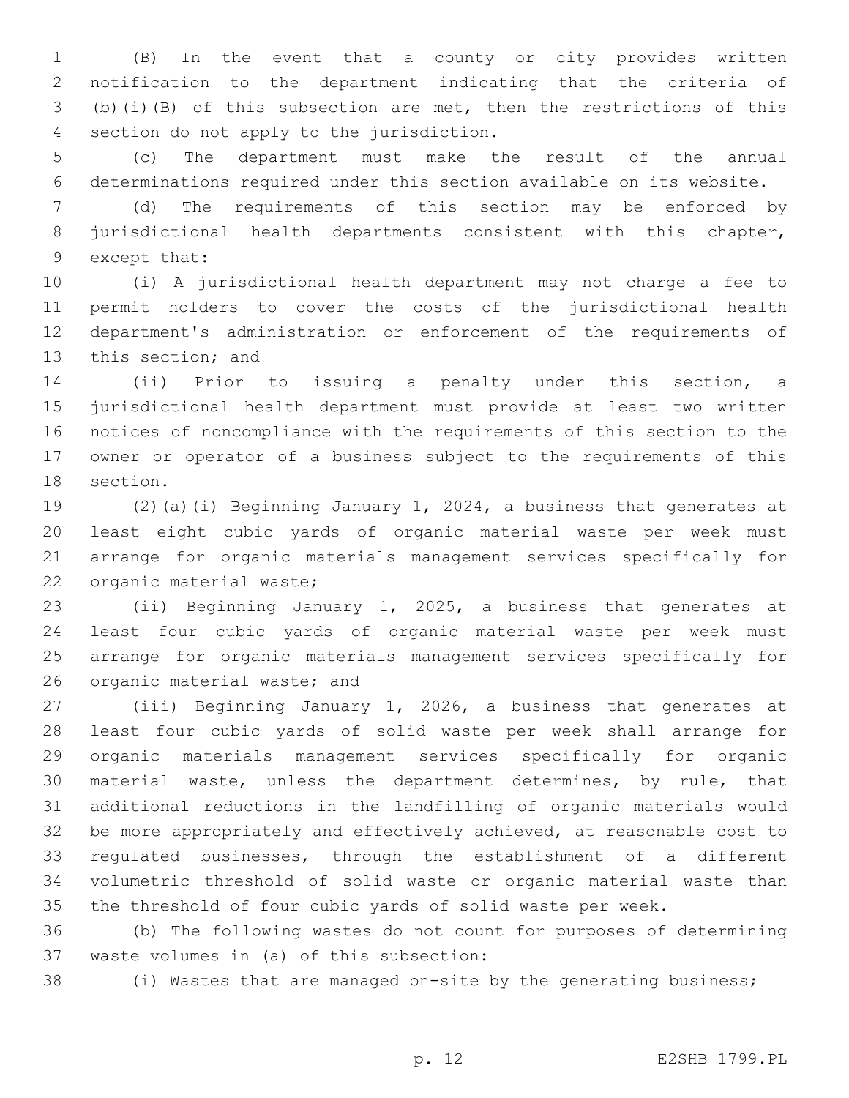(B) In the event that a county or city provides written notification to the department indicating that the criteria of (b)(i)(B) of this subsection are met, then the restrictions of this 4 section do not apply to the jurisdiction.

 (c) The department must make the result of the annual determinations required under this section available on its website.

 (d) The requirements of this section may be enforced by jurisdictional health departments consistent with this chapter, 9 except that:

 (i) A jurisdictional health department may not charge a fee to permit holders to cover the costs of the jurisdictional health department's administration or enforcement of the requirements of 13 this section; and

 (ii) Prior to issuing a penalty under this section, a jurisdictional health department must provide at least two written notices of noncompliance with the requirements of this section to the owner or operator of a business subject to the requirements of this 18 section.

 (2)(a)(i) Beginning January 1, 2024, a business that generates at least eight cubic yards of organic material waste per week must arrange for organic materials management services specifically for 22 organic material waste;

 (ii) Beginning January 1, 2025, a business that generates at least four cubic yards of organic material waste per week must arrange for organic materials management services specifically for 26 organic material waste; and

 (iii) Beginning January 1, 2026, a business that generates at least four cubic yards of solid waste per week shall arrange for organic materials management services specifically for organic material waste, unless the department determines, by rule, that additional reductions in the landfilling of organic materials would be more appropriately and effectively achieved, at reasonable cost to regulated businesses, through the establishment of a different volumetric threshold of solid waste or organic material waste than the threshold of four cubic yards of solid waste per week.

 (b) The following wastes do not count for purposes of determining 37 waste volumes in (a) of this subsection:

(i) Wastes that are managed on-site by the generating business;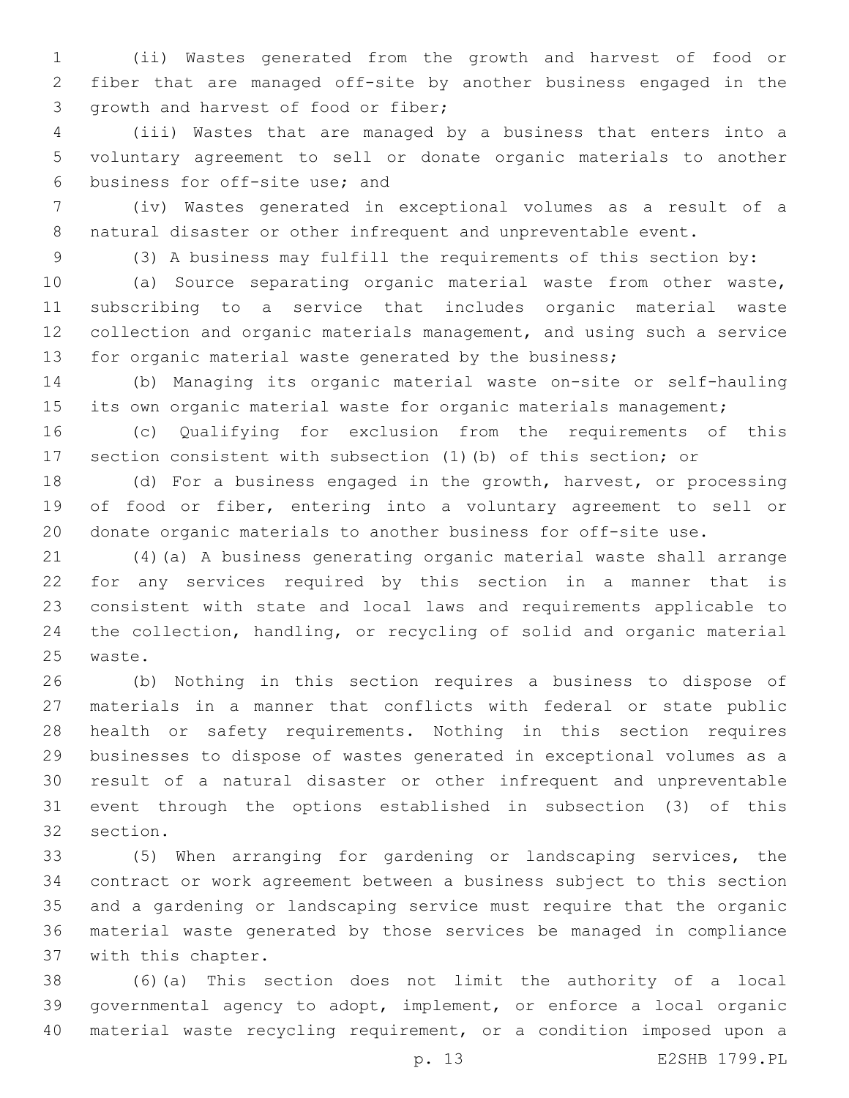(ii) Wastes generated from the growth and harvest of food or fiber that are managed off-site by another business engaged in the 3 growth and harvest of food or fiber;

 (iii) Wastes that are managed by a business that enters into a voluntary agreement to sell or donate organic materials to another 6 business for off-site use; and

 (iv) Wastes generated in exceptional volumes as a result of a 8 natural disaster or other infrequent and unpreventable event.

(3) A business may fulfill the requirements of this section by:

 (a) Source separating organic material waste from other waste, subscribing to a service that includes organic material waste collection and organic materials management, and using such a service for organic material waste generated by the business;

 (b) Managing its organic material waste on-site or self-hauling 15 its own organic material waste for organic materials management;

 (c) Qualifying for exclusion from the requirements of this section consistent with subsection (1)(b) of this section; or

 (d) For a business engaged in the growth, harvest, or processing of food or fiber, entering into a voluntary agreement to sell or donate organic materials to another business for off-site use.

 (4)(a) A business generating organic material waste shall arrange for any services required by this section in a manner that is consistent with state and local laws and requirements applicable to the collection, handling, or recycling of solid and organic material 25 waste.

 (b) Nothing in this section requires a business to dispose of materials in a manner that conflicts with federal or state public health or safety requirements. Nothing in this section requires businesses to dispose of wastes generated in exceptional volumes as a result of a natural disaster or other infrequent and unpreventable event through the options established in subsection (3) of this 32 section.

 (5) When arranging for gardening or landscaping services, the contract or work agreement between a business subject to this section and a gardening or landscaping service must require that the organic material waste generated by those services be managed in compliance 37 with this chapter.

 (6)(a) This section does not limit the authority of a local governmental agency to adopt, implement, or enforce a local organic material waste recycling requirement, or a condition imposed upon a

p. 13 E2SHB 1799.PL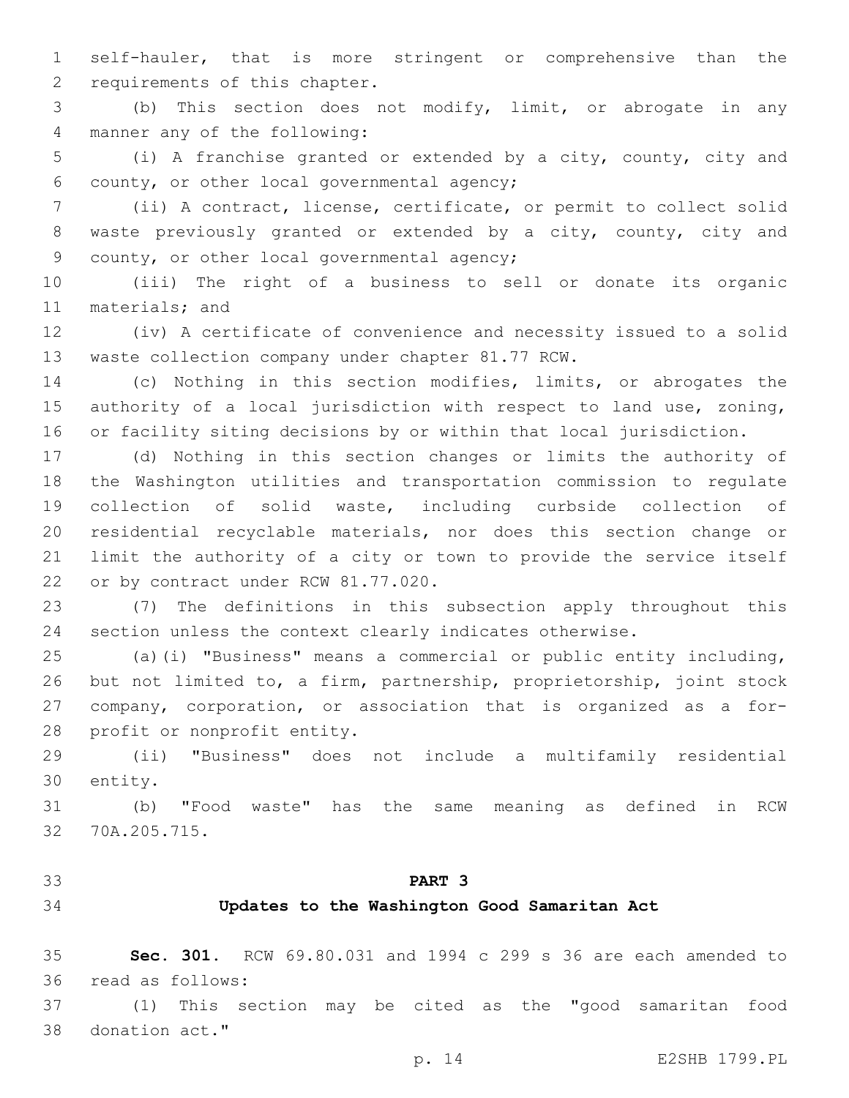self-hauler, that is more stringent or comprehensive than the 2 requirements of this chapter.

 (b) This section does not modify, limit, or abrogate in any 4 manner any of the following:

 (i) A franchise granted or extended by a city, county, city and 6 county, or other local governmental agency;

 (ii) A contract, license, certificate, or permit to collect solid waste previously granted or extended by a city, county, city and 9 county, or other local governmental agency;

 (iii) The right of a business to sell or donate its organic 11 materials; and

 (iv) A certificate of convenience and necessity issued to a solid 13 waste collection company under chapter 81.77 RCW.

 (c) Nothing in this section modifies, limits, or abrogates the authority of a local jurisdiction with respect to land use, zoning, or facility siting decisions by or within that local jurisdiction.

 (d) Nothing in this section changes or limits the authority of the Washington utilities and transportation commission to regulate collection of solid waste, including curbside collection of residential recyclable materials, nor does this section change or limit the authority of a city or town to provide the service itself 22 or by contract under RCW 81.77.020.

 (7) The definitions in this subsection apply throughout this section unless the context clearly indicates otherwise.

 (a)(i) "Business" means a commercial or public entity including, but not limited to, a firm, partnership, proprietorship, joint stock company, corporation, or association that is organized as a for-28 profit or nonprofit entity.

 (ii) "Business" does not include a multifamily residential 30 entity.

 (b) "Food waste" has the same meaning as defined in RCW 32 70A.205.715.

## **PART 3**

#### **Updates to the Washington Good Samaritan Act**

 **Sec. 301.** RCW 69.80.031 and 1994 c 299 s 36 are each amended to 36 read as follows:

 (1) This section may be cited as the "good samaritan food 38 donation act."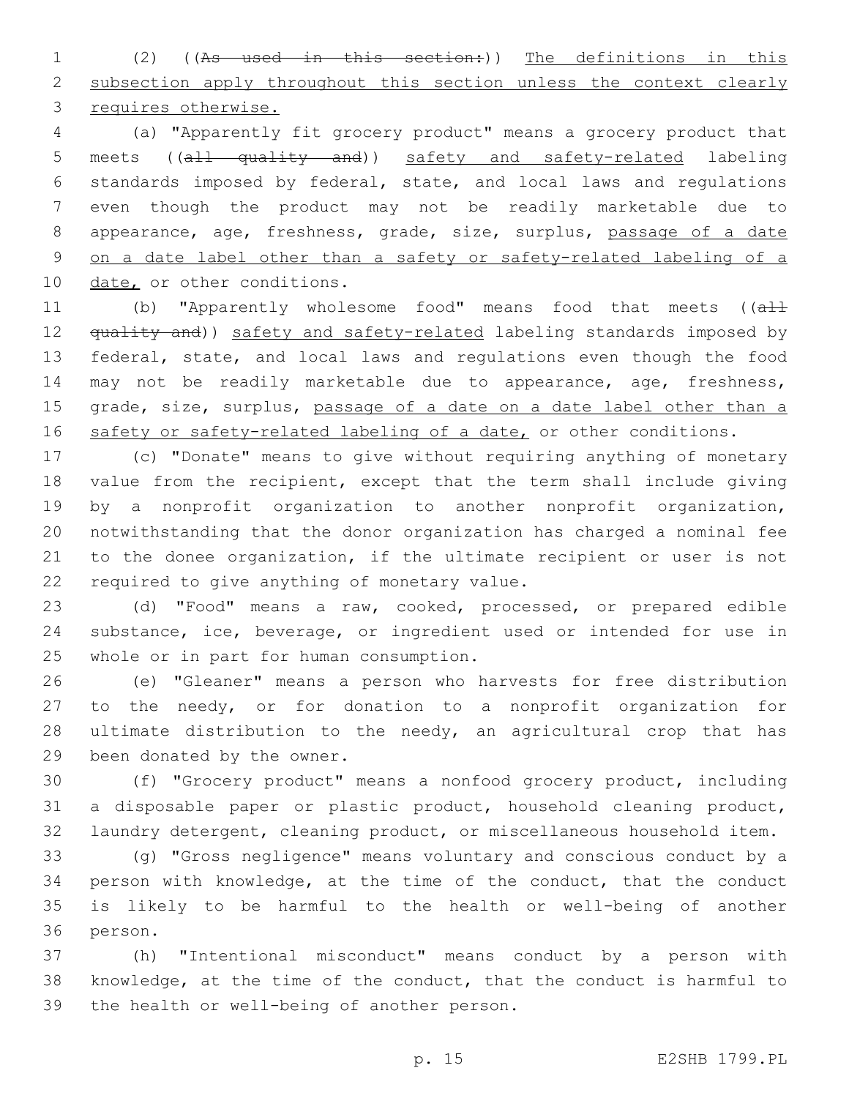(2) ((As used in this section:)) The definitions in this 2 subsection apply throughout this section unless the context clearly requires otherwise.

 (a) "Apparently fit grocery product" means a grocery product that meets ((all quality and)) safety and safety-related labeling standards imposed by federal, state, and local laws and regulations even though the product may not be readily marketable due to appearance, age, freshness, grade, size, surplus, passage of a date on a date label other than a safety or safety-related labeling of a 10 date, or other conditions.

11 (b) "Apparently wholesome food" means food that meets ((all 12 <del>quality and</del>)) safety and safety-related labeling standards imposed by federal, state, and local laws and regulations even though the food may not be readily marketable due to appearance, age, freshness, 15 grade, size, surplus, passage of a date on a date label other than a 16 safety or safety-related labeling of a date, or other conditions.

 (c) "Donate" means to give without requiring anything of monetary value from the recipient, except that the term shall include giving by a nonprofit organization to another nonprofit organization, notwithstanding that the donor organization has charged a nominal fee to the donee organization, if the ultimate recipient or user is not 22 required to give anything of monetary value.

 (d) "Food" means a raw, cooked, processed, or prepared edible substance, ice, beverage, or ingredient used or intended for use in 25 whole or in part for human consumption.

 (e) "Gleaner" means a person who harvests for free distribution to the needy, or for donation to a nonprofit organization for ultimate distribution to the needy, an agricultural crop that has 29 been donated by the owner.

 (f) "Grocery product" means a nonfood grocery product, including a disposable paper or plastic product, household cleaning product, laundry detergent, cleaning product, or miscellaneous household item.

 (g) "Gross negligence" means voluntary and conscious conduct by a person with knowledge, at the time of the conduct, that the conduct is likely to be harmful to the health or well-being of another 36 person.

 (h) "Intentional misconduct" means conduct by a person with knowledge, at the time of the conduct, that the conduct is harmful to 39 the health or well-being of another person.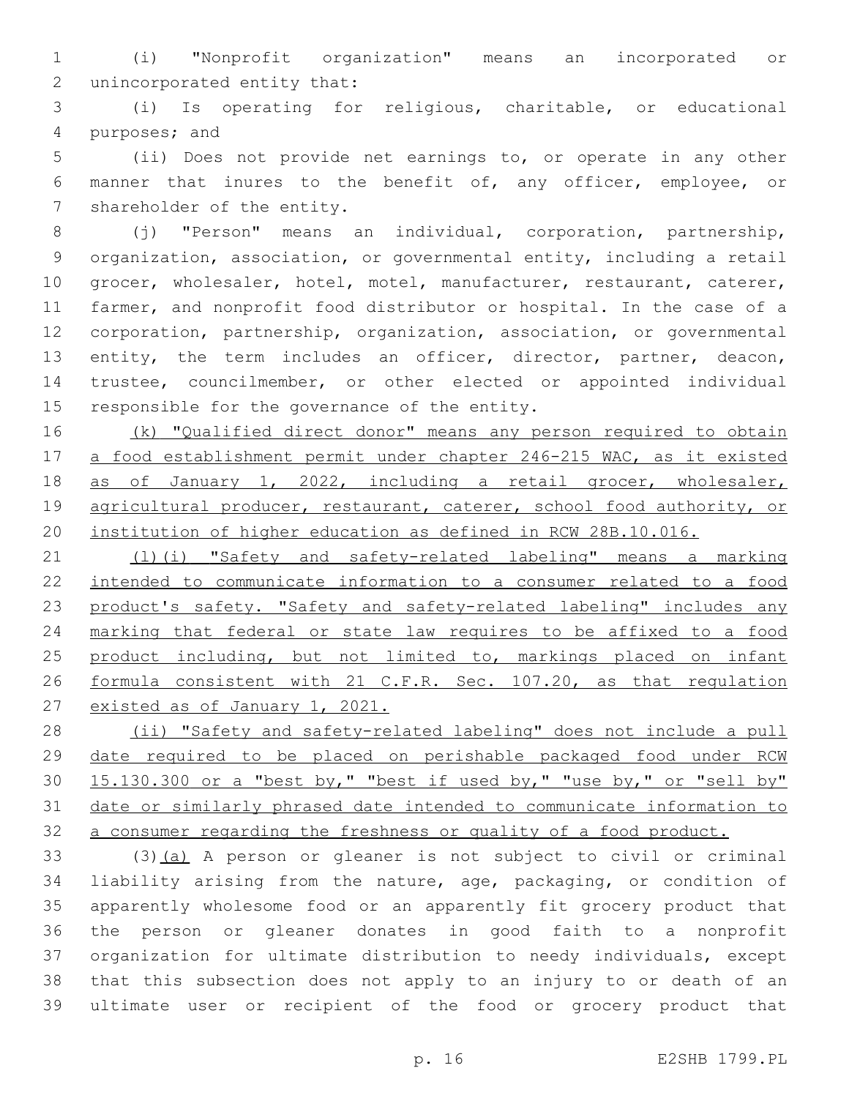(i) "Nonprofit organization" means an incorporated or 2 unincorporated entity that:

 (i) Is operating for religious, charitable, or educational 4 purposes; and

 (ii) Does not provide net earnings to, or operate in any other manner that inures to the benefit of, any officer, employee, or 7 shareholder of the entity.

 (j) "Person" means an individual, corporation, partnership, organization, association, or governmental entity, including a retail grocer, wholesaler, hotel, motel, manufacturer, restaurant, caterer, farmer, and nonprofit food distributor or hospital. In the case of a corporation, partnership, organization, association, or governmental 13 entity, the term includes an officer, director, partner, deacon, trustee, councilmember, or other elected or appointed individual 15 responsible for the governance of the entity.

16 (k) "Qualified direct donor" means any person required to obtain 17 a food establishment permit under chapter 246-215 WAC, as it existed 18 as of January 1, 2022, including a retail grocer, wholesaler, 19 agricultural producer, restaurant, caterer, school food authority, or institution of higher education as defined in RCW 28B.10.016.

21 (1)(i) "Safety and safety-related labeling" means a marking intended to communicate information to a consumer related to a food 23 product's safety. "Safety and safety-related labeling" includes any marking that federal or state law requires to be affixed to a food 25 product including, but not limited to, markings placed on infant formula consistent with 21 C.F.R. Sec. 107.20, as that regulation 27 existed as of January 1, 2021.

 (ii) "Safety and safety-related labeling" does not include a pull date required to be placed on perishable packaged food under RCW 15.130.300 or a "best by," "best if used by," "use by," or "sell by" date or similarly phrased date intended to communicate information to a consumer regarding the freshness or quality of a food product.

33 (3)(a) A person or gleaner is not subject to civil or criminal liability arising from the nature, age, packaging, or condition of apparently wholesome food or an apparently fit grocery product that the person or gleaner donates in good faith to a nonprofit organization for ultimate distribution to needy individuals, except that this subsection does not apply to an injury to or death of an ultimate user or recipient of the food or grocery product that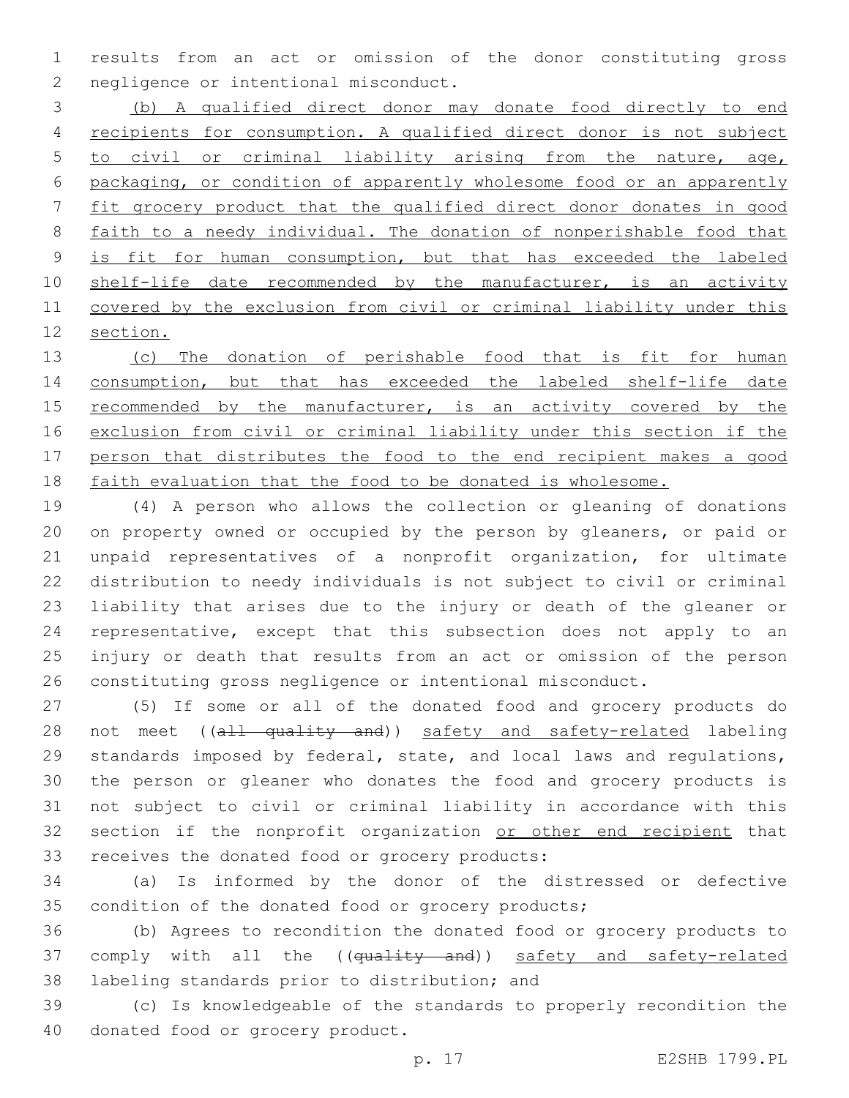results from an act or omission of the donor constituting gross 2 negligence or intentional misconduct.

 (b) A qualified direct donor may donate food directly to end recipients for consumption. A qualified direct donor is not subject to civil or criminal liability arising from the nature, age, packaging, or condition of apparently wholesome food or an apparently fit grocery product that the qualified direct donor donates in good faith to a needy individual. The donation of nonperishable food that 9 is fit for human consumption, but that has exceeded the labeled 10 shelf-life date recommended by the manufacturer, is an activity covered by the exclusion from civil or criminal liability under this section.

 (c) The donation of perishable food that is fit for human consumption, but that has exceeded the labeled shelf-life date 15 recommended by the manufacturer, is an activity covered by the exclusion from civil or criminal liability under this section if the person that distributes the food to the end recipient makes a good faith evaluation that the food to be donated is wholesome.

 (4) A person who allows the collection or gleaning of donations on property owned or occupied by the person by gleaners, or paid or unpaid representatives of a nonprofit organization, for ultimate distribution to needy individuals is not subject to civil or criminal liability that arises due to the injury or death of the gleaner or representative, except that this subsection does not apply to an injury or death that results from an act or omission of the person constituting gross negligence or intentional misconduct.

 (5) If some or all of the donated food and grocery products do 28 not meet ((all quality and)) safety and safety-related labeling standards imposed by federal, state, and local laws and regulations, the person or gleaner who donates the food and grocery products is not subject to civil or criminal liability in accordance with this 32 section if the nonprofit organization or other end recipient that 33 receives the donated food or grocery products:

 (a) Is informed by the donor of the distressed or defective condition of the donated food or grocery products;

 (b) Agrees to recondition the donated food or grocery products to 37 comply with all the ((quality and)) safety and safety-related 38 labeling standards prior to distribution; and

 (c) Is knowledgeable of the standards to properly recondition the 40 donated food or grocery product.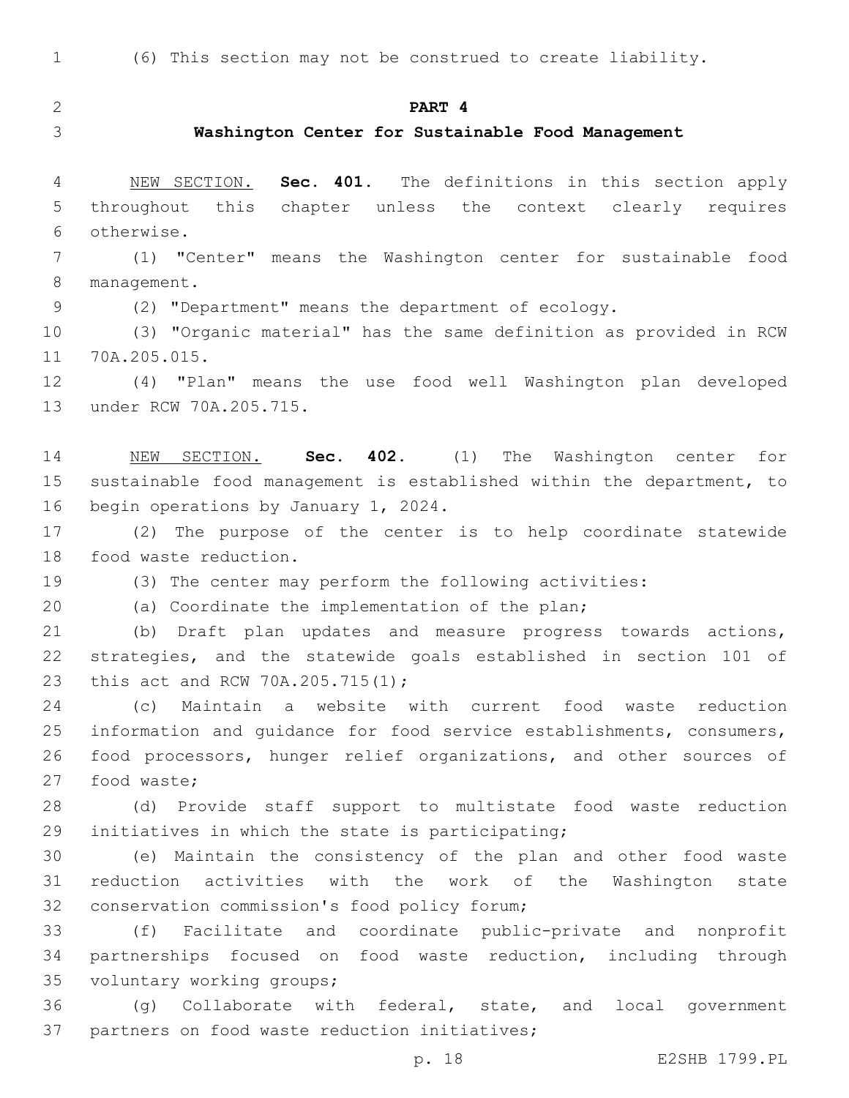(6) This section may not be construed to create liability.

**PART 4**

#### **Washington Center for Sustainable Food Management**

 NEW SECTION. **Sec. 401.** The definitions in this section apply throughout this chapter unless the context clearly requires otherwise.

 (1) "Center" means the Washington center for sustainable food 8 management.

(2) "Department" means the department of ecology.

 (3) "Organic material" has the same definition as provided in RCW 11 70A.205.015.

 (4) "Plan" means the use food well Washington plan developed 13 under RCW 70A.205.715.

 NEW SECTION. **Sec. 402.** (1) The Washington center for sustainable food management is established within the department, to begin operations by January 1, 2024.

 (2) The purpose of the center is to help coordinate statewide 18 food waste reduction.

(3) The center may perform the following activities:

(a) Coordinate the implementation of the plan;

 (b) Draft plan updates and measure progress towards actions, strategies, and the statewide goals established in section 101 of 23 this act and RCW 70A.205.715(1);

 (c) Maintain a website with current food waste reduction information and guidance for food service establishments, consumers, food processors, hunger relief organizations, and other sources of 27 food waste;

 (d) Provide staff support to multistate food waste reduction 29 initiatives in which the state is participating;

 (e) Maintain the consistency of the plan and other food waste reduction activities with the work of the Washington state 32 conservation commission's food policy forum;

 (f) Facilitate and coordinate public-private and nonprofit partnerships focused on food waste reduction, including through 35 voluntary working groups;

 (g) Collaborate with federal, state, and local government 37 partners on food waste reduction initiatives;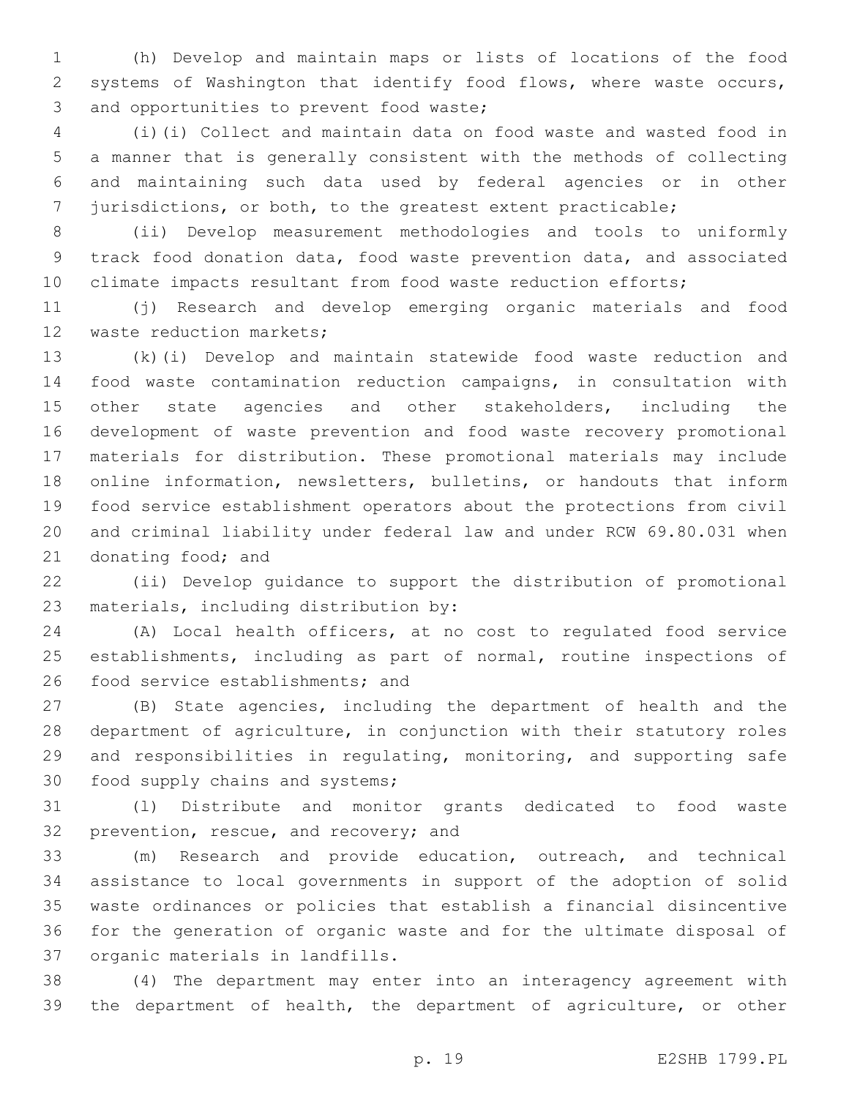(h) Develop and maintain maps or lists of locations of the food systems of Washington that identify food flows, where waste occurs, 3 and opportunities to prevent food waste;

 (i)(i) Collect and maintain data on food waste and wasted food in a manner that is generally consistent with the methods of collecting and maintaining such data used by federal agencies or in other jurisdictions, or both, to the greatest extent practicable;

 (ii) Develop measurement methodologies and tools to uniformly track food donation data, food waste prevention data, and associated climate impacts resultant from food waste reduction efforts;

 (j) Research and develop emerging organic materials and food 12 waste reduction markets;

 (k)(i) Develop and maintain statewide food waste reduction and food waste contamination reduction campaigns, in consultation with 15 other state agencies and other stakeholders, including the development of waste prevention and food waste recovery promotional materials for distribution. These promotional materials may include online information, newsletters, bulletins, or handouts that inform food service establishment operators about the protections from civil and criminal liability under federal law and under RCW 69.80.031 when 21 donating food; and

 (ii) Develop guidance to support the distribution of promotional 23 materials, including distribution by:

 (A) Local health officers, at no cost to regulated food service establishments, including as part of normal, routine inspections of 26 food service establishments; and

 (B) State agencies, including the department of health and the department of agriculture, in conjunction with their statutory roles and responsibilities in regulating, monitoring, and supporting safe 30 food supply chains and systems;

 (l) Distribute and monitor grants dedicated to food waste 32 prevention, rescue, and recovery; and

 (m) Research and provide education, outreach, and technical assistance to local governments in support of the adoption of solid waste ordinances or policies that establish a financial disincentive for the generation of organic waste and for the ultimate disposal of 37 organic materials in landfills.

 (4) The department may enter into an interagency agreement with the department of health, the department of agriculture, or other

p. 19 E2SHB 1799.PL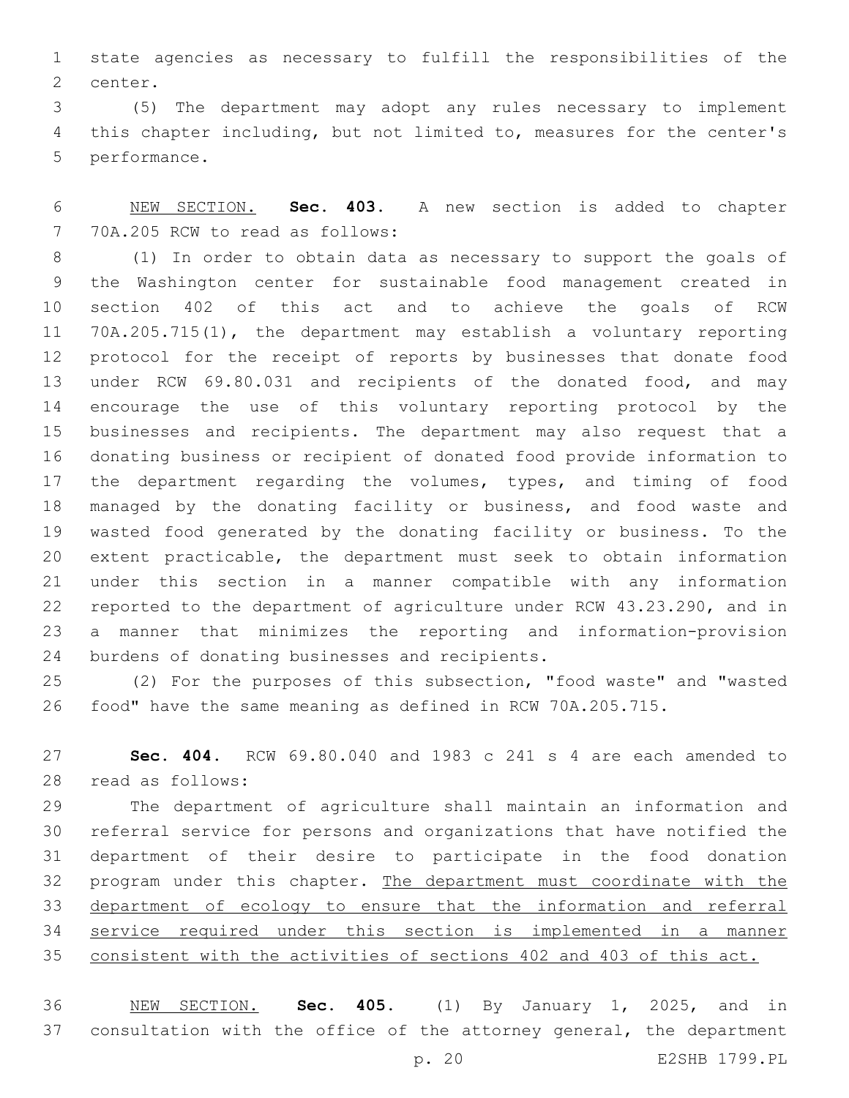state agencies as necessary to fulfill the responsibilities of the 2 center.

 (5) The department may adopt any rules necessary to implement this chapter including, but not limited to, measures for the center's 5 performance.

 NEW SECTION. **Sec. 403.** A new section is added to chapter 7 70A.205 RCW to read as follows:

 (1) In order to obtain data as necessary to support the goals of the Washington center for sustainable food management created in section 402 of this act and to achieve the goals of RCW 70A.205.715(1), the department may establish a voluntary reporting protocol for the receipt of reports by businesses that donate food under RCW 69.80.031 and recipients of the donated food, and may encourage the use of this voluntary reporting protocol by the businesses and recipients. The department may also request that a donating business or recipient of donated food provide information to the department regarding the volumes, types, and timing of food managed by the donating facility or business, and food waste and wasted food generated by the donating facility or business. To the extent practicable, the department must seek to obtain information under this section in a manner compatible with any information reported to the department of agriculture under RCW 43.23.290, and in a manner that minimizes the reporting and information-provision 24 burdens of donating businesses and recipients.

 (2) For the purposes of this subsection, "food waste" and "wasted food" have the same meaning as defined in RCW 70A.205.715.

 **Sec. 404.** RCW 69.80.040 and 1983 c 241 s 4 are each amended to 28 read as follows:

 The department of agriculture shall maintain an information and referral service for persons and organizations that have notified the department of their desire to participate in the food donation program under this chapter. The department must coordinate with the 33 department of ecology to ensure that the information and referral service required under this section is implemented in a manner consistent with the activities of sections 402 and 403 of this act.

 NEW SECTION. **Sec. 405.** (1) By January 1, 2025, and in consultation with the office of the attorney general, the department p. 20 E2SHB 1799.PL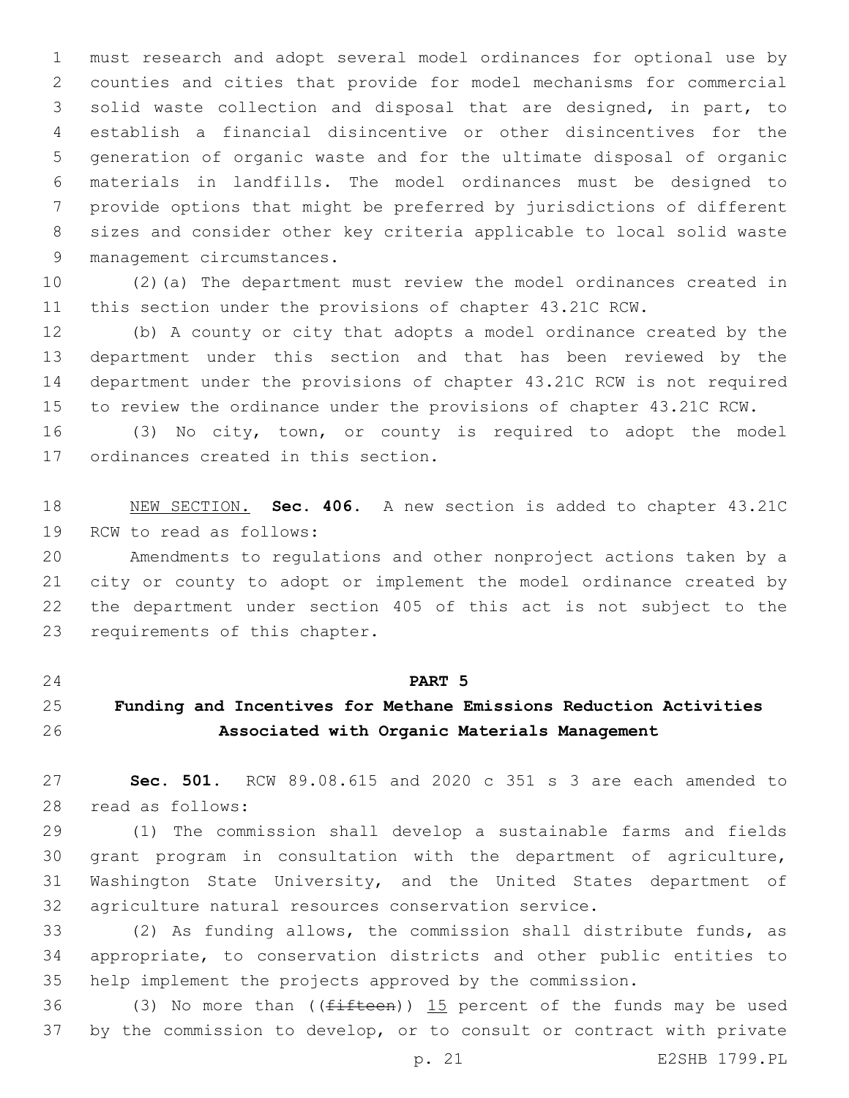must research and adopt several model ordinances for optional use by counties and cities that provide for model mechanisms for commercial solid waste collection and disposal that are designed, in part, to establish a financial disincentive or other disincentives for the generation of organic waste and for the ultimate disposal of organic materials in landfills. The model ordinances must be designed to provide options that might be preferred by jurisdictions of different sizes and consider other key criteria applicable to local solid waste 9 management circumstances.

 (2)(a) The department must review the model ordinances created in this section under the provisions of chapter 43.21C RCW.

 (b) A county or city that adopts a model ordinance created by the department under this section and that has been reviewed by the department under the provisions of chapter 43.21C RCW is not required to review the ordinance under the provisions of chapter 43.21C RCW.

 (3) No city, town, or county is required to adopt the model 17 ordinances created in this section.

 NEW SECTION. **Sec. 406.** A new section is added to chapter 43.21C 19 RCW to read as follows:

 Amendments to regulations and other nonproject actions taken by a city or county to adopt or implement the model ordinance created by the department under section 405 of this act is not subject to the 23 requirements of this chapter.

#### **PART 5**

# **Funding and Incentives for Methane Emissions Reduction Activities Associated with Organic Materials Management**

 **Sec. 501.** RCW 89.08.615 and 2020 c 351 s 3 are each amended to read as follows:28

 (1) The commission shall develop a sustainable farms and fields grant program in consultation with the department of agriculture, Washington State University, and the United States department of agriculture natural resources conservation service.

 (2) As funding allows, the commission shall distribute funds, as appropriate, to conservation districts and other public entities to help implement the projects approved by the commission.

36 (3) No more than  $($  ( $f$ ifteen)) 15 percent of the funds may be used by the commission to develop, or to consult or contract with private

p. 21 E2SHB 1799.PL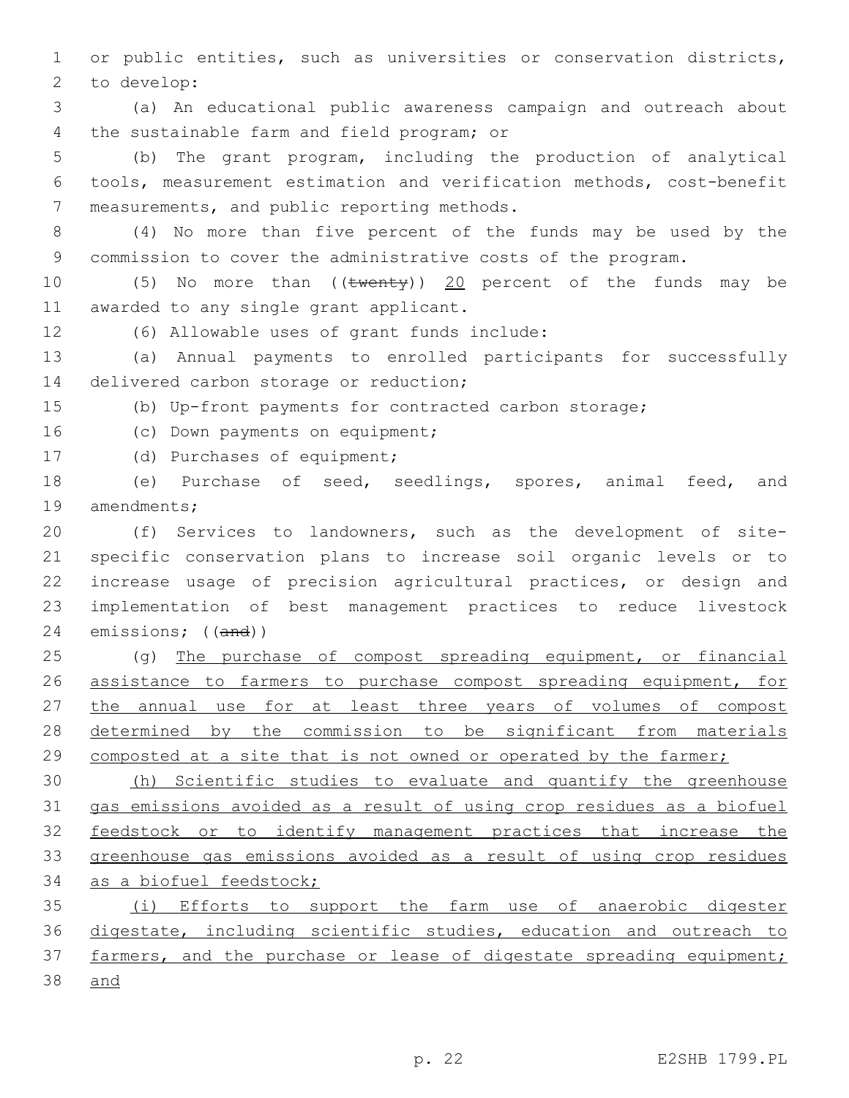or public entities, such as universities or conservation districts, 2 to develop:

 (a) An educational public awareness campaign and outreach about 4 the sustainable farm and field program; or

 (b) The grant program, including the production of analytical tools, measurement estimation and verification methods, cost-benefit 7 measurements, and public reporting methods.

 (4) No more than five percent of the funds may be used by the commission to cover the administrative costs of the program.

10 (5) No more than ((twenty)) 20 percent of the funds may be 11 awarded to any single grant applicant.

12 (6) Allowable uses of grant funds include:

 (a) Annual payments to enrolled participants for successfully 14 delivered carbon storage or reduction;

(b) Up-front payments for contracted carbon storage;

16 (c) Down payments on equipment;

17 (d) Purchases of equipment;

 (e) Purchase of seed, seedlings, spores, animal feed, and 19 amendments;

 (f) Services to landowners, such as the development of site- specific conservation plans to increase soil organic levels or to increase usage of precision agricultural practices, or design and implementation of best management practices to reduce livestock emissions; ((and))

 (g) The purchase of compost spreading equipment, or financial assistance to farmers to purchase compost spreading equipment, for the annual use for at least three years of volumes of compost determined by the commission to be significant from materials composted at a site that is not owned or operated by the farmer;

 (h) Scientific studies to evaluate and quantify the greenhouse gas emissions avoided as a result of using crop residues as a biofuel feedstock or to identify management practices that increase the greenhouse gas emissions avoided as a result of using crop residues as a biofuel feedstock;

 (i) Efforts to support the farm use of anaerobic digester digestate, including scientific studies, education and outreach to 37 farmers, and the purchase or lease of digestate spreading equipment; and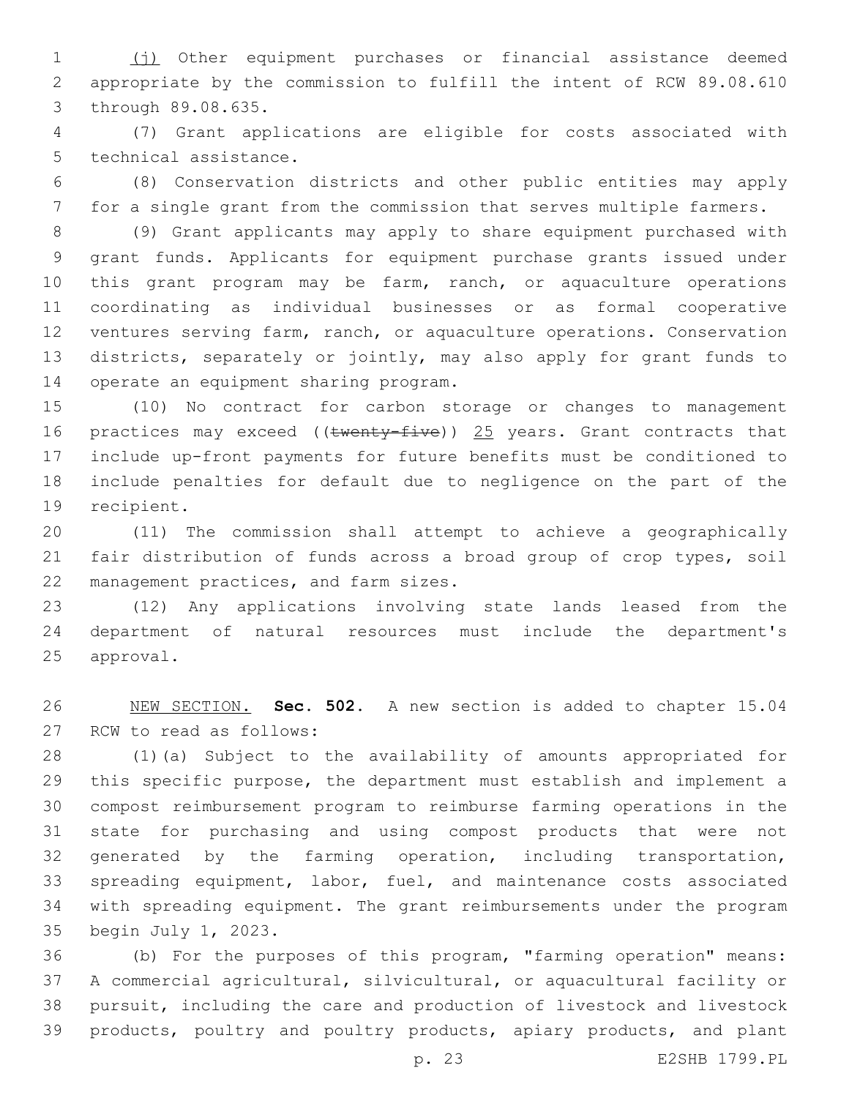(j) Other equipment purchases or financial assistance deemed appropriate by the commission to fulfill the intent of RCW 89.08.610 3 through 89.08.635.

 (7) Grant applications are eligible for costs associated with 5 technical assistance.

 (8) Conservation districts and other public entities may apply for a single grant from the commission that serves multiple farmers.

 (9) Grant applicants may apply to share equipment purchased with grant funds. Applicants for equipment purchase grants issued under 10 this grant program may be farm, ranch, or aquaculture operations coordinating as individual businesses or as formal cooperative ventures serving farm, ranch, or aquaculture operations. Conservation districts, separately or jointly, may also apply for grant funds to 14 operate an equipment sharing program.

 (10) No contract for carbon storage or changes to management 16 practices may exceed ((twenty-five)) 25 years. Grant contracts that include up-front payments for future benefits must be conditioned to include penalties for default due to negligence on the part of the 19 recipient.

 (11) The commission shall attempt to achieve a geographically fair distribution of funds across a broad group of crop types, soil 22 management practices, and farm sizes.

 (12) Any applications involving state lands leased from the department of natural resources must include the department's 25 approval.

 NEW SECTION. **Sec. 502.** A new section is added to chapter 15.04 27 RCW to read as follows:

 (1)(a) Subject to the availability of amounts appropriated for this specific purpose, the department must establish and implement a compost reimbursement program to reimburse farming operations in the state for purchasing and using compost products that were not generated by the farming operation, including transportation, spreading equipment, labor, fuel, and maintenance costs associated with spreading equipment. The grant reimbursements under the program 35 begin July 1, 2023.

 (b) For the purposes of this program, "farming operation" means: A commercial agricultural, silvicultural, or aquacultural facility or pursuit, including the care and production of livestock and livestock products, poultry and poultry products, apiary products, and plant

p. 23 E2SHB 1799.PL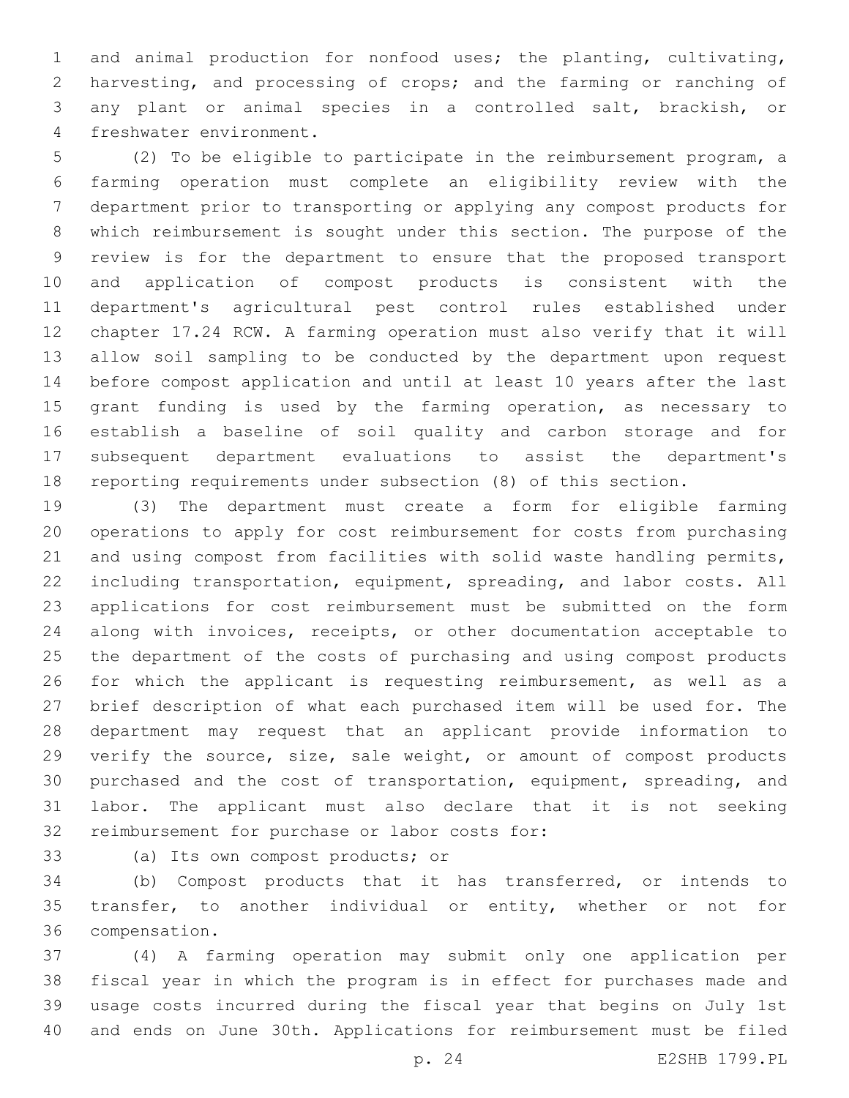and animal production for nonfood uses; the planting, cultivating, harvesting, and processing of crops; and the farming or ranching of any plant or animal species in a controlled salt, brackish, or 4 freshwater environment.

 (2) To be eligible to participate in the reimbursement program, a farming operation must complete an eligibility review with the department prior to transporting or applying any compost products for which reimbursement is sought under this section. The purpose of the review is for the department to ensure that the proposed transport and application of compost products is consistent with the department's agricultural pest control rules established under chapter 17.24 RCW. A farming operation must also verify that it will allow soil sampling to be conducted by the department upon request before compost application and until at least 10 years after the last 15 grant funding is used by the farming operation, as necessary to establish a baseline of soil quality and carbon storage and for subsequent department evaluations to assist the department's reporting requirements under subsection (8) of this section.

 (3) The department must create a form for eligible farming operations to apply for cost reimbursement for costs from purchasing and using compost from facilities with solid waste handling permits, including transportation, equipment, spreading, and labor costs. All applications for cost reimbursement must be submitted on the form along with invoices, receipts, or other documentation acceptable to the department of the costs of purchasing and using compost products 26 for which the applicant is requesting reimbursement, as well as a brief description of what each purchased item will be used for. The department may request that an applicant provide information to 29 verify the source, size, sale weight, or amount of compost products purchased and the cost of transportation, equipment, spreading, and labor. The applicant must also declare that it is not seeking 32 reimbursement for purchase or labor costs for:

33 (a) Its own compost products; or

 (b) Compost products that it has transferred, or intends to transfer, to another individual or entity, whether or not for 36 compensation.

 (4) A farming operation may submit only one application per fiscal year in which the program is in effect for purchases made and usage costs incurred during the fiscal year that begins on July 1st and ends on June 30th. Applications for reimbursement must be filed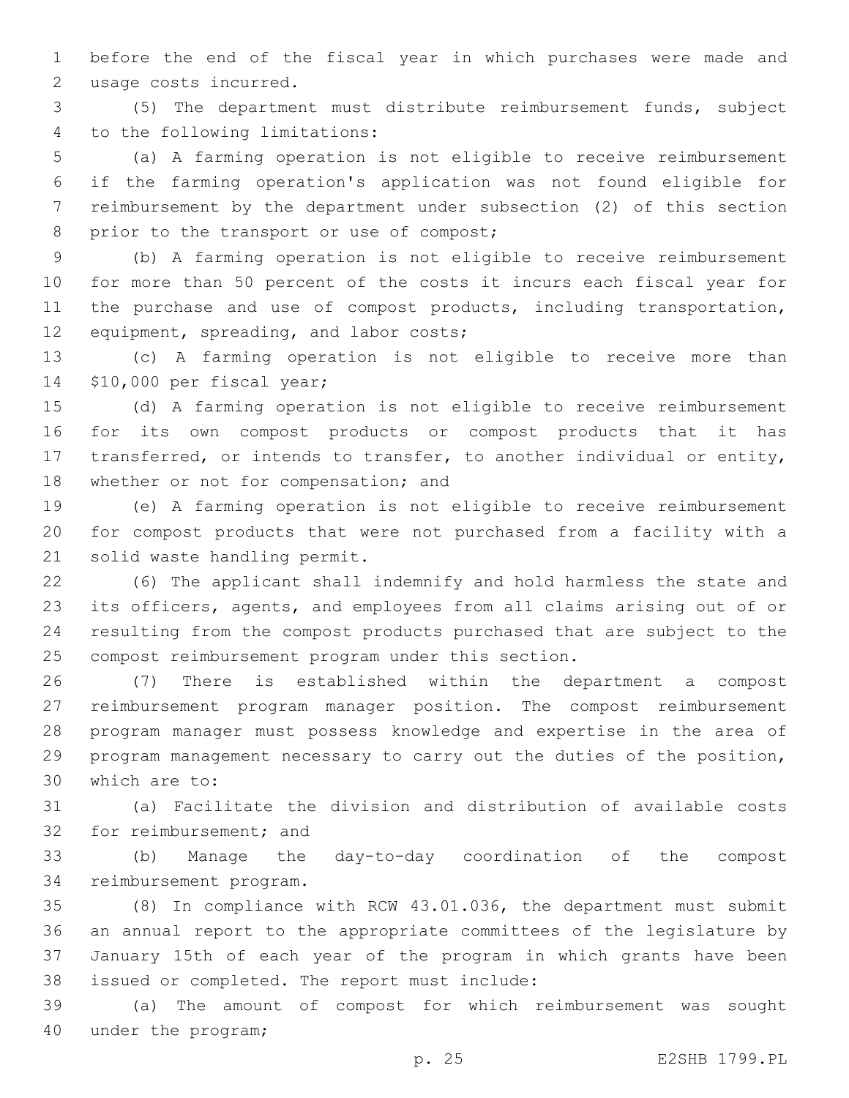before the end of the fiscal year in which purchases were made and 2 usage costs incurred.

 (5) The department must distribute reimbursement funds, subject 4 to the following limitations:

 (a) A farming operation is not eligible to receive reimbursement if the farming operation's application was not found eligible for reimbursement by the department under subsection (2) of this section 8 prior to the transport or use of compost;

 (b) A farming operation is not eligible to receive reimbursement for more than 50 percent of the costs it incurs each fiscal year for 11 the purchase and use of compost products, including transportation, 12 equipment, spreading, and labor costs;

 (c) A farming operation is not eligible to receive more than 14 \$10,000 per fiscal year;

 (d) A farming operation is not eligible to receive reimbursement for its own compost products or compost products that it has transferred, or intends to transfer, to another individual or entity, 18 whether or not for compensation; and

 (e) A farming operation is not eligible to receive reimbursement for compost products that were not purchased from a facility with a 21 solid waste handling permit.

 (6) The applicant shall indemnify and hold harmless the state and its officers, agents, and employees from all claims arising out of or resulting from the compost products purchased that are subject to the 25 compost reimbursement program under this section.

 (7) There is established within the department a compost reimbursement program manager position. The compost reimbursement program manager must possess knowledge and expertise in the area of program management necessary to carry out the duties of the position, 30 which are to:

 (a) Facilitate the division and distribution of available costs 32 for reimbursement; and

 (b) Manage the day-to-day coordination of the compost 34 reimbursement program.

 (8) In compliance with RCW 43.01.036, the department must submit an annual report to the appropriate committees of the legislature by January 15th of each year of the program in which grants have been 38 issued or completed. The report must include:

 (a) The amount of compost for which reimbursement was sought 40 under the program;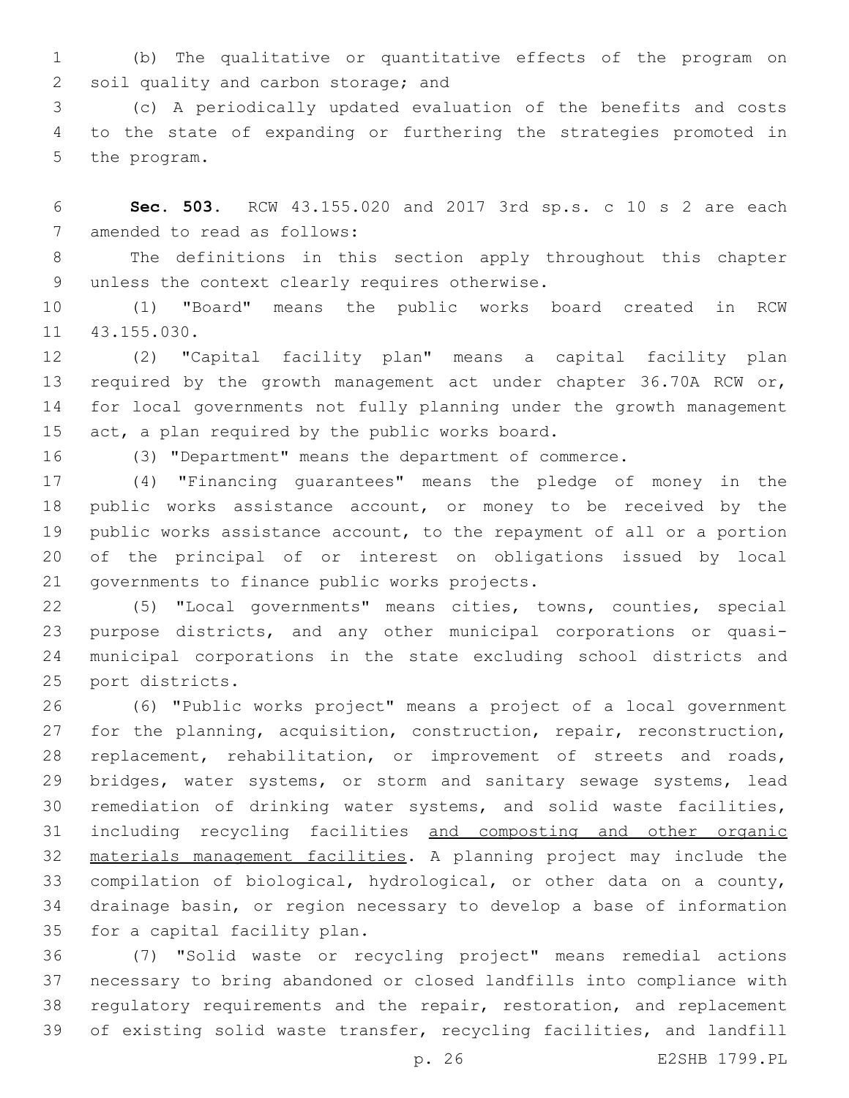(b) The qualitative or quantitative effects of the program on 2 soil quality and carbon storage; and

 (c) A periodically updated evaluation of the benefits and costs to the state of expanding or furthering the strategies promoted in 5 the program.

 **Sec. 503.** RCW 43.155.020 and 2017 3rd sp.s. c 10 s 2 are each 7 amended to read as follows:

 The definitions in this section apply throughout this chapter 9 unless the context clearly requires otherwise.

 (1) "Board" means the public works board created in RCW 11 43.155.030.

 (2) "Capital facility plan" means a capital facility plan required by the growth management act under chapter 36.70A RCW or, for local governments not fully planning under the growth management  $act, a plan required by the public works board.$ 

(3) "Department" means the department of commerce.

 (4) "Financing guarantees" means the pledge of money in the public works assistance account, or money to be received by the public works assistance account, to the repayment of all or a portion of the principal of or interest on obligations issued by local 21 governments to finance public works projects.

 (5) "Local governments" means cities, towns, counties, special purpose districts, and any other municipal corporations or quasi- municipal corporations in the state excluding school districts and 25 port districts.

 (6) "Public works project" means a project of a local government for the planning, acquisition, construction, repair, reconstruction, replacement, rehabilitation, or improvement of streets and roads, 29 bridges, water systems, or storm and sanitary sewage systems, lead remediation of drinking water systems, and solid waste facilities, 31 including recycling facilities and composting and other organic materials management facilities. A planning project may include the compilation of biological, hydrological, or other data on a county, drainage basin, or region necessary to develop a base of information 35 for a capital facility plan.

 (7) "Solid waste or recycling project" means remedial actions necessary to bring abandoned or closed landfills into compliance with regulatory requirements and the repair, restoration, and replacement of existing solid waste transfer, recycling facilities, and landfill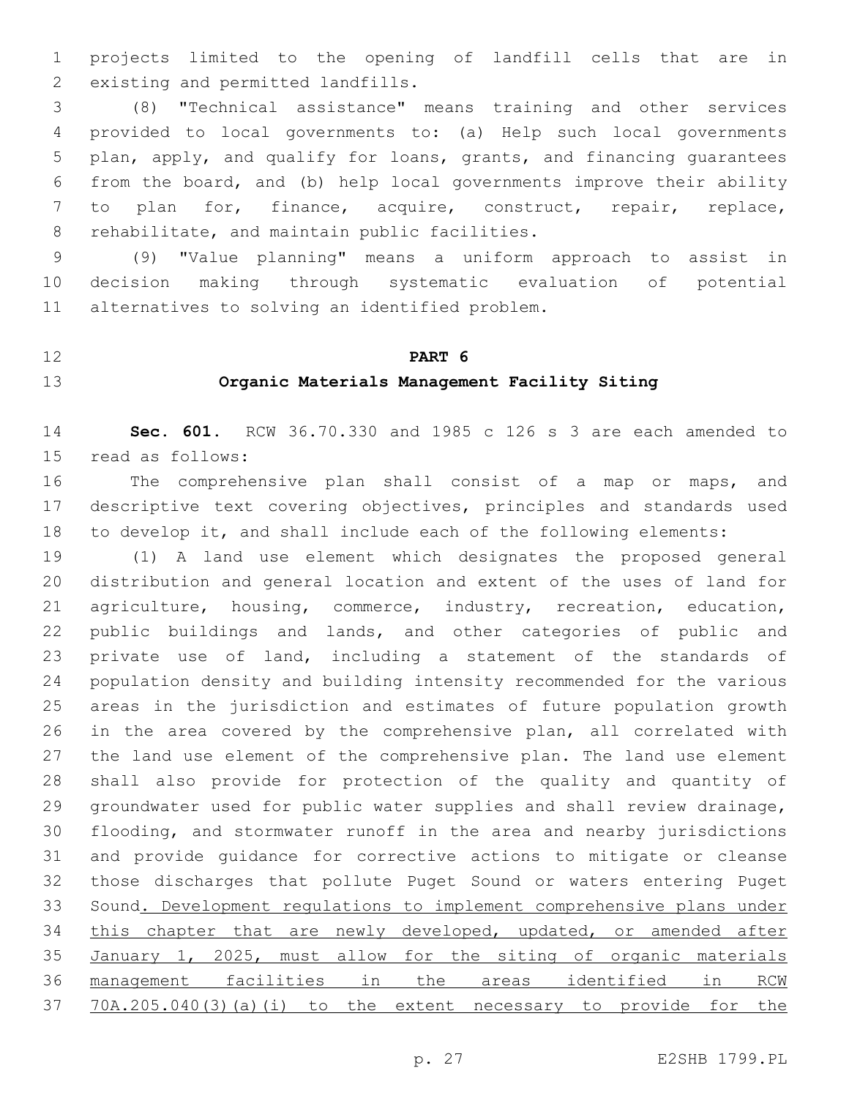projects limited to the opening of landfill cells that are in 2 existing and permitted landfills.

 (8) "Technical assistance" means training and other services provided to local governments to: (a) Help such local governments plan, apply, and qualify for loans, grants, and financing guarantees from the board, and (b) help local governments improve their ability to plan for, finance, acquire, construct, repair, replace, 8 rehabilitate, and maintain public facilities.

 (9) "Value planning" means a uniform approach to assist in decision making through systematic evaluation of potential 11 alternatives to solving an identified problem.

### **PART 6**

### **Organic Materials Management Facility Siting**

 **Sec. 601.** RCW 36.70.330 and 1985 c 126 s 3 are each amended to 15 read as follows:

 The comprehensive plan shall consist of a map or maps, and descriptive text covering objectives, principles and standards used to develop it, and shall include each of the following elements:

 (1) A land use element which designates the proposed general distribution and general location and extent of the uses of land for agriculture, housing, commerce, industry, recreation, education, public buildings and lands, and other categories of public and private use of land, including a statement of the standards of population density and building intensity recommended for the various areas in the jurisdiction and estimates of future population growth in the area covered by the comprehensive plan, all correlated with the land use element of the comprehensive plan. The land use element shall also provide for protection of the quality and quantity of groundwater used for public water supplies and shall review drainage, flooding, and stormwater runoff in the area and nearby jurisdictions and provide guidance for corrective actions to mitigate or cleanse those discharges that pollute Puget Sound or waters entering Puget 33 Sound. Development regulations to implement comprehensive plans under 34 this chapter that are newly developed, updated, or amended after January 1, 2025, must allow for the siting of organic materials management facilities in the areas identified in RCW 70A.205.040(3)(a)(i) to the extent necessary to provide for the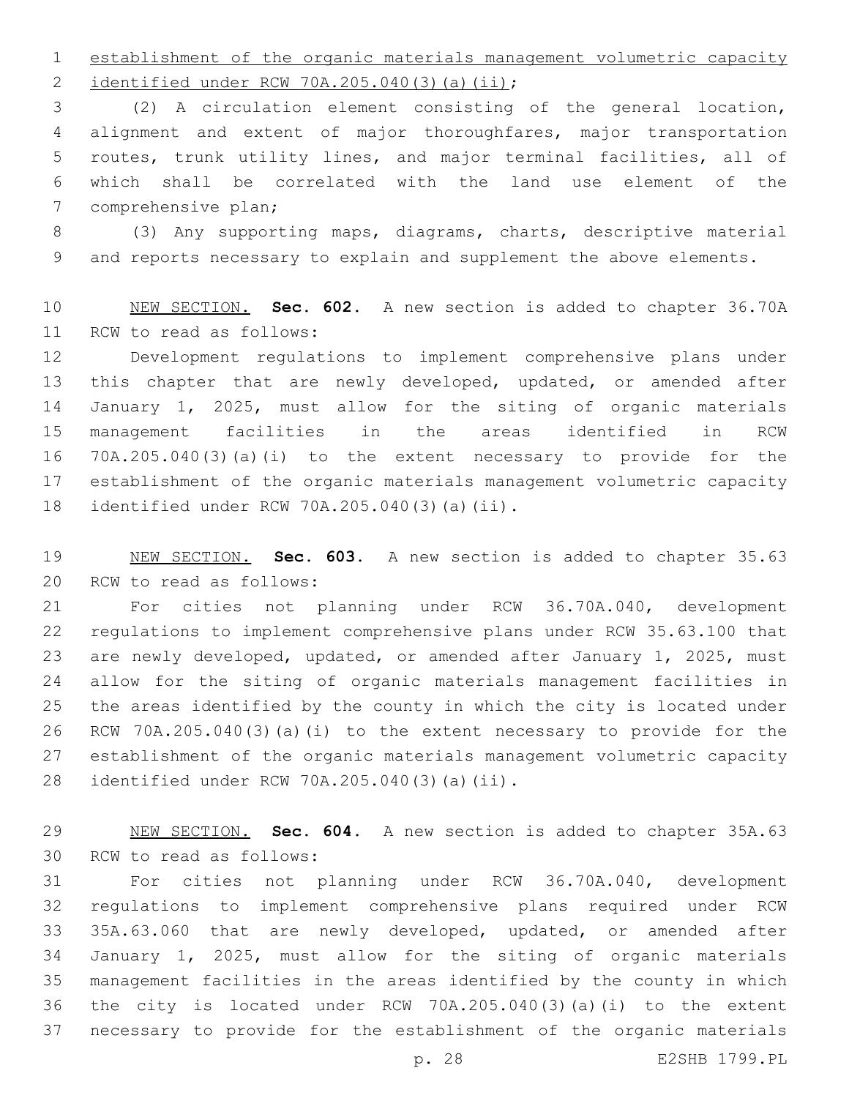establishment of the organic materials management volumetric capacity 2 identified under RCW 70A.205.040(3)(a)(ii);

 (2) A circulation element consisting of the general location, alignment and extent of major thoroughfares, major transportation routes, trunk utility lines, and major terminal facilities, all of which shall be correlated with the land use element of the 7 comprehensive plan;

 (3) Any supporting maps, diagrams, charts, descriptive material and reports necessary to explain and supplement the above elements.

 NEW SECTION. **Sec. 602.** A new section is added to chapter 36.70A 11 RCW to read as follows:

 Development regulations to implement comprehensive plans under this chapter that are newly developed, updated, or amended after January 1, 2025, must allow for the siting of organic materials management facilities in the areas identified in RCW 70A.205.040(3)(a)(i) to the extent necessary to provide for the establishment of the organic materials management volumetric capacity 18 identified under RCW 70A.205.040(3)(a)(ii).

 NEW SECTION. **Sec. 603.** A new section is added to chapter 35.63 20 RCW to read as follows:

 For cities not planning under RCW 36.70A.040, development regulations to implement comprehensive plans under RCW 35.63.100 that are newly developed, updated, or amended after January 1, 2025, must allow for the siting of organic materials management facilities in the areas identified by the county in which the city is located under RCW 70A.205.040(3)(a)(i) to the extent necessary to provide for the establishment of the organic materials management volumetric capacity identified under RCW 70A.205.040(3)(a)(ii).28

 NEW SECTION. **Sec. 604.** A new section is added to chapter 35A.63 30 RCW to read as follows:

 For cities not planning under RCW 36.70A.040, development regulations to implement comprehensive plans required under RCW 35A.63.060 that are newly developed, updated, or amended after January 1, 2025, must allow for the siting of organic materials management facilities in the areas identified by the county in which the city is located under RCW 70A.205.040(3)(a)(i) to the extent necessary to provide for the establishment of the organic materials

p. 28 E2SHB 1799.PL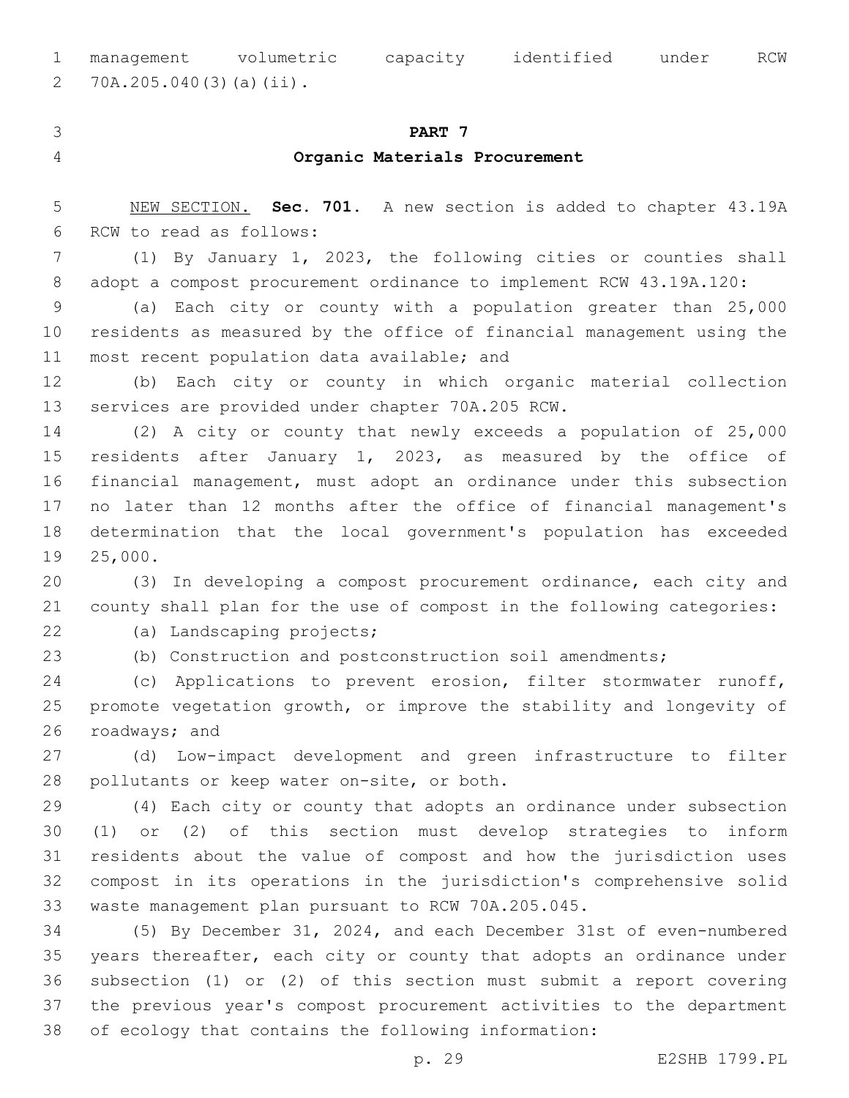management volumetric capacity identified under RCW 70A.205.040(3)(a)(ii).2

# **PART 7 Organic Materials Procurement**

 NEW SECTION. **Sec. 701.** A new section is added to chapter 43.19A 6 RCW to read as follows:

 (1) By January 1, 2023, the following cities or counties shall adopt a compost procurement ordinance to implement RCW 43.19A.120:

 (a) Each city or county with a population greater than 25,000 residents as measured by the office of financial management using the 11 most recent population data available; and

 (b) Each city or county in which organic material collection 13 services are provided under chapter 70A.205 RCW.

 (2) A city or county that newly exceeds a population of 25,000 residents after January 1, 2023, as measured by the office of financial management, must adopt an ordinance under this subsection no later than 12 months after the office of financial management's determination that the local government's population has exceeded 19 25,000.

 (3) In developing a compost procurement ordinance, each city and county shall plan for the use of compost in the following categories:

22 (a) Landscaping projects;

(b) Construction and postconstruction soil amendments;

 (c) Applications to prevent erosion, filter stormwater runoff, promote vegetation growth, or improve the stability and longevity of 26 roadways; and

 (d) Low-impact development and green infrastructure to filter 28 pollutants or keep water on-site, or both.

 (4) Each city or county that adopts an ordinance under subsection (1) or (2) of this section must develop strategies to inform residents about the value of compost and how the jurisdiction uses compost in its operations in the jurisdiction's comprehensive solid waste management plan pursuant to RCW 70A.205.045.

 (5) By December 31, 2024, and each December 31st of even-numbered years thereafter, each city or county that adopts an ordinance under subsection (1) or (2) of this section must submit a report covering the previous year's compost procurement activities to the department of ecology that contains the following information: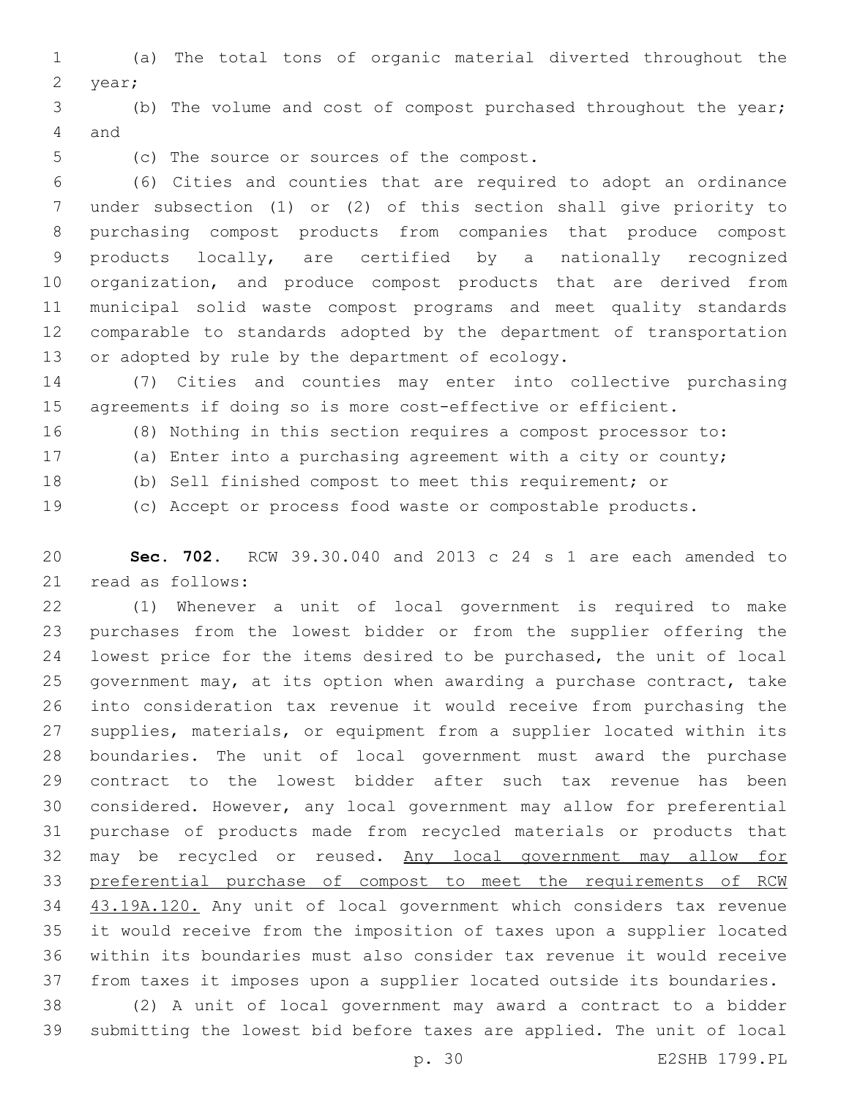(a) The total tons of organic material diverted throughout the 2 year;

 (b) The volume and cost of compost purchased throughout the year; 4 and

5 (c) The source or sources of the compost.

 (6) Cities and counties that are required to adopt an ordinance under subsection (1) or (2) of this section shall give priority to purchasing compost products from companies that produce compost products locally, are certified by a nationally recognized organization, and produce compost products that are derived from municipal solid waste compost programs and meet quality standards comparable to standards adopted by the department of transportation 13 or adopted by rule by the department of ecology.

 (7) Cities and counties may enter into collective purchasing agreements if doing so is more cost-effective or efficient.

(8) Nothing in this section requires a compost processor to:

(a) Enter into a purchasing agreement with a city or county;

(b) Sell finished compost to meet this requirement; or

(c) Accept or process food waste or compostable products.

 **Sec. 702.** RCW 39.30.040 and 2013 c 24 s 1 are each amended to 21 read as follows:

 (1) Whenever a unit of local government is required to make purchases from the lowest bidder or from the supplier offering the lowest price for the items desired to be purchased, the unit of local government may, at its option when awarding a purchase contract, take into consideration tax revenue it would receive from purchasing the supplies, materials, or equipment from a supplier located within its boundaries. The unit of local government must award the purchase contract to the lowest bidder after such tax revenue has been considered. However, any local government may allow for preferential purchase of products made from recycled materials or products that 32 may be recycled or reused. Any local government may allow for 33 preferential purchase of compost to meet the requirements of RCW 43.19A.120. Any unit of local government which considers tax revenue it would receive from the imposition of taxes upon a supplier located within its boundaries must also consider tax revenue it would receive from taxes it imposes upon a supplier located outside its boundaries.

 (2) A unit of local government may award a contract to a bidder submitting the lowest bid before taxes are applied. The unit of local

p. 30 E2SHB 1799.PL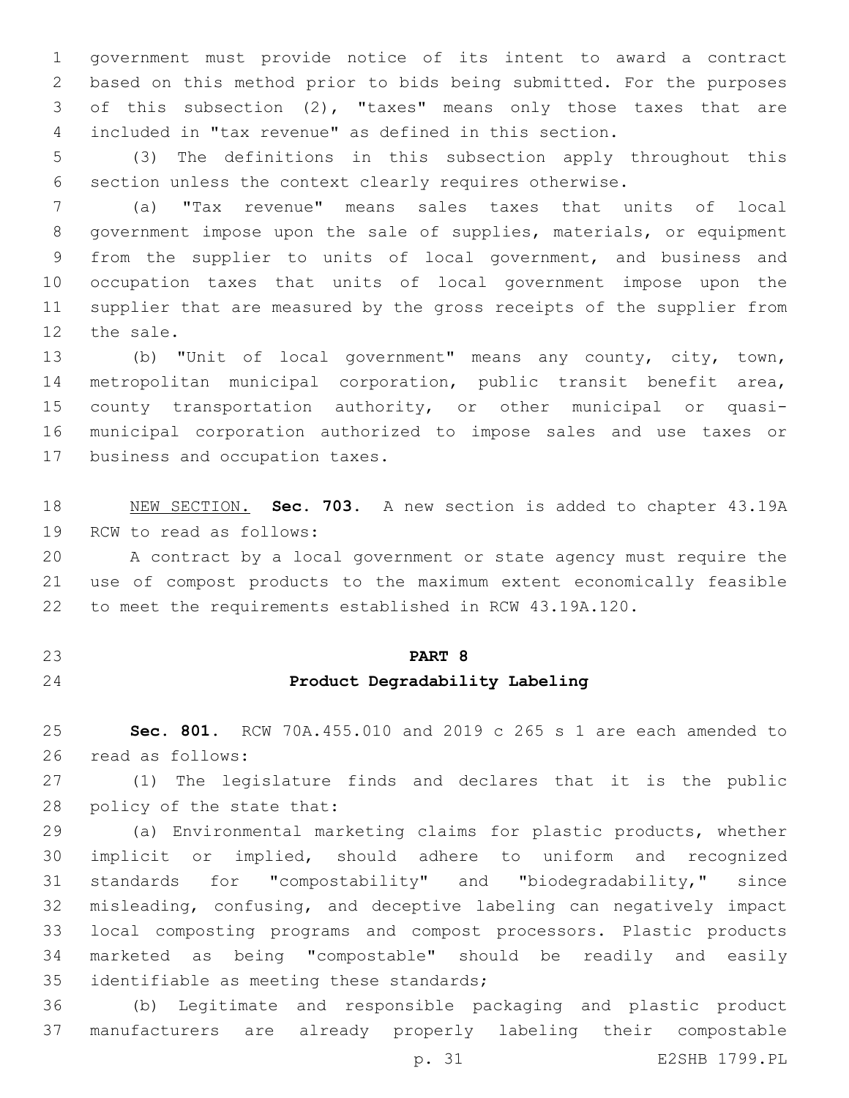government must provide notice of its intent to award a contract based on this method prior to bids being submitted. For the purposes of this subsection (2), "taxes" means only those taxes that are included in "tax revenue" as defined in this section.

 (3) The definitions in this subsection apply throughout this section unless the context clearly requires otherwise.

 (a) "Tax revenue" means sales taxes that units of local government impose upon the sale of supplies, materials, or equipment from the supplier to units of local government, and business and occupation taxes that units of local government impose upon the supplier that are measured by the gross receipts of the supplier from 12 the sale.

 (b) "Unit of local government" means any county, city, town, metropolitan municipal corporation, public transit benefit area, county transportation authority, or other municipal or quasi- municipal corporation authorized to impose sales and use taxes or 17 business and occupation taxes.

 NEW SECTION. **Sec. 703.** A new section is added to chapter 43.19A 19 RCW to read as follows:

 A contract by a local government or state agency must require the use of compost products to the maximum extent economically feasible to meet the requirements established in RCW 43.19A.120.

# **PART 8**

# **Product Degradability Labeling**

 **Sec. 801.** RCW 70A.455.010 and 2019 c 265 s 1 are each amended to 26 read as follows:

 (1) The legislature finds and declares that it is the public 28 policy of the state that:

 (a) Environmental marketing claims for plastic products, whether implicit or implied, should adhere to uniform and recognized standards for "compostability" and "biodegradability," since misleading, confusing, and deceptive labeling can negatively impact local composting programs and compost processors. Plastic products marketed as being "compostable" should be readily and easily 35 identifiable as meeting these standards;

 (b) Legitimate and responsible packaging and plastic product manufacturers are already properly labeling their compostable

p. 31 E2SHB 1799.PL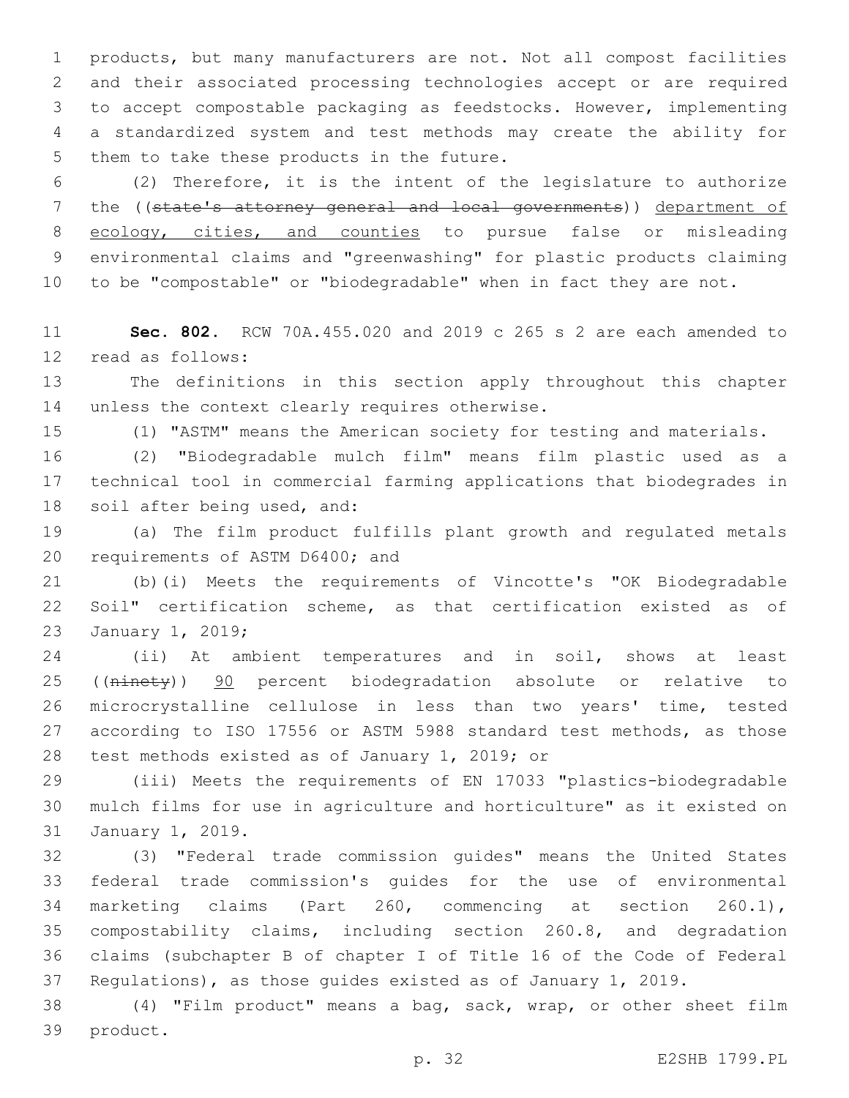products, but many manufacturers are not. Not all compost facilities and their associated processing technologies accept or are required to accept compostable packaging as feedstocks. However, implementing a standardized system and test methods may create the ability for 5 them to take these products in the future.

 (2) Therefore, it is the intent of the legislature to authorize 7 the ((state's attorney general and local governments)) department of 8 ecology, cities, and counties to pursue false or misleading environmental claims and "greenwashing" for plastic products claiming to be "compostable" or "biodegradable" when in fact they are not.

 **Sec. 802.** RCW 70A.455.020 and 2019 c 265 s 2 are each amended to 12 read as follows:

 The definitions in this section apply throughout this chapter 14 unless the context clearly requires otherwise.

(1) "ASTM" means the American society for testing and materials.

 (2) "Biodegradable mulch film" means film plastic used as a technical tool in commercial farming applications that biodegrades in 18 soil after being used, and:

 (a) The film product fulfills plant growth and regulated metals 20 requirements of ASTM D6400; and

 (b)(i) Meets the requirements of Vincotte's "OK Biodegradable Soil" certification scheme, as that certification existed as of 23 January 1, 2019;

 (ii) At ambient temperatures and in soil, shows at least 25 ((ninety)) 90 percent biodegradation absolute or relative to microcrystalline cellulose in less than two years' time, tested according to ISO 17556 or ASTM 5988 standard test methods, as those 28 test methods existed as of January 1, 2019; or

 (iii) Meets the requirements of EN 17033 "plastics-biodegradable mulch films for use in agriculture and horticulture" as it existed on 31 January 1, 2019.

 (3) "Federal trade commission guides" means the United States federal trade commission's guides for the use of environmental marketing claims (Part 260, commencing at section 260.1), compostability claims, including section 260.8, and degradation claims (subchapter B of chapter I of Title 16 of the Code of Federal Regulations), as those guides existed as of January 1, 2019.

 (4) "Film product" means a bag, sack, wrap, or other sheet film 39 product.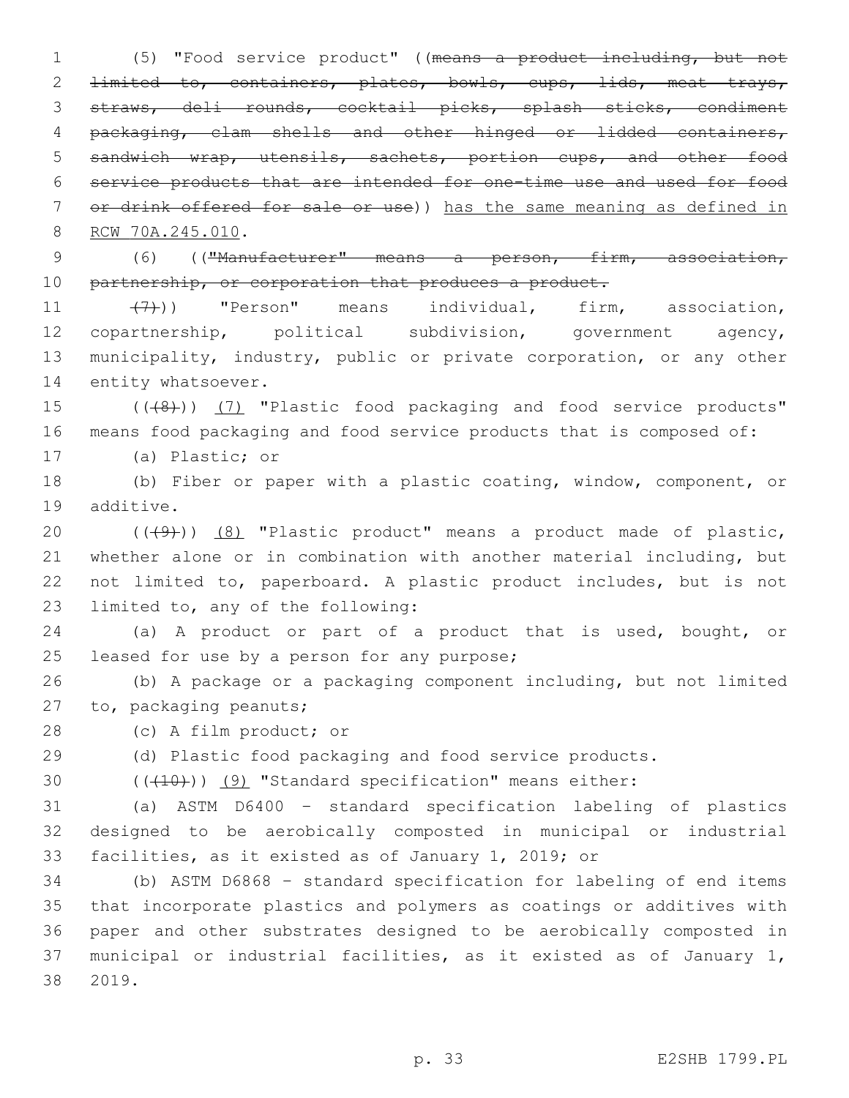(5) "Food service product" ((means a product including, but not 2 <del>limited to, containers, plates, bowls, cups, lids, meat trays,</del> straws, deli rounds, cocktail picks, splash sticks, condiment packaging, clam shells and other hinged or lidded containers, sandwich wrap, utensils, sachets, portion cups, and other food service products that are intended for one-time use and used for food 7 or drink offered for sale or use)) has the same meaning as defined in 8 RCW 70A.245.010.

9 (6) (("Manufacturer" means a person, firm, association, 10 partnership, or corporation that produces a product.

11 (7))) "Person" means individual, firm, association, 12 copartnership, political subdivision, government agency, 13 municipality, industry, public or private corporation, or any other 14 entity whatsoever.

15 (((8)) (7) "Plastic food packaging and food service products" 16 means food packaging and food service products that is composed of:

17 (a) Plastic; or

18 (b) Fiber or paper with a plastic coating, window, component, or 19 additive.

 $((+9+))$   $(8)$  "Plastic product" means a product made of plastic, whether alone or in combination with another material including, but not limited to, paperboard. A plastic product includes, but is not 23 limited to, any of the following:

24 (a) A product or part of a product that is used, bought, or 25 leased for use by a person for any purpose;

26 (b) A package or a packaging component including, but not limited 27 to, packaging peanuts;

28 (c) A film product; or

29 (d) Plastic food packaging and food service products.

30 (((10)) (9) "Standard specification" means either:

31 (a) ASTM D6400 – standard specification labeling of plastics 32 designed to be aerobically composted in municipal or industrial 33 facilities, as it existed as of January 1, 2019; or

 (b) ASTM D6868 – standard specification for labeling of end items that incorporate plastics and polymers as coatings or additives with paper and other substrates designed to be aerobically composted in municipal or industrial facilities, as it existed as of January 1, 2019.38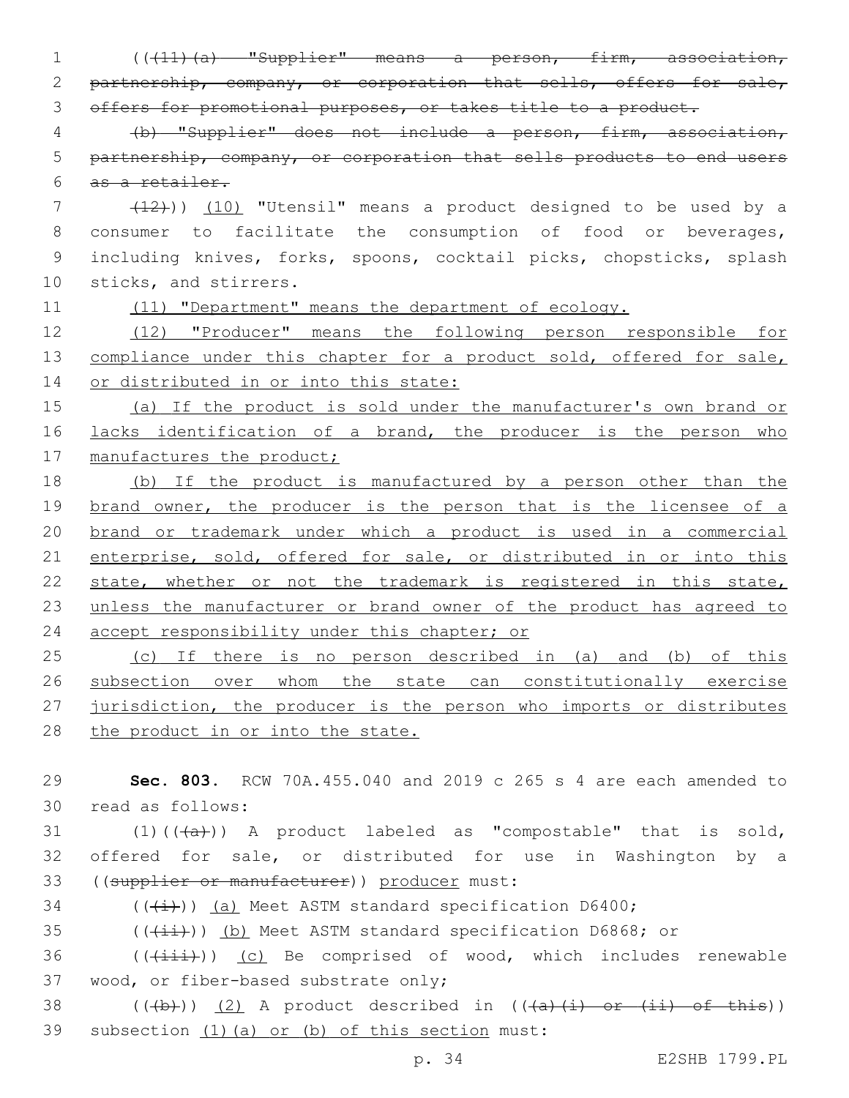1 (((11)(a) "Supplier" means a person, firm, association, 2 partnership, company, or corporation that sells, offers for sale, 3 offers for promotional purposes, or takes title to a product. 4 (b) "Supplier" does not include a person, firm, association, 5 partnership, company, or corporation that sells products to end users 6 as a retailer. 7 (12))) (10) "Utensil" means a product designed to be used by a 8 consumer to facilitate the consumption of food or beverages, 9 including knives, forks, spoons, cocktail picks, chopsticks, splash 10 sticks, and stirrers. 11 (11) "Department" means the department of ecology. 12 (12) "Producer" means the following person responsible for 13 compliance under this chapter for a product sold, offered for sale, 14 or distributed in or into this state: 15 (a) If the product is sold under the manufacturer's own brand or 16 lacks identification of a brand, the producer is the person who 17 manufactures the product; 18 (b) If the product is manufactured by a person other than the 19 brand owner, the producer is the person that is the licensee of a 20 brand or trademark under which a product is used in a commercial 21 enterprise, sold, offered for sale, or distributed in or into this 22 state, whether or not the trademark is registered in this state, 23 unless the manufacturer or brand owner of the product has agreed to 24 accept responsibility under this chapter; or 25 (c) If there is no person described in (a) and (b) of this 26 subsection over whom the state can constitutionally exercise 27 jurisdiction, the producer is the person who imports or distributes 28 the product in or into the state. 29 **Sec. 803.** RCW 70A.455.040 and 2019 c 265 s 4 are each amended to read as follows:30 31  $(1)((\overline{a}))$  A product labeled as "compostable" that is sold, 32 offered for sale, or distributed for use in Washington by a 33 ((supplier or manufacturer)) producer must:

 $34$  (( $\left(\frac{1}{1}\right)$ ) (a) Meet ASTM standard specification D6400;

 $35$  (( $(i+i)$ )) (b) Meet ASTM standard specification D6868; or

 $36$  ( $(\overrightarrow{\{\pm\pm\pm}}))$  (c) Be comprised of wood, which includes renewable 37 wood, or fiber-based substrate only;

38  $((+b))$   $(2)$  A product described in  $((+a)+(i)$  or  $(i)$  of this)) 39 subsection (1)(a) or (b) of this section must: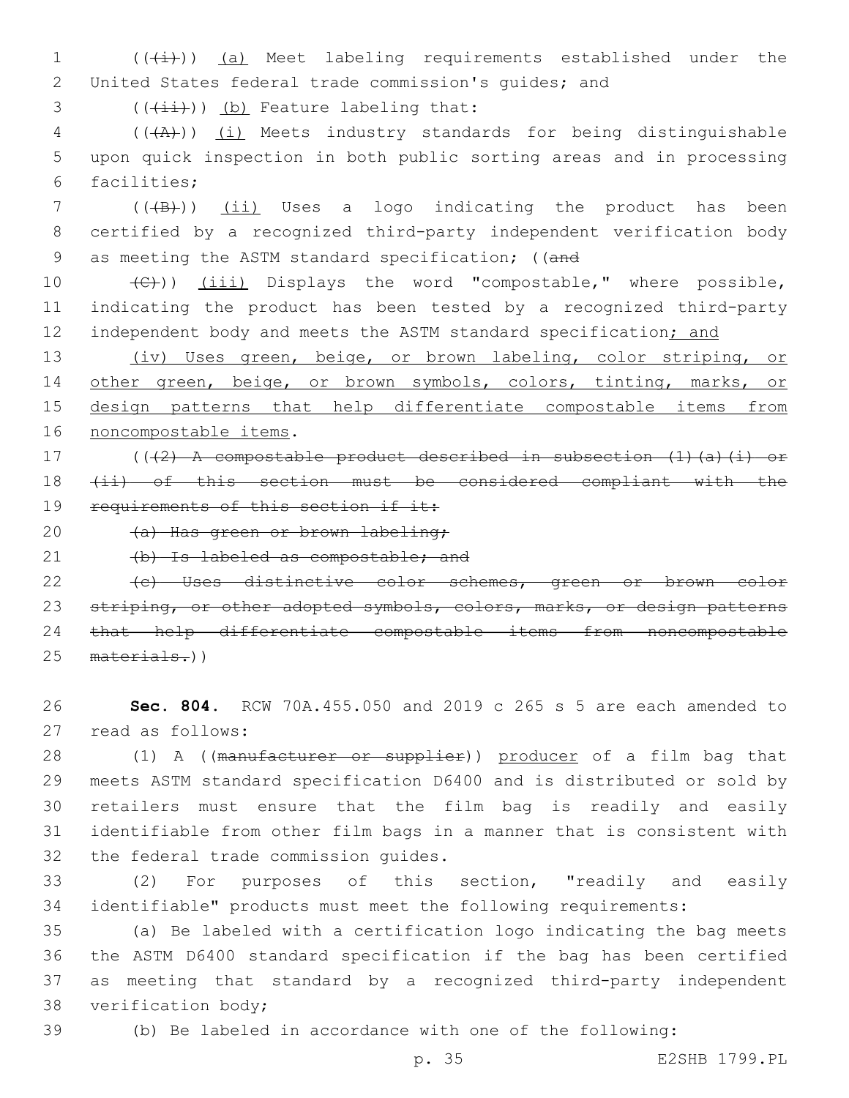1  $((\downarrow \downarrow))$  (a) Meet labeling requirements established under the 2 United States federal trade commission's guides; and

 $($   $($  $($  $\{$ ii $)$ ) $)$   $($ b) Feature labeling that:

4 (((A))) (i) Meets industry standards for being distinguishable 5 upon quick inspection in both public sorting areas and in processing 6 facilities;

7 (((B)) (ii) Uses a logo indicating the product has been 8 certified by a recognized third-party independent verification body 9 as meeting the ASTM standard specification; ((and

10 (C))) (iii) Displays the word "compostable," where possible, 11 indicating the product has been tested by a recognized third-party 12 independent body and meets the ASTM standard specification; and

13 (iv) Uses green, beige, or brown labeling, color striping, or 14 other green, beige, or brown symbols, colors, tinting, marks, or 15 design patterns that help differentiate compostable items from 16 noncompostable items.

17 (((2) A compostable product described in subsection (1)(a)(i) or 18 (ii) of this section must be considered compliant with the 19 requirements of this section if it:

20 (a) Has green or brown labeling;

21 (b) Is labeled as compostable; and

22 (c) Uses distinctive color schemes, green or brown color 23 striping, or other adopted symbols, colors, marks, or design patterns 24 that help differentiate compostable items from noncompostable 25 materials.))

26 **Sec. 804.** RCW 70A.455.050 and 2019 c 265 s 5 are each amended to 27 read as follows:

28 (1) A ((manufacturer or supplier)) producer of a film bag that 29 meets ASTM standard specification D6400 and is distributed or sold by 30 retailers must ensure that the film bag is readily and easily 31 identifiable from other film bags in a manner that is consistent with 32 the federal trade commission guides.

33 (2) For purposes of this section, "readily and easily 34 identifiable" products must meet the following requirements:

 (a) Be labeled with a certification logo indicating the bag meets the ASTM D6400 standard specification if the bag has been certified as meeting that standard by a recognized third-party independent 38 verification body;

39 (b) Be labeled in accordance with one of the following:

p. 35 E2SHB 1799.PL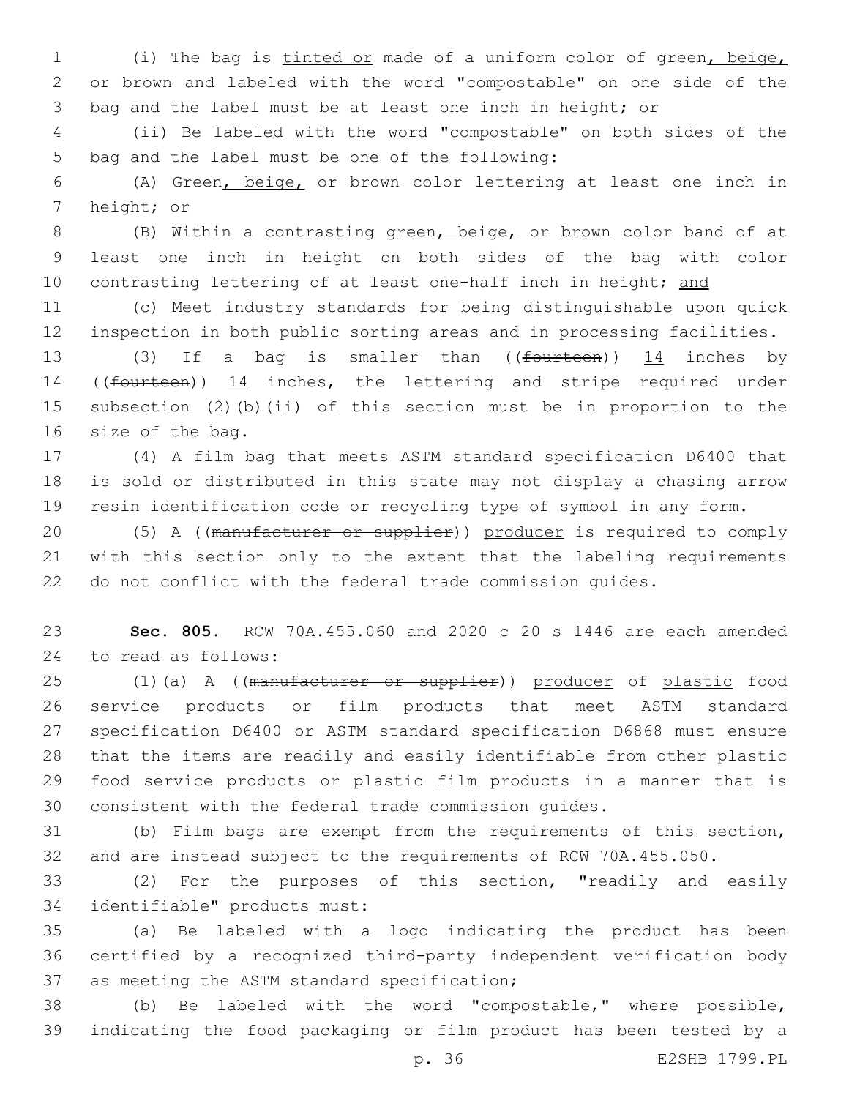(i) The bag is tinted or made of a uniform color of green, beige, or brown and labeled with the word "compostable" on one side of the bag and the label must be at least one inch in height; or

 (ii) Be labeled with the word "compostable" on both sides of the 5 bag and the label must be one of the following:

 (A) Green, beige, or brown color lettering at least one inch in 7 height; or

 (B) Within a contrasting green, beige, or brown color band of at least one inch in height on both sides of the bag with color 10 contrasting lettering of at least one-half inch in height; and

 (c) Meet industry standards for being distinguishable upon quick inspection in both public sorting areas and in processing facilities.

13 (3) If a bag is smaller than ((fourteen)) 14 inches by 14 ((fourteen)) 14 inches, the lettering and stripe required under subsection (2)(b)(ii) of this section must be in proportion to the 16 size of the bag.

 (4) A film bag that meets ASTM standard specification D6400 that is sold or distributed in this state may not display a chasing arrow resin identification code or recycling type of symbol in any form.

20 (5) A ((manufacturer or supplier)) producer is required to comply with this section only to the extent that the labeling requirements do not conflict with the federal trade commission guides.

 **Sec. 805.** RCW 70A.455.060 and 2020 c 20 s 1446 are each amended to read as follows:24

25 (1)(a) A ((manufacturer or supplier)) producer of plastic food service products or film products that meet ASTM standard specification D6400 or ASTM standard specification D6868 must ensure that the items are readily and easily identifiable from other plastic food service products or plastic film products in a manner that is consistent with the federal trade commission guides.

 (b) Film bags are exempt from the requirements of this section, and are instead subject to the requirements of RCW 70A.455.050.

 (2) For the purposes of this section, "readily and easily identifiable" products must:34

 (a) Be labeled with a logo indicating the product has been certified by a recognized third-party independent verification body 37 as meeting the ASTM standard specification;

 (b) Be labeled with the word "compostable," where possible, indicating the food packaging or film product has been tested by a

p. 36 E2SHB 1799.PL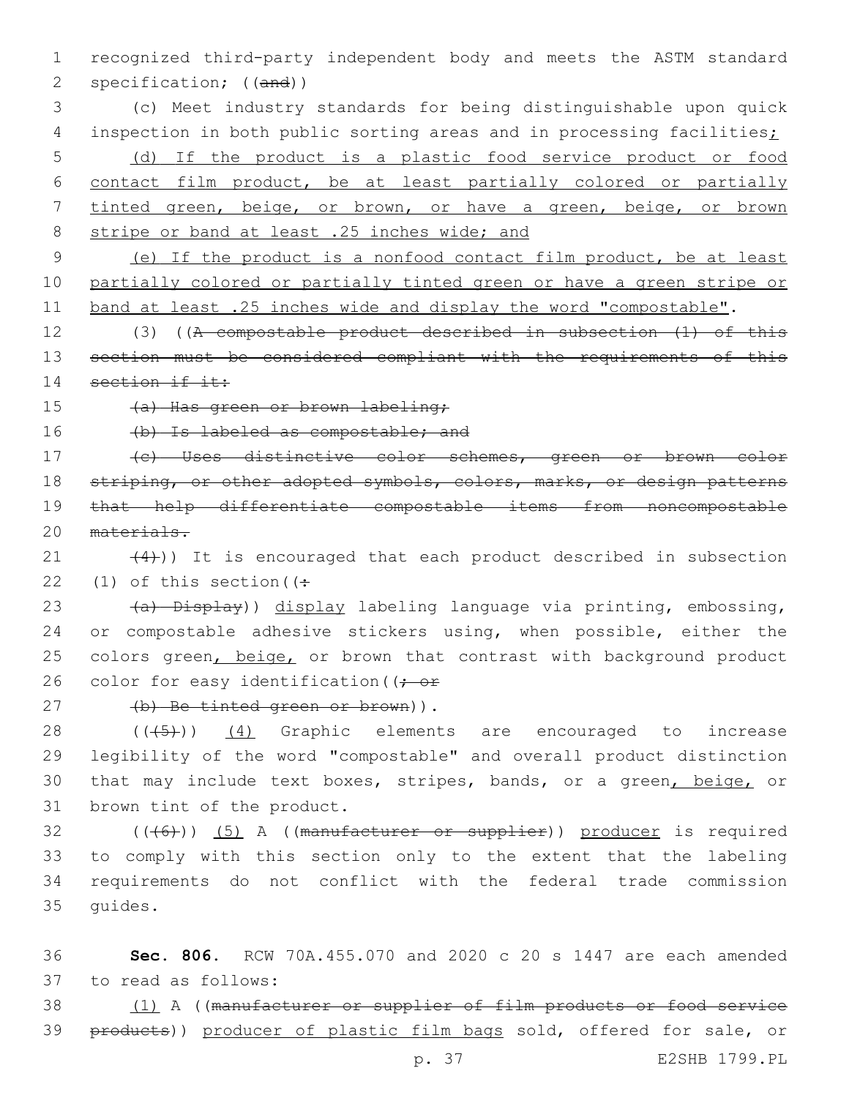1 recognized third-party independent body and meets the ASTM standard 2 specification; ((and))

 (c) Meet industry standards for being distinguishable upon quick 4 inspection in both public sorting areas and in processing facilities; (d) If the product is a plastic food service product or food contact film product, be at least partially colored or partially tinted green, beige, or brown, or have a green, beige, or brown 8 stripe or band at least .25 inches wide; and

9 (e) If the product is a nonfood contact film product, be at least 10 partially colored or partially tinted green or have a green stripe or 11 band at least .25 inches wide and display the word "compostable".

12 (3) ((A compostable product described in subsection (1) of this 13 section must be considered compliant with the requirements of this 14 section if it:

15 (a) Has green or brown labeling;

16 (b) Is labeled as compostable; and

 (c) Uses distinctive color schemes, green or brown color 18 striping, or other adopted symbols, colors, marks, or design patterns that help differentiate compostable items from noncompostable materials.

21  $(4)$ )) It is encouraged that each product described in subsection 22 (1) of this section  $($ :

23 (a) Display)) display labeling language via printing, embossing, 24 or compostable adhesive stickers using, when possible, either the 25 colors green, beige, or brown that contrast with background product 26 color for easy identification ( $\rightarrow$  or

27 (b) Be tinted green or brown)).

 $28$   $((+5+))$   $(4)$  Graphic elements are encouraged to increase 29 legibility of the word "compostable" and overall product distinction 30 that may include text boxes, stripes, bands, or a green, beige, or 31 brown tint of the product.

 ((( $6$ ))) (5) A ((manufacturer or supplier)) producer is required to comply with this section only to the extent that the labeling requirements do not conflict with the federal trade commission 35 quides.

36 **Sec. 806.** RCW 70A.455.070 and 2020 c 20 s 1447 are each amended to read as follows:37

38 (1) A ((manufacturer or supplier of film products or food service 39 products)) producer of plastic film bags sold, offered for sale, or

p. 37 E2SHB 1799.PL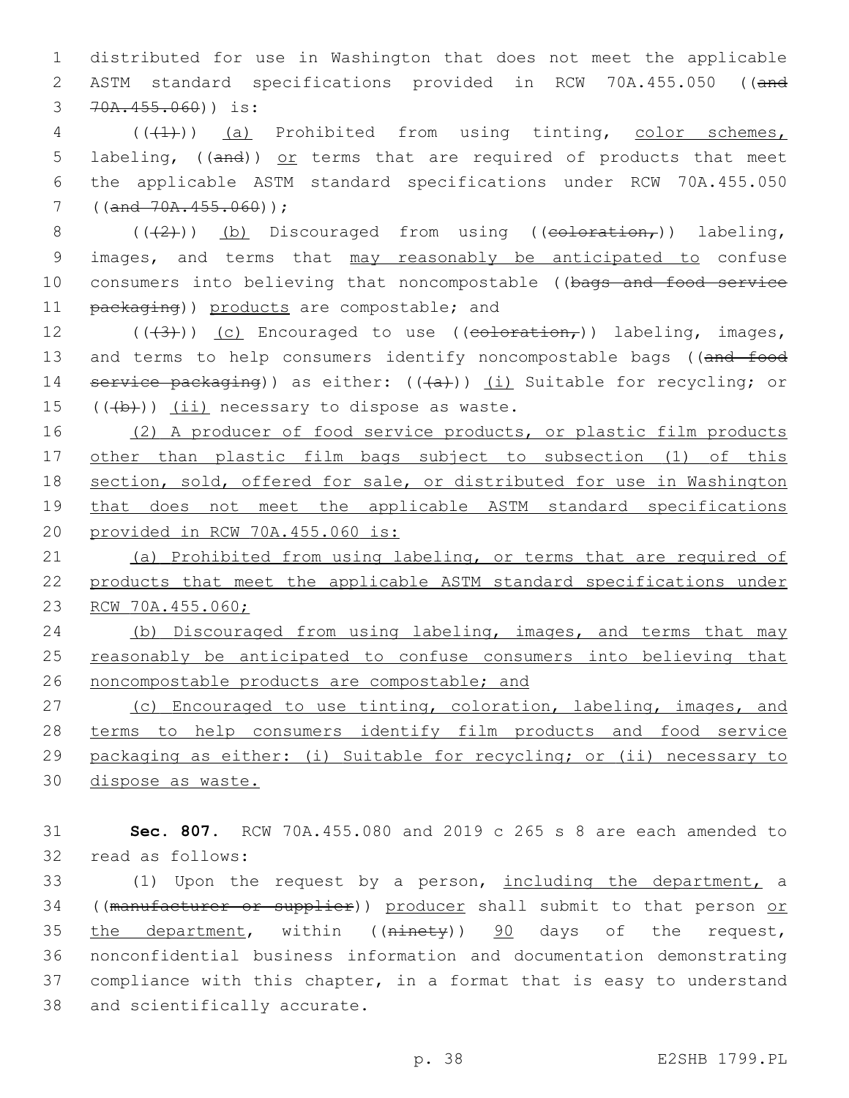1 distributed for use in Washington that does not meet the applicable 2 ASTM standard specifications provided in RCW 70A.455.050 ((and 3 70A.455.060)) is:

4 (((4))) (a) Prohibited from using tinting, color schemes, 5 labeling,  $((and))$  or terms that are required of products that meet 6 the applicable ASTM standard specifications under RCW 70A.455.050  $7 ((and 70A.455.060));$ 

8  $((+2))$  (b) Discouraged from using ((coloration,)) labeling, 9 images, and terms that may reasonably be anticipated to confuse 10 consumers into believing that noncompostable ((bags and food service 11 packaging)) products are compostable; and

12  $((\langle 3 \rangle)(c)$  Encouraged to use  $((\text{colocation}_r))$  labeling, images, 13 and terms to help consumers identify noncompostable bags ((and food 14 service packaging)) as either:  $((+a))$  (i) Suitable for recycling; or  $15$   $((+b))$   $(ii)$  necessary to dispose as waste.

16 (2) A producer of food service products, or plastic film products other than plastic film bags subject to subsection (1) of this section, sold, offered for sale, or distributed for use in Washington that does not meet the applicable ASTM standard specifications provided in RCW 70A.455.060 is:

21 (a) Prohibited from using labeling, or terms that are required of 22 products that meet the applicable ASTM standard specifications under 23 RCW 70A.455.060;

24 (b) Discouraged from using labeling, images, and terms that may 25 reasonably be anticipated to confuse consumers into believing that 26 noncompostable products are compostable; and

 (c) Encouraged to use tinting, coloration, labeling, images, and 28 terms to help consumers identify film products and food service packaging as either: (i) Suitable for recycling; or (ii) necessary to dispose as waste.

31 **Sec. 807.** RCW 70A.455.080 and 2019 c 265 s 8 are each amended to 32 read as follows:

33 (1) Upon the request by a person, including the department, a 34 ((manufacturer or supplier)) producer shall submit to that person or 35 the department, within ( $(n\text{inety})$ )  $\frac{90}{90}$  days of the request, 36 nonconfidential business information and documentation demonstrating 37 compliance with this chapter, in a format that is easy to understand 38 and scientifically accurate.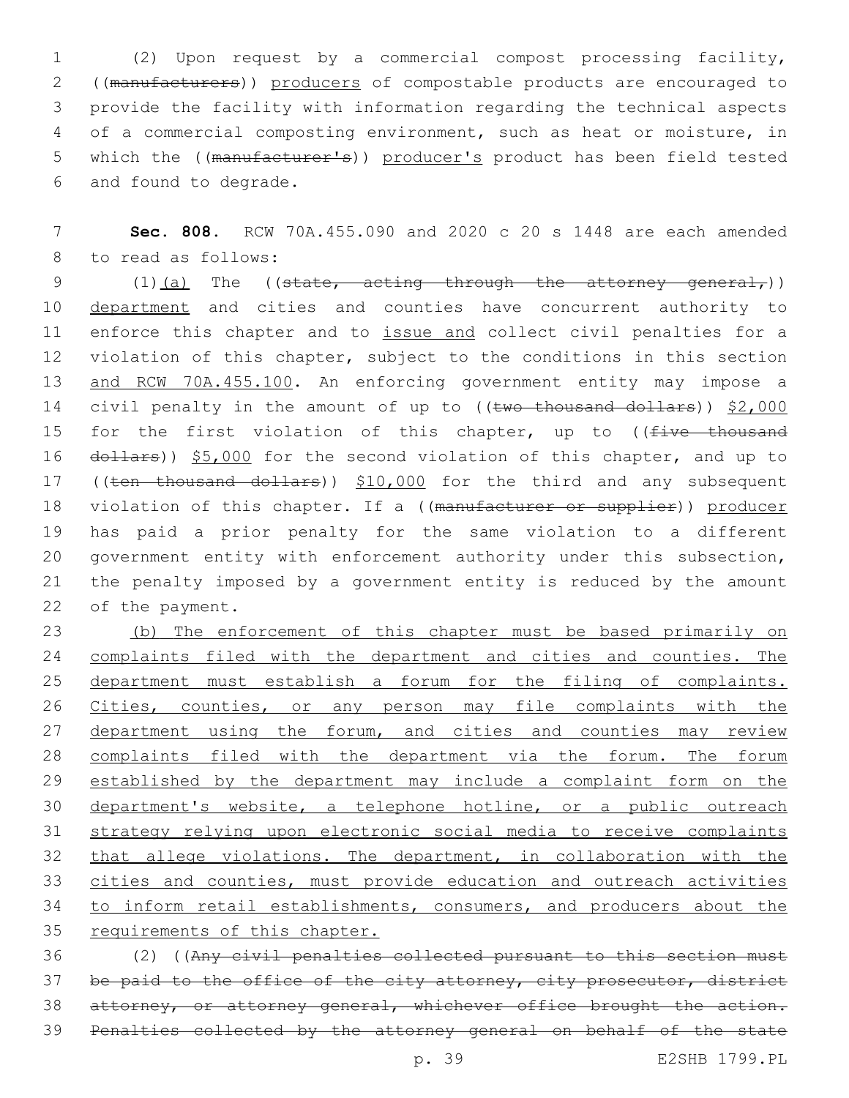(2) Upon request by a commercial compost processing facility, ((manufacturers)) producers of compostable products are encouraged to provide the facility with information regarding the technical aspects of a commercial composting environment, such as heat or moisture, in 5 which the ((manufacturer's)) producer's product has been field tested 6 and found to degrade.

7 **Sec. 808.** RCW 70A.455.090 and 2020 c 20 s 1448 are each amended 8 to read as follows:

9  $(1)$   $(a)$  The ((state, acting through the attorney general,)) 10 department and cities and counties have concurrent authority to 11 enforce this chapter and to issue and collect civil penalties for a 12 violation of this chapter, subject to the conditions in this section 13 and RCW 70A.455.100. An enforcing government entity may impose a 14 civil penalty in the amount of up to ((two thousand dollars)) \$2,000 15 for the first violation of this chapter, up to ((five thousand 16 dollars)) \$5,000 for the second violation of this chapter, and up to 17 ((ten thousand dollars)) \$10,000 for the third and any subsequent 18 violation of this chapter. If a ((manufacturer or supplier)) producer 19 has paid a prior penalty for the same violation to a different 20 government entity with enforcement authority under this subsection, 21 the penalty imposed by a government entity is reduced by the amount 22 of the payment.

 (b) The enforcement of this chapter must be based primarily on 24 complaints filed with the department and cities and counties. The department must establish a forum for the filing of complaints. 26 Cities, counties, or any person may file complaints with the 27 department using the forum, and cities and counties may review complaints filed with the department via the forum. The forum 29 established by the department may include a complaint form on the department's website, a telephone hotline, or a public outreach strategy relying upon electronic social media to receive complaints 32 that allege violations. The department, in collaboration with the cities and counties, must provide education and outreach activities to inform retail establishments, consumers, and producers about the requirements of this chapter.

36 (2) ((Any civil penalties collected pursuant to this section must 37 be paid to the office of the city attorney, city prosecutor, district 38 attorney, or attorney general, whichever office brought the action. 39 Penalties collected by the attorney general on behalf of the state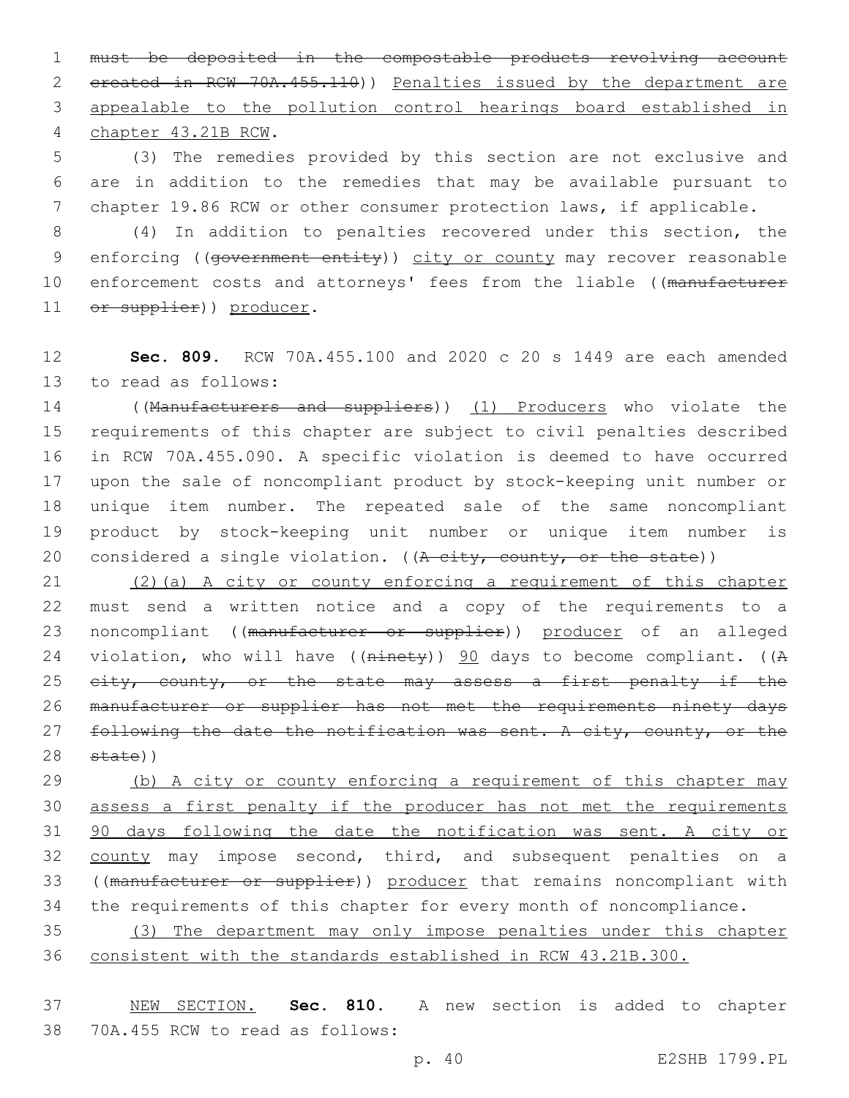1 must be deposited in the compostable products revolving account 2 created in RCW 70A.455.110)) Penalties issued by the department are 3 appealable to the pollution control hearings board established in chapter 43.21B RCW.4

5 (3) The remedies provided by this section are not exclusive and 6 are in addition to the remedies that may be available pursuant to 7 chapter 19.86 RCW or other consumer protection laws, if applicable.

8 (4) In addition to penalties recovered under this section, the 9 enforcing ((government entity)) city or county may recover reasonable 10 enforcement costs and attorneys' fees from the liable ((manufacturer 11 or supplier)) producer.

12 **Sec. 809.** RCW 70A.455.100 and 2020 c 20 s 1449 are each amended 13 to read as follows:

 ((Manufacturers and suppliers)) (1) Producers who violate the requirements of this chapter are subject to civil penalties described in RCW 70A.455.090. A specific violation is deemed to have occurred upon the sale of noncompliant product by stock-keeping unit number or unique item number. The repeated sale of the same noncompliant product by stock-keeping unit number or unique item number is 20 considered a single violation. ( $(A$  city, county, or the state))

21 (2)(a) A city or county enforcing a requirement of this chapter 22 must send a written notice and a copy of the requirements to a 23 noncompliant ((manufacturer or supplier)) producer of an alleged 24 violation, who will have ((ninety)) 90 days to become compliant. ((A 25 eity, county, or the state may assess a first penalty if the 26 manufacturer or supplier has not met the requirements ninety days 27 following the date the notification was sent. A city, county, or the 28 state))

29 (b) A city or county enforcing a requirement of this chapter may 30 assess a first penalty if the producer has not met the requirements 31 90 days following the date the notification was sent. A city or 32 county may impose second, third, and subsequent penalties on a 33 ((manufacturer or supplier)) producer that remains noncompliant with 34 the requirements of this chapter for every month of noncompliance.

35 (3) The department may only impose penalties under this chapter 36 consistent with the standards established in RCW 43.21B.300.

37 NEW SECTION. **Sec. 810.** A new section is added to chapter 38 70A.455 RCW to read as follows: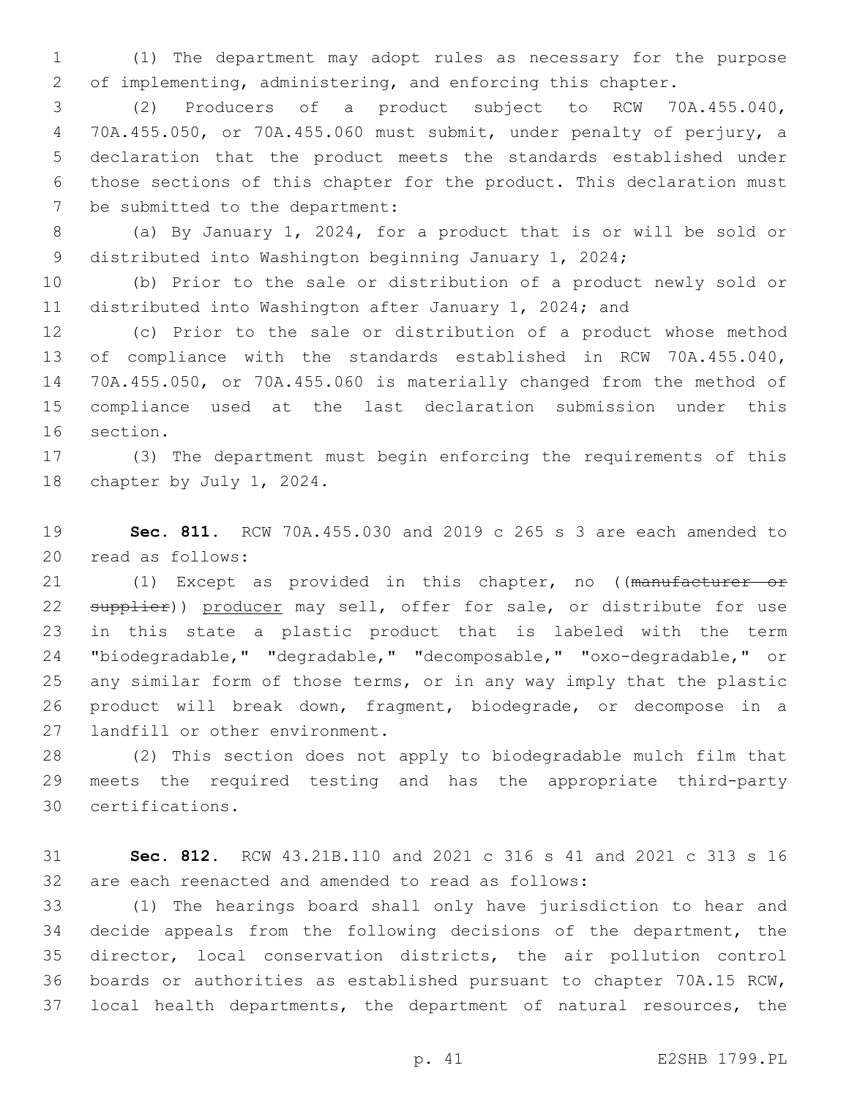(1) The department may adopt rules as necessary for the purpose of implementing, administering, and enforcing this chapter.

 (2) Producers of a product subject to RCW 70A.455.040, 70A.455.050, or 70A.455.060 must submit, under penalty of perjury, a declaration that the product meets the standards established under those sections of this chapter for the product. This declaration must 7 be submitted to the department:

 (a) By January 1, 2024, for a product that is or will be sold or distributed into Washington beginning January 1, 2024;

 (b) Prior to the sale or distribution of a product newly sold or distributed into Washington after January 1, 2024; and

 (c) Prior to the sale or distribution of a product whose method of compliance with the standards established in RCW 70A.455.040, 70A.455.050, or 70A.455.060 is materially changed from the method of compliance used at the last declaration submission under this 16 section.

 (3) The department must begin enforcing the requirements of this 18 chapter by July 1, 2024.

 **Sec. 811.** RCW 70A.455.030 and 2019 c 265 s 3 are each amended to 20 read as follows:

21 (1) Except as provided in this chapter, no ((manufacturer or 22 supplier)) producer may sell, offer for sale, or distribute for use in this state a plastic product that is labeled with the term "biodegradable," "degradable," "decomposable," "oxo-degradable," or any similar form of those terms, or in any way imply that the plastic product will break down, fragment, biodegrade, or decompose in a 27 landfill or other environment.

 (2) This section does not apply to biodegradable mulch film that meets the required testing and has the appropriate third-party certifications.30

 **Sec. 812.** RCW 43.21B.110 and 2021 c 316 s 41 and 2021 c 313 s 16 are each reenacted and amended to read as follows:

 (1) The hearings board shall only have jurisdiction to hear and decide appeals from the following decisions of the department, the director, local conservation districts, the air pollution control boards or authorities as established pursuant to chapter 70A.15 RCW, local health departments, the department of natural resources, the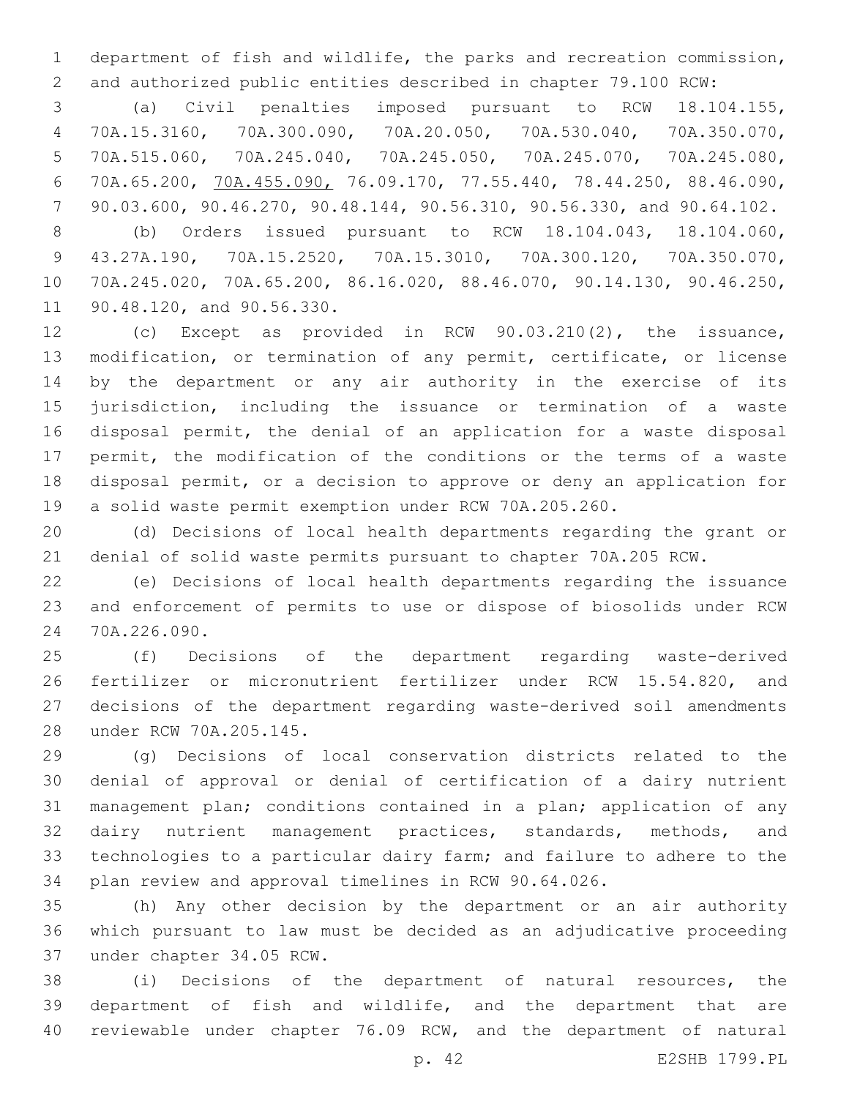department of fish and wildlife, the parks and recreation commission, and authorized public entities described in chapter 79.100 RCW:

 (a) Civil penalties imposed pursuant to RCW 18.104.155, 70A.15.3160, 70A.300.090, 70A.20.050, 70A.530.040, 70A.350.070, 70A.515.060, 70A.245.040, 70A.245.050, 70A.245.070, 70A.245.080, 70A.65.200, 70A.455.090, 76.09.170, 77.55.440, 78.44.250, 88.46.090, 90.03.600, 90.46.270, 90.48.144, 90.56.310, 90.56.330, and 90.64.102.

 (b) Orders issued pursuant to RCW 18.104.043, 18.104.060, 43.27A.190, 70A.15.2520, 70A.15.3010, 70A.300.120, 70A.350.070, 70A.245.020, 70A.65.200, 86.16.020, 88.46.070, 90.14.130, 90.46.250, 11 90.48.120, and 90.56.330.

 (c) Except as provided in RCW 90.03.210(2), the issuance, modification, or termination of any permit, certificate, or license by the department or any air authority in the exercise of its jurisdiction, including the issuance or termination of a waste disposal permit, the denial of an application for a waste disposal permit, the modification of the conditions or the terms of a waste disposal permit, or a decision to approve or deny an application for a solid waste permit exemption under RCW 70A.205.260.

 (d) Decisions of local health departments regarding the grant or denial of solid waste permits pursuant to chapter 70A.205 RCW.

 (e) Decisions of local health departments regarding the issuance and enforcement of permits to use or dispose of biosolids under RCW 24 70A.226.090.

 (f) Decisions of the department regarding waste-derived fertilizer or micronutrient fertilizer under RCW 15.54.820, and decisions of the department regarding waste-derived soil amendments 28 under RCW 70A.205.145.

 (g) Decisions of local conservation districts related to the denial of approval or denial of certification of a dairy nutrient management plan; conditions contained in a plan; application of any dairy nutrient management practices, standards, methods, and technologies to a particular dairy farm; and failure to adhere to the plan review and approval timelines in RCW 90.64.026.

 (h) Any other decision by the department or an air authority which pursuant to law must be decided as an adjudicative proceeding 37 under chapter 34.05 RCW.

 (i) Decisions of the department of natural resources, the department of fish and wildlife, and the department that are reviewable under chapter 76.09 RCW, and the department of natural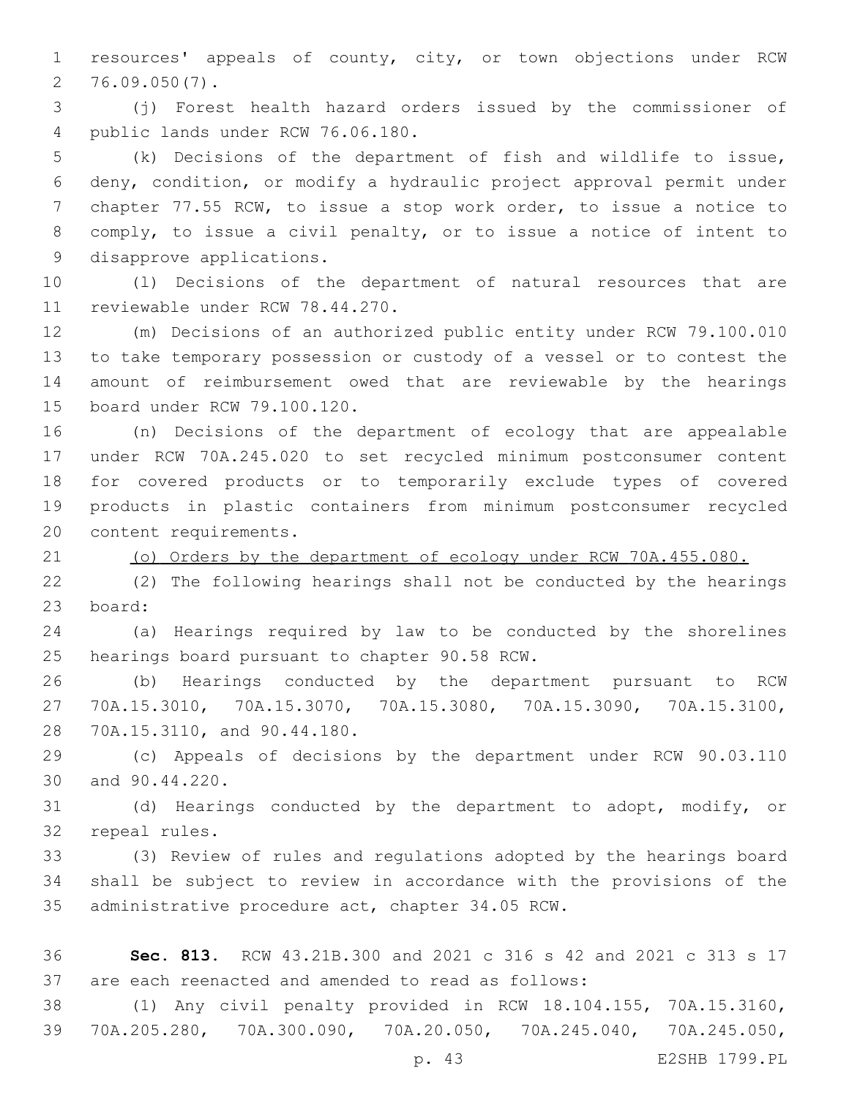resources' appeals of county, city, or town objections under RCW  $2, 76.09.050(7)$ .

 (j) Forest health hazard orders issued by the commissioner of public lands under RCW 76.06.180.4

 (k) Decisions of the department of fish and wildlife to issue, deny, condition, or modify a hydraulic project approval permit under chapter 77.55 RCW, to issue a stop work order, to issue a notice to comply, to issue a civil penalty, or to issue a notice of intent to 9 disapprove applications.

 (l) Decisions of the department of natural resources that are 11 reviewable under RCW 78.44.270.

 (m) Decisions of an authorized public entity under RCW 79.100.010 to take temporary possession or custody of a vessel or to contest the amount of reimbursement owed that are reviewable by the hearings 15 board under RCW 79.100.120.

 (n) Decisions of the department of ecology that are appealable under RCW 70A.245.020 to set recycled minimum postconsumer content for covered products or to temporarily exclude types of covered products in plastic containers from minimum postconsumer recycled 20 content requirements.

(o) Orders by the department of ecology under RCW 70A.455.080.

 (2) The following hearings shall not be conducted by the hearings 23 board:

 (a) Hearings required by law to be conducted by the shorelines 25 hearings board pursuant to chapter 90.58 RCW.

 (b) Hearings conducted by the department pursuant to RCW 70A.15.3010, 70A.15.3070, 70A.15.3080, 70A.15.3090, 70A.15.3100, 28 70A.15.3110, and 90.44.180.

 (c) Appeals of decisions by the department under RCW 90.03.110 30 and 90.44.220.

 (d) Hearings conducted by the department to adopt, modify, or 32 repeal rules.

 (3) Review of rules and regulations adopted by the hearings board shall be subject to review in accordance with the provisions of the 35 administrative procedure act, chapter 34.05 RCW.

 **Sec. 813.** RCW 43.21B.300 and 2021 c 316 s 42 and 2021 c 313 s 17 are each reenacted and amended to read as follows:

 (1) Any civil penalty provided in RCW 18.104.155, 70A.15.3160, 70A.205.280, 70A.300.090, 70A.20.050, 70A.245.040, 70A.245.050,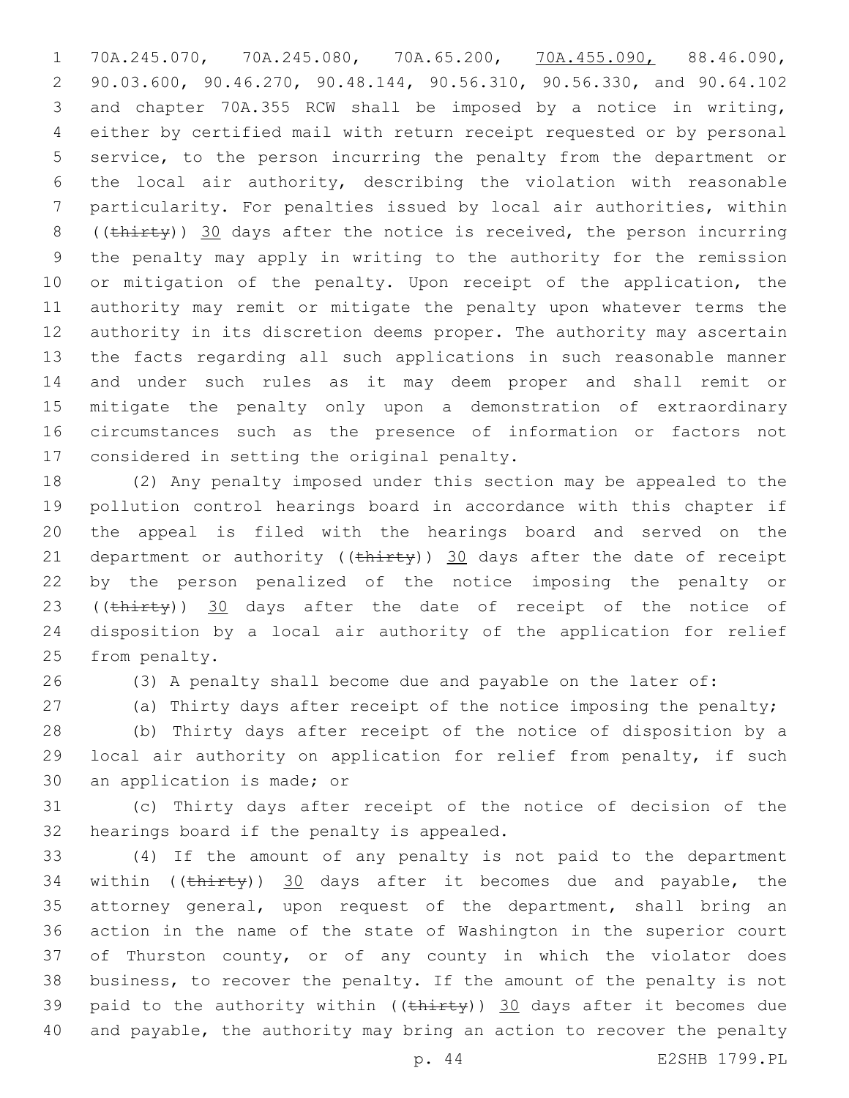70A.245.070, 70A.245.080, 70A.65.200, 70A.455.090, 88.46.090, 90.03.600, 90.46.270, 90.48.144, 90.56.310, 90.56.330, and 90.64.102 and chapter 70A.355 RCW shall be imposed by a notice in writing, either by certified mail with return receipt requested or by personal service, to the person incurring the penalty from the department or the local air authority, describing the violation with reasonable particularity. For penalties issued by local air authorities, within 8 (( $\text{thirty}$ ) 30 days after the notice is received, the person incurring the penalty may apply in writing to the authority for the remission 10 or mitigation of the penalty. Upon receipt of the application, the authority may remit or mitigate the penalty upon whatever terms the authority in its discretion deems proper. The authority may ascertain the facts regarding all such applications in such reasonable manner and under such rules as it may deem proper and shall remit or mitigate the penalty only upon a demonstration of extraordinary circumstances such as the presence of information or factors not 17 considered in setting the original penalty.

 (2) Any penalty imposed under this section may be appealed to the pollution control hearings board in accordance with this chapter if the appeal is filed with the hearings board and served on the 21 department or authority ( $(\text{thi}$ rty)) 30 days after the date of receipt by the person penalized of the notice imposing the penalty or 23 ((thirty)) 30 days after the date of receipt of the notice of disposition by a local air authority of the application for relief 25 from penalty.

(3) A penalty shall become due and payable on the later of:

27 (a) Thirty days after receipt of the notice imposing the penalty;

 (b) Thirty days after receipt of the notice of disposition by a local air authority on application for relief from penalty, if such 30 an application is made; or

 (c) Thirty days after receipt of the notice of decision of the 32 hearings board if the penalty is appealed.

 (4) If the amount of any penalty is not paid to the department 34 within  $((\text{thirty}))$  30 days after it becomes due and payable, the attorney general, upon request of the department, shall bring an action in the name of the state of Washington in the superior court of Thurston county, or of any county in which the violator does business, to recover the penalty. If the amount of the penalty is not 39 paid to the authority within ( $(\text{thirey})$ ) 30 days after it becomes due and payable, the authority may bring an action to recover the penalty

p. 44 E2SHB 1799.PL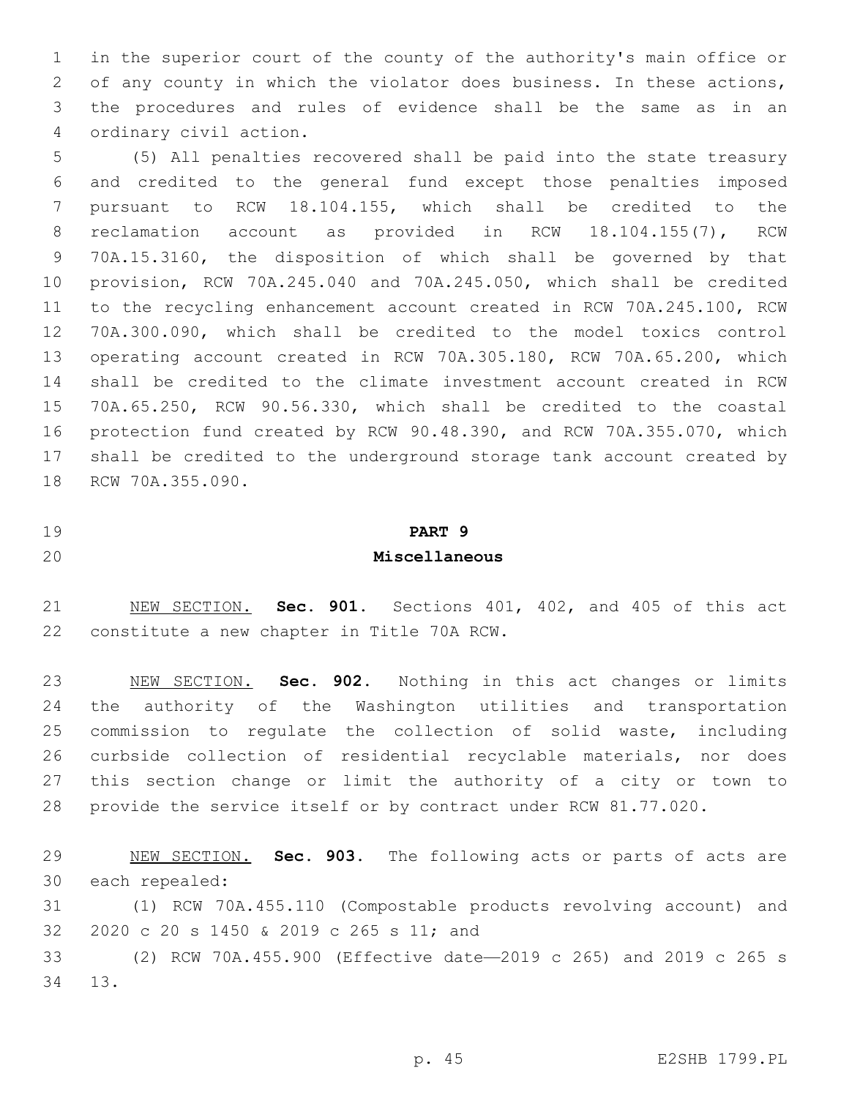in the superior court of the county of the authority's main office or of any county in which the violator does business. In these actions, the procedures and rules of evidence shall be the same as in an ordinary civil action.4

 (5) All penalties recovered shall be paid into the state treasury and credited to the general fund except those penalties imposed pursuant to RCW 18.104.155, which shall be credited to the reclamation account as provided in RCW 18.104.155(7), RCW 70A.15.3160, the disposition of which shall be governed by that provision, RCW 70A.245.040 and 70A.245.050, which shall be credited to the recycling enhancement account created in RCW 70A.245.100, RCW 70A.300.090, which shall be credited to the model toxics control operating account created in RCW 70A.305.180, RCW 70A.65.200, which shall be credited to the climate investment account created in RCW 70A.65.250, RCW 90.56.330, which shall be credited to the coastal protection fund created by RCW 90.48.390, and RCW 70A.355.070, which shall be credited to the underground storage tank account created by 18 RCW 70A.355.090.

#### **PART 9**

#### **Miscellaneous**

 NEW SECTION. **Sec. 901.** Sections 401, 402, and 405 of this act constitute a new chapter in Title 70A RCW.

 NEW SECTION. **Sec. 902.** Nothing in this act changes or limits the authority of the Washington utilities and transportation commission to regulate the collection of solid waste, including curbside collection of residential recyclable materials, nor does this section change or limit the authority of a city or town to provide the service itself or by contract under RCW 81.77.020.

 NEW SECTION. **Sec. 903.** The following acts or parts of acts are each repealed:

 (1) RCW 70A.455.110 (Compostable products revolving account) and 32 2020 c 20 s 1450 & 2019 c 265 s 11; and

 (2) RCW 70A.455.900 (Effective date—2019 c 265) and 2019 c 265 s 34 13.